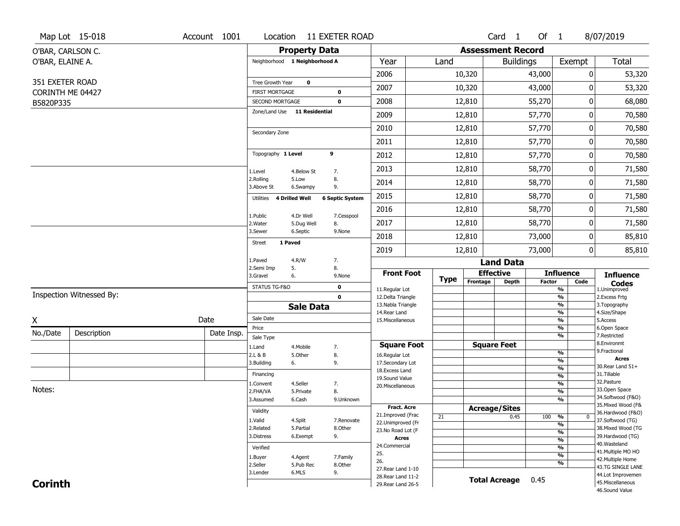|                               | Map Lot 15-018                  | Account 1001 |                                          |                         | Location 11 EXETER ROAD |                                          |    |             |                          | Card <sub>1</sub> | Of 1          |                                  | 8/07/2019                              |
|-------------------------------|---------------------------------|--------------|------------------------------------------|-------------------------|-------------------------|------------------------------------------|----|-------------|--------------------------|-------------------|---------------|----------------------------------|----------------------------------------|
| O'BAR, CARLSON C.             |                                 |              |                                          | <b>Property Data</b>    |                         |                                          |    |             | <b>Assessment Record</b> |                   |               |                                  |                                        |
| O'BAR, ELAINE A.              |                                 |              | Neighborhood 1 Neighborhood A            |                         |                         | Year                                     |    | Land        |                          | <b>Buildings</b>  |               | Exempt                           | <b>Total</b>                           |
|                               |                                 |              |                                          |                         |                         | 2006                                     |    |             | 10,320                   |                   | 43,000        | 0                                | 53,320                                 |
| 351 EXETER ROAD               |                                 |              | Tree Growth Year                         | $\bf o$                 |                         | 2007                                     |    |             | 10,320                   |                   | 43,000        | 0                                | 53,320                                 |
| CORINTH ME 04427<br>B5820P335 |                                 |              | <b>FIRST MORTGAGE</b><br>SECOND MORTGAGE |                         | 0<br>0                  | 2008                                     |    |             | 12,810                   |                   | 55,270        | 0                                | 68,080                                 |
|                               |                                 |              | Zone/Land Use 11 Residential             |                         |                         | 2009                                     |    |             | 12,810                   |                   | 57,770        | 0                                | 70,580                                 |
|                               |                                 |              |                                          |                         |                         |                                          |    |             |                          |                   |               | 0                                |                                        |
|                               |                                 |              | Secondary Zone                           |                         |                         | 2010                                     |    |             | 12,810                   |                   | 57,770        |                                  | 70,580                                 |
|                               |                                 |              |                                          |                         |                         | 2011                                     |    |             | 12,810                   |                   | 57,770        | 0                                | 70,580                                 |
|                               |                                 |              | Topography 1 Level                       |                         | 9                       | 2012                                     |    |             | 12,810                   |                   | 57,770        | 0                                | 70,580                                 |
|                               |                                 |              | 1.Level                                  | 4.Below St              | 7.                      | 2013                                     |    |             | 12,810                   |                   | 58,770        | 0                                | 71,580                                 |
|                               |                                 |              | 2.Rolling<br>3.Above St                  | 5.Low<br>6.Swampy       | 8.<br>9.                | 2014                                     |    |             | 12,810                   |                   | 58,770        | 0                                | 71,580                                 |
|                               |                                 |              | <b>4 Drilled Well</b><br>Utilities       |                         | <b>6 Septic System</b>  | 2015                                     |    |             | 12,810                   |                   | 58,770        | 0                                | 71,580                                 |
|                               |                                 |              |                                          |                         |                         | 2016                                     |    |             | 12,810                   |                   | 58,770        | 0                                | 71,580                                 |
|                               |                                 |              | 1.Public<br>2. Water                     | 4.Dr Well<br>5.Dug Well | 7.Cesspool<br>8.        | 2017                                     |    |             | 12,810                   |                   | 58,770        | 0                                | 71,580                                 |
|                               |                                 |              | 3.Sewer                                  | 6.Septic                | 9.None                  | 2018                                     |    |             | 12,810                   |                   | 73,000        | 0                                | 85,810                                 |
|                               |                                 |              | 1 Paved<br><b>Street</b>                 |                         |                         | 2019                                     |    |             | 12,810                   |                   | 73,000        | 0                                | 85,810                                 |
|                               |                                 |              | 1.Paved                                  | 4.R/W                   | 7.                      |                                          |    |             |                          | <b>Land Data</b>  |               |                                  |                                        |
|                               |                                 |              | 2.Semi Imp<br>5.<br>3.Gravel             | 6.                      | 8.<br>9.None            | <b>Front Foot</b>                        |    |             | <b>Effective</b>         |                   |               | <b>Influence</b>                 | <b>Influence</b>                       |
|                               |                                 |              | STATUS TG-F&O                            |                         | 0                       | 11.Regular Lot                           |    | <b>Type</b> | Frontage                 | <b>Depth</b>      | <b>Factor</b> | Code<br>$\overline{\frac{9}{6}}$ | <b>Codes</b><br>1.Unimproved           |
|                               | <b>Inspection Witnessed By:</b> |              |                                          |                         | $\mathbf 0$             | 12.Delta Triangle                        |    |             |                          |                   |               | $\frac{9}{6}$                    | 2.Excess Frtg                          |
|                               |                                 |              |                                          | <b>Sale Data</b>        |                         | 13. Nabla Triangle                       |    |             |                          |                   |               | $\frac{9}{6}$<br>$\frac{9}{6}$   | 3. Topography                          |
| X                             |                                 | Date         | Sale Date                                |                         |                         | 14. Rear Land<br>15. Miscellaneous       |    |             |                          |                   |               | $\frac{9}{6}$                    | 4.Size/Shape<br>5.Access               |
| No./Date                      | Description                     | Date Insp.   | Price                                    |                         |                         |                                          |    |             |                          |                   |               | $\frac{9}{6}$                    | 6.Open Space                           |
|                               |                                 |              | Sale Type                                |                         |                         | <b>Square Foot</b>                       |    |             | <b>Square Feet</b>       |                   |               | $\frac{9}{6}$                    | 7.Restricted<br>8.Environmt            |
|                               |                                 |              | 1.Land<br>2.L & B                        | 4. Mobile<br>5.Other    | 7.<br>8.                | 16.Regular Lot                           |    |             |                          |                   |               | $\frac{9}{6}$                    | 9. Fractional                          |
|                               |                                 |              | 3.Building                               | 6.                      | 9.                      | 17.Secondary Lot                         |    |             |                          |                   |               | $\frac{9}{6}$                    | <b>Acres</b><br>30. Rear Land 51+      |
|                               |                                 |              | Financing                                |                         |                         | 18. Excess Land                          |    |             |                          |                   |               | $\frac{9}{6}$<br>$\frac{9}{6}$   | 31.Tillable                            |
|                               |                                 |              | L.Convent                                | 4.Seller                | 7.                      | 19.Sound Value<br>20.Miscellaneous       |    |             |                          |                   |               | $\frac{9}{6}$                    | 32.Pasture                             |
| Notes:                        |                                 |              | 2.FHA/VA                                 | 5.Private               | 8.                      |                                          |    |             |                          |                   |               | $\frac{9}{6}$                    | 33.Open Space                          |
|                               |                                 |              | 3.Assumed                                | 6.Cash                  | 9.Unknown               |                                          |    |             |                          |                   |               | $\frac{9}{6}$                    | 34.Softwood (F&O)                      |
|                               |                                 |              | Validity                                 |                         |                         | Fract. Acre                              |    |             | <b>Acreage/Sites</b>     |                   |               |                                  | 35. Mixed Wood (F&                     |
|                               |                                 |              | 1.Valid                                  | 4.Split                 | 7.Renovate              | 21.Improved (Frac                        | 21 |             |                          | 0.45              | 100           | %<br>$\mathbf{0}$                | 36.Hardwood (F&O)<br>37.Softwood (TG)  |
|                               |                                 |              | 2.Related                                | 5.Partial               | 8.Other                 | 22.Unimproved (Fr<br>23.No Road Lot (F   |    |             |                          |                   |               | $\frac{9}{6}$                    | 38. Mixed Wood (TG                     |
|                               |                                 |              | 3.Distress                               | 6.Exempt                | 9.                      | Acres                                    |    |             |                          |                   |               | $\frac{9}{6}$                    | 39.Hardwood (TG)                       |
|                               |                                 |              | Verified                                 |                         |                         | 24.Commercial                            |    |             |                          |                   |               | $\frac{9}{6}$<br>$\frac{9}{6}$   | 40. Wasteland                          |
|                               |                                 |              |                                          |                         |                         | 25.                                      |    |             |                          |                   |               | $\frac{9}{6}$                    | 41. Multiple MO HO                     |
|                               |                                 |              | 1.Buyer<br>2.Seller                      | 4.Agent<br>5.Pub Rec    | 7.Family<br>8.Other     | 26.                                      |    |             |                          |                   |               | %                                | 42. Multiple Home                      |
|                               |                                 |              | 3.Lender                                 | 6.MLS                   | 9.                      | 27. Rear Land 1-10                       |    |             |                          |                   |               |                                  | 43.TG SINGLE LANE<br>44.Lot Improvemen |
| <b>Corinth</b>                |                                 |              |                                          |                         |                         | 28. Rear Land 11-2<br>29. Rear Land 26-5 |    |             | <b>Total Acreage</b>     |                   | 0.45          |                                  | 45. Miscellaneous                      |
|                               |                                 |              |                                          |                         |                         |                                          |    |             |                          |                   |               |                                  |                                        |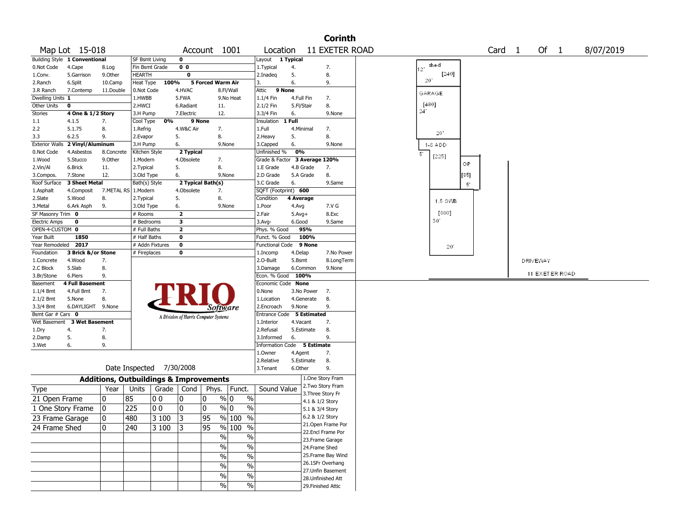|                       |                               |                                                   |                          |                |                                       |        |                                           |                             |            |        | <b>Corinth</b>     |                             |
|-----------------------|-------------------------------|---------------------------------------------------|--------------------------|----------------|---------------------------------------|--------|-------------------------------------------|-----------------------------|------------|--------|--------------------|-----------------------------|
|                       | Map Lot 15-018                |                                                   |                          |                |                                       |        | Account 1001                              | Location                    |            |        | 11 EXETER ROAD     | Of 1<br>Card 1<br>8/07/2019 |
|                       | Building Style 1 Conventional |                                                   | <b>SF Bsmt Living</b>    |                | 0                                     |        |                                           | Layout                      | 1 Typical  |        |                    |                             |
| 0.Not Code            | 4.Cape                        | 8.Log                                             | Fin Bsmt Grade           |                | 0 <sub>0</sub>                        |        |                                           | 1. Typical                  | 4.         |        | 7.                 | shed                        |
| 1.Conv.               | 5.Garrison                    | 9.0ther                                           | HEARTH                   |                | 0                                     |        |                                           | 2.Inadeg                    | 5.         |        | 8.                 | [240]                       |
| 2.Ranch               | 6.Split                       | 10.Camp                                           | Heat Type                | 100%           |                                       |        | 5 Forced Warm Air                         | 3.                          | 6.         |        | 9.                 | 20                          |
| 3.R Ranch             | 7.Contemp                     | 11.Double                                         | 0.Not Code               |                | 4.HVAC                                |        | 8.Fl/Wall                                 | Attic<br>9 None             |            |        |                    | GARAGE                      |
| Dwelling Units 1      |                               |                                                   | 1.HWBB                   |                | 5.FWA                                 |        | 9.No Heat                                 | 1.1/4 Fin                   | 4.Full Fin |        | 7.                 |                             |
| Other Units           | 0                             |                                                   | 2.HWCI                   |                | 6.Radiant                             |        | 11.                                       | 2.1/2 Fin                   | 5.Fl/Stair |        | 8.                 | [480]                       |
| Stories               | 4 One & 1/2 Story             |                                                   | 3.H Pump                 |                | 7.Electric                            |        | 12.                                       | 3.3/4 Fin                   | 6.         |        | 9.None             | 241                         |
| 1.1                   | 4.1.5                         | 7.                                                | Cool Type                | 0%             |                                       | 9 None |                                           | Insulation                  | 1 Full     |        |                    |                             |
| 2.2                   | 5.1.75                        | 8.                                                | 1.Refrig                 |                | 4.W&C Air                             |        | 7.                                        | 1.Full                      | 4.Minimal  |        | 7.                 | 20                          |
| 3.3                   | 6.2.5                         | 9.                                                | 2.Evapor                 |                | 5.                                    |        | 8.                                        | 2. Heavy                    | 5.         |        | 8.                 |                             |
| <b>Exterior Walls</b> | 2 Vinyl/Aluminum              |                                                   | 3.H Pump                 |                | 6.                                    |        | 9.None                                    | 3.Capped                    | 6.         |        | 9.None             | 1-S ADD                     |
| 0.Not Code            | 4.Asbestos                    | 8.Concrete                                        | Kitchen Style            |                | 2 Typical                             |        |                                           | Unfinished %                | 0%         |        |                    | Ε.<br>[225]                 |
| 1.Wood                | 5.Stucco                      | 9.0ther                                           | 1.Modern                 |                | 4.Obsolete                            |        | 7.                                        | Grade & Factor              |            |        | 3 Average 120%     | OP.                         |
| 2.Vin/Al              | 6.Brick                       | 11.                                               | 2. Typical               |                | 5.                                    |        | 8.                                        | 1.E Grade                   | 4.B Grade  |        | 7.                 |                             |
| 3.Compos.             | 7.Stone                       | 12.                                               | 3.Old Type               |                | 6.                                    |        | 9.None                                    | 2.D Grade                   | 5.A Grade  |        | 8.                 | [85]                        |
| Roof Surface          | 3 Sheet Metal                 |                                                   | Bath(s) Style            |                | 2 Typical Bath(s)                     |        |                                           | 3.C Grade                   | 6.         |        | 9.Same             | 5.                          |
| 1.Asphalt             | 4.Composit                    | 7.METAL RS   1.Modern                             |                          |                | 4.Obsolete                            |        | 7.                                        | SQFT (Footprint) 600        |            |        |                    |                             |
| 2.Slate               | 5.Wood                        | 8.                                                | 2. Typical               |                | 5.                                    |        | 8.                                        | Condition                   | 4 Average  |        |                    | 1.5 SWB                     |
| 3. Metal              | 6.Ark Asph                    | 9.                                                | 3.Old Type               |                | 6.                                    |        | 9.None                                    | 1.Poor                      | 4.Avg      |        | 7.V G              |                             |
| SF Masonry Trim 0     |                               |                                                   | # Rooms                  |                | $\overline{\mathbf{z}}$               |        |                                           | 2.Fair                      | $5.Avg+$   |        | 8.Exc              | [600]                       |
| <b>Electric Amps</b>  | 0                             |                                                   | # Bedrooms               |                | 3                                     |        |                                           | 3.Avg-                      | 6.Good     |        | 9.Same             | 30'                         |
| OPEN-4-CUSTOM 0       |                               |                                                   | # Full Baths             |                | $\overline{2}$                        |        |                                           | Phys. % Good                | 95%        |        |                    |                             |
| Year Built            | 1850                          |                                                   | # Half Baths             |                | 0                                     |        |                                           | Funct. % Good               |            | 100%   |                    |                             |
| Year Remodeled        | 2017                          |                                                   | # Addn Fixtures          |                | 0                                     |        |                                           | <b>Functional Code</b>      |            | 9 None |                    | 20'                         |
| Foundation            | 3 Brick &/or Stone            |                                                   | # Fireplaces             |                | 0                                     |        |                                           | 1.Incomp                    | 4.Delap    |        | 7.No Power         |                             |
| 1.Concrete            | 4.Wood                        | 7.                                                |                          |                |                                       |        |                                           | 2.O-Built                   | 5.Bsmt     |        | 8.LongTerm         | <b>DRIVEWAY</b>             |
| 2.C Block             | 5.Slab                        | 8.                                                |                          |                |                                       |        |                                           | 3.Damage                    | 6.Common   |        | 9.None             |                             |
| 3.Br/Stone            | 6.Piers                       | 9.                                                |                          |                |                                       |        |                                           | Econ. % Good                | 100%       |        |                    | 11 EXETER ROAD              |
| Basement              | 4 Full Basement               |                                                   |                          |                |                                       |        |                                           | Economic Code None          |            |        |                    |                             |
| 1.1/4 Bmt             | 4.Full Bmt                    | 7.                                                |                          |                |                                       |        |                                           | 0.None                      | 3.No Power |        | 7.                 |                             |
| 2.1/2 Bmt             | 5.None                        | 8.                                                |                          |                |                                       |        |                                           | 1.Location                  | 4.Generate |        | 8.                 |                             |
| 3.3/4 Bmt             | 6.DAYLIGHT 9.None             |                                                   |                          |                |                                       |        | <i>Software</i>                           | 2.Encroach                  | 9.None     |        | 9.                 |                             |
| Bsmt Gar # Cars 0     |                               |                                                   |                          |                | A Division of Harris Computer Systems |        |                                           | Entrance Code 5 Estimated   |            |        |                    |                             |
|                       | Wet Basement 3 Wet Basement   |                                                   |                          |                |                                       |        |                                           | 1.Interior                  | 4.Vacant   |        | 7.                 |                             |
| 1.Dry                 | 4.                            | 7.                                                |                          |                |                                       |        |                                           | 2.Refusal                   | 5.Estimate |        | 8.                 |                             |
| 2.Damp                | 5.                            | 8.                                                |                          |                |                                       |        |                                           | 3.Informed                  | 6.         |        | 9.                 |                             |
| 3.Wet                 | 6.                            | 9.                                                |                          |                |                                       |        |                                           | Information Code 5 Estimate |            |        |                    |                             |
|                       |                               |                                                   |                          |                |                                       |        |                                           | 1.0wner                     | 4.Agent    |        | 7.                 |                             |
|                       |                               |                                                   |                          |                |                                       |        |                                           | 2.Relative                  | 5.Estimate |        | 8.                 |                             |
|                       |                               |                                                   | Date Inspected 7/30/2008 |                |                                       |        |                                           | 3. Tenant                   | 6.Other    |        | 9.                 |                             |
|                       |                               | <b>Additions, Outbuildings &amp; Improvements</b> |                          |                |                                       |        |                                           |                             |            |        | 1.One Story Fram   |                             |
|                       |                               | Year                                              | Units                    | Grade          | Cond                                  | Phys.  | Funct.                                    | Sound Value                 |            |        | 2. Two Story Fram  |                             |
| Type                  |                               |                                                   |                          |                |                                       |        |                                           |                             |            |        | 3. Three Story Fr  |                             |
| 21 Open Frame         |                               | 0                                                 | 85                       | 0 <sub>0</sub> | 0                                     | 0      | $\frac{9}{0}$ 0<br>$\%$                   |                             |            |        | 4.1 & 1/2 Story    |                             |
| 1 One Story Frame     |                               | 0                                                 | 225                      | 00             | 0                                     | 0      | $\frac{9}{0}$ 0<br>$\%$                   |                             |            |        | 5.1 & 3/4 Story    |                             |
| 23 Frame Garage       |                               | 0                                                 | 480                      | $ 3\,100\, $ 3 |                                       | 95     | % 100 %                                   |                             |            |        | 6.2 & 1/2 Story    |                             |
| 24 Frame Shed         |                               | 0                                                 | 240                      | $3100$ 3       |                                       | 95     | % 100 %                                   |                             |            |        | 21.Open Frame Por  |                             |
|                       |                               |                                                   |                          |                |                                       |        |                                           |                             |            |        | 22.Encl Frame Por  |                             |
|                       |                               |                                                   |                          |                |                                       |        | $\sqrt{6}$<br>$\overline{\frac{0}{0}}$    |                             |            |        | 23. Frame Garage   |                             |
|                       |                               |                                                   |                          |                |                                       |        | $\overline{\frac{0}{0}}$<br>$\%$          |                             |            |        | 24.Frame Shed      |                             |
|                       |                               |                                                   |                          |                |                                       |        | $\overline{\frac{0}{0}}$<br>$\%$          |                             |            |        | 25. Frame Bay Wind |                             |
|                       |                               |                                                   |                          |                |                                       |        | $\overline{\frac{0}{0}}$<br>$\%$          |                             |            |        | 26.1SFr Overhang   |                             |
|                       |                               |                                                   |                          |                |                                       |        |                                           |                             |            |        | 27. Unfin Basement |                             |
|                       |                               |                                                   |                          |                |                                       |        | $\overline{\frac{0}{0}}$<br>$\frac{0}{0}$ |                             |            |        | 28.Unfinished Att  |                             |
|                       |                               |                                                   |                          |                |                                       |        | $\sqrt[6]{6}$<br>%                        |                             |            |        | 29. Finished Attic |                             |
|                       |                               |                                                   |                          |                |                                       |        |                                           |                             |            |        |                    |                             |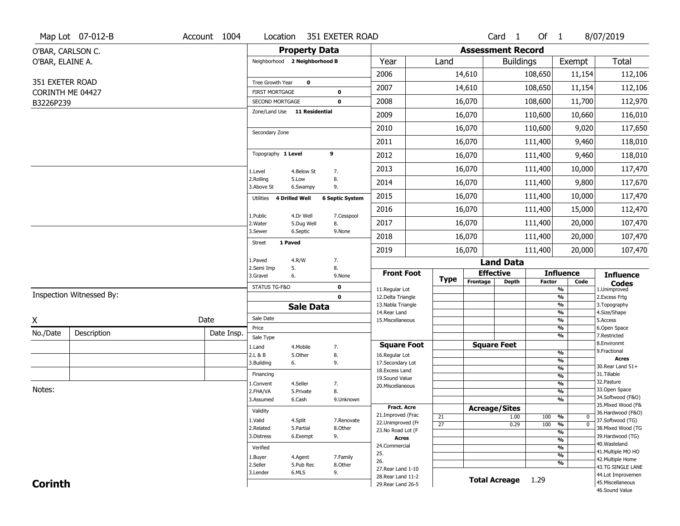|                   | Map Lot 07-012-B         | Account 1004 | Location                                        |                         | 351 EXETER ROAD        |                                          |                 |          | Card <sub>1</sub>        | Of 1          |                                                 | 8/07/2019                               |
|-------------------|--------------------------|--------------|-------------------------------------------------|-------------------------|------------------------|------------------------------------------|-----------------|----------|--------------------------|---------------|-------------------------------------------------|-----------------------------------------|
| O'BAR, CARLSON C. |                          |              |                                                 | <b>Property Data</b>    |                        |                                          |                 |          | <b>Assessment Record</b> |               |                                                 |                                         |
| O'BAR, ELAINE A.  |                          |              | Neighborhood 2 Neighborhood B                   |                         |                        | Year                                     | Land            |          | <b>Buildings</b>         |               | Exempt                                          | Total                                   |
|                   |                          |              |                                                 |                         |                        | 2006                                     |                 | 14,610   |                          | 108,650       | 11,154                                          | 112,106                                 |
| 351 EXETER ROAD   |                          |              | Tree Growth Year                                | $\mathbf 0$             |                        | 2007                                     |                 | 14,610   |                          | 108,650       | 11,154                                          | 112,106                                 |
|                   | CORINTH ME 04427         |              | FIRST MORTGAGE                                  |                         | $\mathbf 0$            |                                          |                 |          |                          |               |                                                 |                                         |
| B3226P239         |                          |              | SECOND MORTGAGE<br>Zone/Land Use 11 Residential |                         | $\mathbf 0$            | 2008                                     |                 | 16,070   |                          | 108,600       | 11,700                                          | 112,970                                 |
|                   |                          |              |                                                 |                         |                        | 2009                                     |                 | 16,070   |                          | 110,600       | 10,660                                          | 116,010                                 |
|                   |                          |              | Secondary Zone                                  |                         |                        | 2010                                     |                 | 16,070   |                          | 110,600       | 9,020                                           | 117,650                                 |
|                   |                          |              |                                                 |                         |                        | 2011                                     |                 | 16,070   |                          | 111,400       | 9,460                                           | 118,010                                 |
|                   |                          |              | Topography 1 Level                              |                         | 9                      | 2012                                     |                 | 16,070   |                          | 111,400       | 9,460                                           | 118,010                                 |
|                   |                          |              | 1.Level                                         | 4.Below St              | 7.                     | 2013                                     |                 | 16,070   |                          | 111,400       | 10,000                                          | 117,470                                 |
|                   |                          |              | 2.Rolling<br>3.Above St                         | 5.Low<br>6.Swampy       | 8.<br>9.               | 2014                                     |                 | 16,070   |                          | 111,400       | 9,800                                           | 117,670                                 |
|                   |                          |              | <b>4 Drilled Well</b><br>Utilities              |                         | <b>6 Septic System</b> | 2015                                     |                 | 16,070   |                          | 111,400       | 10,000                                          | 117,470                                 |
|                   |                          |              |                                                 |                         |                        | 2016                                     |                 | 16,070   |                          | 111,400       | 15,000                                          | 112,470                                 |
|                   |                          |              | 1.Public<br>2.Water                             | 4.Dr Well<br>5.Dug Well | 7.Cesspool<br>8.       | 2017                                     |                 | 16,070   |                          | 111,400       | 20,000                                          | 107,470                                 |
|                   |                          |              | 3.Sewer                                         | 6.Septic                | 9.None                 | 2018                                     |                 | 16,070   |                          | 111,400       | 20,000                                          | 107,470                                 |
|                   |                          |              | 1 Paved<br><b>Street</b>                        |                         |                        | 2019                                     |                 | 16,070   |                          | 111,400       | 20,000                                          | 107,470                                 |
|                   |                          |              | 1.Paved                                         | 4.R/W                   | 7.                     |                                          |                 |          | <b>Land Data</b>         |               |                                                 |                                         |
|                   |                          |              | 2.Semi Imp<br>3.Gravel                          | 5.<br>6.                | 8.<br>9.None           | <b>Front Foot</b>                        |                 |          | <b>Effective</b>         |               | <b>Influence</b>                                | <b>Influence</b>                        |
|                   |                          |              | STATUS TG-F&O                                   |                         | $\mathbf 0$            | 11.Regular Lot                           | <b>Type</b>     | Frontage | <b>Depth</b>             | <b>Factor</b> | Code<br>$\overline{\frac{9}{6}}$                | <b>Codes</b><br>1.Unimproved            |
|                   | Inspection Witnessed By: |              |                                                 |                         | $\mathbf 0$            | 12.Delta Triangle                        |                 |          |                          |               | $\frac{9}{6}$                                   | 2. Excess Frtg                          |
|                   |                          |              |                                                 | <b>Sale Data</b>        |                        | 13. Nabla Triangle<br>14. Rear Land      |                 |          |                          |               | $\overline{\frac{9}{6}}$<br>$\frac{9}{6}$       | 3. Topography<br>4.Size/Shape           |
| X                 |                          | Date         | Sale Date                                       |                         |                        | 15. Miscellaneous                        |                 |          |                          |               | $\overline{\frac{9}{6}}$                        | 5.Access                                |
| No./Date          | Description              | Date Insp.   | Price                                           |                         |                        |                                          |                 |          |                          |               | %<br>%                                          | 6.Open Space<br>7.Restricted            |
|                   |                          |              | Sale Type<br>1.Land                             | 4. Mobile               | 7.                     | <b>Square Foot</b>                       |                 |          | <b>Square Feet</b>       |               |                                                 | 8.Environmt                             |
|                   |                          |              | 2.L & B                                         | 5.Other                 | 8.                     | 16.Regular Lot                           |                 |          |                          |               | %                                               | 9. Fractional                           |
|                   |                          |              | 3.Building                                      | 6.                      | 9.                     | 17.Secondary Lot                         |                 |          |                          |               | %<br>%                                          | <b>Acres</b><br>30.Rear Land 51+        |
|                   |                          |              | Financing                                       |                         |                        | 18.Excess Land<br>19.Sound Value         |                 |          |                          |               | $\overline{\frac{9}{6}}$                        | 31.Tillable                             |
|                   |                          |              | 1.Convent                                       | 4.Seller                | 7.                     | 20.Miscellaneous                         |                 |          |                          |               | $\frac{9}{6}$                                   | 32. Pasture                             |
| Notes:            |                          |              |                                                 |                         |                        |                                          |                 |          |                          |               |                                                 | 33.Open Space                           |
|                   |                          |              | 2.FHA/VA                                        | 5.Private               | 8.                     |                                          |                 |          |                          |               | %                                               |                                         |
|                   |                          |              | 3.Assumed                                       | 6.Cash                  | 9.Unknown              |                                          |                 |          |                          |               | %                                               | 34.Softwood (F&O)                       |
|                   |                          |              | Validity                                        |                         |                        | <b>Fract. Acre</b>                       |                 |          | <b>Acreage/Sites</b>     |               |                                                 | 35. Mixed Wood (F&<br>36.Hardwood (F&O) |
|                   |                          |              | 1.Valid                                         | 4.Split                 | 7.Renovate             | 21.Improved (Frac<br>22.Unimproved (Fr   | 21              |          | 1.00                     | 100           | %<br>0                                          | 37.Softwood (TG)                        |
|                   |                          |              | 2.Related                                       | 5.Partial               | 8.Other                | 23.No Road Lot (F                        | $\overline{27}$ |          | 0.29                     | 100           | $\overline{0}$<br>%<br>$\overline{\frac{9}{6}}$ | 38. Mixed Wood (TG                      |
|                   |                          |              | 3.Distress                                      | 6.Exempt                | 9.                     | <b>Acres</b>                             |                 |          |                          |               | $\overline{\frac{9}{6}}$                        | 39.Hardwood (TG)                        |
|                   |                          |              | Verified                                        |                         |                        | 24.Commercial                            |                 |          |                          |               | $\overline{\frac{9}{6}}$                        | 40. Wasteland<br>41. Multiple MO HO     |
|                   |                          |              | 1.Buyer                                         | 4.Agent                 | 7.Family               | 25.                                      |                 |          |                          |               | $\overline{\frac{9}{6}}$                        | 42. Multiple Home                       |
|                   |                          |              | 2.Seller                                        | 5.Pub Rec               | 8.Other                | 26.<br>27. Rear Land 1-10                |                 |          |                          |               | %                                               | 43.TG SINGLE LANE                       |
| <b>Corinth</b>    |                          |              | 3.Lender                                        | 6.MLS                   | 9.                     | 28. Rear Land 11-2<br>29. Rear Land 26-5 |                 |          | <b>Total Acreage</b>     | 1.29          |                                                 | 44.Lot Improvemen<br>45. Miscellaneous  |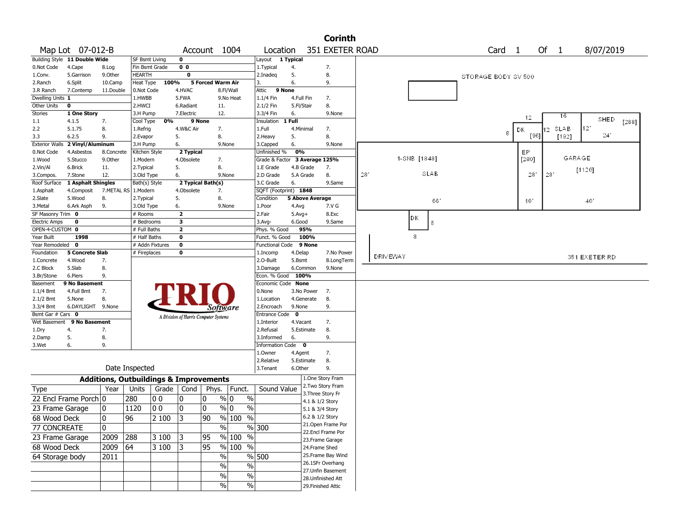|                                         |                               |              |                                                   |       |                      |                                       |                      |                               |                        |                 | <b>Corinth</b>     |    |                 |              |      |                     |       |      |      |           |                 |                      |  |
|-----------------------------------------|-------------------------------|--------------|---------------------------------------------------|-------|----------------------|---------------------------------------|----------------------|-------------------------------|------------------------|-----------------|--------------------|----|-----------------|--------------|------|---------------------|-------|------|------|-----------|-----------------|----------------------|--|
|                                         | Map Lot 07-012-B              |              |                                                   |       |                      | Account 1004                          |                      | Location                      |                        |                 | 351 EXETER ROAD    |    |                 |              |      | Card 1              |       |      | Of 1 |           |                 | 8/07/2019            |  |
|                                         | Building Style 11 Double Wide |              | SF Bsmt Living                                    |       | $\mathbf 0$          |                                       |                      | Layout                        | 1 Typical              |                 |                    |    |                 |              |      |                     |       |      |      |           |                 |                      |  |
| 0.Not Code                              | 4.Cape                        | 8.Log        | Fin Bsmt Grade                                    |       | 0 <sub>0</sub>       |                                       |                      | 1. Typical                    | 4.                     |                 | 7.                 |    |                 |              |      |                     |       |      |      |           |                 |                      |  |
| 1.Conv.                                 | 5.Garrison                    | 9.0ther      | <b>HEARTH</b>                                     |       | 0                    |                                       |                      | 2.Inadeg                      | 5.                     |                 | 8.                 |    |                 |              |      | STORAGE BODY SV 500 |       |      |      |           |                 |                      |  |
| 2.Ranch                                 | 6.Split                       | 10.Camp      | Heat Type                                         | 100%  |                      | 5 Forced Warm Air                     |                      | 3.                            | 6.                     |                 | 9.                 |    |                 |              |      |                     |       |      |      |           |                 |                      |  |
| 3.R Ranch                               | 7.Contemp                     | 11.Double    | 0.Not Code                                        |       | 4.HVAC               |                                       | 8.Fl/Wall            | Attic<br>9 None               |                        |                 |                    |    |                 |              |      |                     |       |      |      |           |                 |                      |  |
| Dwelling Units 1                        |                               |              | 1.HWBB                                            |       | 5.FWA                |                                       | 9.No Heat            | 1.1/4 Fin                     | 4.Full Fin             |                 | 7.                 |    |                 |              |      |                     |       |      |      |           |                 |                      |  |
| Other Units                             | $\mathbf 0$                   |              | 2.HWCI                                            |       | 6.Radiant            | 11.                                   |                      | 2.1/2 Fin                     | 5.Fl/Stair             |                 | 8.                 |    |                 |              |      |                     |       |      |      |           |                 |                      |  |
| Stories                                 | 1 One Story                   |              | 3.H Pump                                          |       | 7.Electric           | 12.                                   |                      | 3.3/4 Fin                     | 6.                     |                 | 9.None             |    |                 |              |      |                     | 12    |      |      | 16        |                 |                      |  |
| 1.1                                     | 4.1.5                         | 7.           | Cool Type                                         | 0%    | 9 None               |                                       |                      | Insulation                    | 1 Full                 |                 |                    |    |                 |              |      |                     |       |      |      |           |                 | <b>SHED</b><br>[288] |  |
| 2.2                                     | 5.1.75                        | 8.           | 1.Refrig                                          |       | 4.W&C Air            | 7.                                    |                      | 1.Full                        | 4.Minimal              |                 | 7.                 |    |                 |              |      | 8                   | DK    |      |      | $12$ SLAB | 12 <sup>°</sup> |                      |  |
| 3.3                                     | 6.2.5                         | 9.           | 2.Evapor                                          |       | 5.                   | 8.                                    |                      | 2. Heavy                      | 5.                     |                 | 8.                 |    |                 |              |      |                     |       | [96] |      | [192]     |                 | 24.7                 |  |
| <b>Exterior Walls</b>                   | 2 Vinyl/Aluminum              |              | 3.H Pump                                          |       | 6.                   | 9.None                                |                      | 3.Capped                      | 6.                     |                 | 9.None             |    |                 |              |      |                     |       |      |      |           |                 |                      |  |
| 0.Not Code                              | 4.Asbestos                    | 8.Concrete   | Kitchen Style                                     |       | 2 Typical            |                                       |                      | Unfinished %                  | 0%                     |                 |                    |    |                 |              |      |                     | EP.   |      |      | GARAGE    |                 |                      |  |
| 1.Wood                                  | 5.Stucco                      | 9.0ther      | 1.Modern                                          |       | 4.Obsolete           | 7.                                    |                      | Grade & Factor 3 Average 125% |                        |                 |                    |    |                 | 1-SNB [1848] |      |                     | [280] |      |      |           |                 |                      |  |
| 2.Vin/Al                                | 6.Brick                       | 11.          | 2. Typical                                        |       | 5.                   | 8.                                    |                      | 1.E Grade                     | 4.B Grade              |                 | 7.                 |    |                 |              | SLAB |                     |       |      |      |           | [1120]          |                      |  |
| 3.Compos.                               | 7.Stone                       | 12.          | 3.Old Type                                        |       | 6.                   | 9.None                                |                      | 2.D Grade                     | 5.A Grade              |                 | 8.                 | 28 |                 |              |      |                     |       | 28   | 28   |           |                 |                      |  |
| Roof Surface                            | 1 Asphalt Shingles            |              | Bath(s) Style                                     |       | 2 Typical Bath(s)    |                                       |                      | 3.C Grade                     | 6.                     |                 | 9.Same             |    |                 |              |      |                     |       |      |      |           |                 |                      |  |
| 1.Asphalt                               | 4.Composit                    | 7.METAL RS   | 1.Modern                                          |       | 4.Obsolete           | 7.                                    |                      | SQFT (Footprint) 1848         |                        |                 |                    |    |                 |              |      |                     |       |      |      |           |                 |                      |  |
| 2.Slate                                 | 5.Wood                        | 8.           | 2. Typical                                        |       | 5.                   | 8.                                    |                      | Condition                     | <b>5 Above Average</b> |                 |                    |    |                 |              | 661  |                     | 10'   |      |      |           | 40.             |                      |  |
| 3.Metal                                 | 6.Ark Asph                    | 9.           | 3.Old Type                                        |       | 6.<br>$\overline{2}$ | 9.None                                |                      | 1.Poor                        | 4.Avg                  |                 | 7.V G              |    |                 |              |      |                     |       |      |      |           |                 |                      |  |
| SF Masonry Trim 0                       |                               |              | # Rooms                                           |       |                      |                                       |                      | 2.Fair                        | $5.Avg+$               |                 | 8.Exc              |    |                 | DK           |      |                     |       |      |      |           |                 |                      |  |
| <b>Electric Amps</b><br>OPEN-4-CUSTOM 0 | 0                             |              | # Bedrooms<br># Full Baths                        |       | 3<br>$\overline{2}$  |                                       |                      | 3.Avg-                        | 6.Good<br>95%          |                 | 9.Same             |    |                 |              | 8    |                     |       |      |      |           |                 |                      |  |
| Year Built                              | 1998                          |              | # Half Baths                                      |       | $\mathbf 0$          |                                       |                      | Phys. % Good<br>Funct. % Good |                        | 100%            |                    |    |                 | 8            |      |                     |       |      |      |           |                 |                      |  |
| Year Remodeled 0                        |                               |              | # Addn Fixtures                                   |       | $\mathbf 0$          |                                       |                      | Functional Code 9 None        |                        |                 |                    |    |                 |              |      |                     |       |      |      |           |                 |                      |  |
| Foundation                              | <b>5 Concrete Slab</b>        |              | # Fireplaces                                      |       | $\mathbf 0$          |                                       |                      | 1.Incomp                      | 4.Delap                |                 | 7.No Power         |    |                 |              |      |                     |       |      |      |           |                 |                      |  |
| 1.Concrete                              | 4.Wood                        | 7.           |                                                   |       |                      |                                       |                      | 2.0-Built                     | 5.Bsmt                 |                 | 8.LongTerm         |    | <b>DRIVEWAY</b> |              |      |                     |       |      |      |           |                 | 351 EXETER RD        |  |
| 2.C Block                               | 5.Slab                        | 8.           |                                                   |       |                      |                                       |                      | 3.Damage                      | 6.Common               |                 | 9.None             |    |                 |              |      |                     |       |      |      |           |                 |                      |  |
| 3.Br/Stone                              | 6.Piers                       | 9.           |                                                   |       |                      |                                       |                      | Econ. % Good                  | 100%                   |                 |                    |    |                 |              |      |                     |       |      |      |           |                 |                      |  |
| Basement                                | 9 No Basement                 |              |                                                   |       |                      |                                       |                      | Economic Code None            |                        |                 |                    |    |                 |              |      |                     |       |      |      |           |                 |                      |  |
| $1.1/4$ Bmt                             | 4.Full Bmt                    | 7.           |                                                   |       |                      |                                       |                      | 0.None                        | 3.No Power             |                 | - 7.               |    |                 |              |      |                     |       |      |      |           |                 |                      |  |
| $2.1/2$ Bmt                             | 5.None                        | 8.           |                                                   |       |                      |                                       |                      | 1.Location                    | 4.Generate             |                 | 8.                 |    |                 |              |      |                     |       |      |      |           |                 |                      |  |
| 3.3/4 Bmt                               | 6.DAYLIGHT 9.None             |              |                                                   |       |                      | Software                              |                      | 2.Encroach                    | 9.None                 |                 | 9.                 |    |                 |              |      |                     |       |      |      |           |                 |                      |  |
| Bsmt Gar # Cars 0                       |                               |              |                                                   |       |                      |                                       |                      | Entrance Code                 | $\mathbf 0$            |                 |                    |    |                 |              |      |                     |       |      |      |           |                 |                      |  |
|                                         | Wet Basement 9 No Basement    |              |                                                   |       |                      | A Division of Harris Computer Systems |                      | 1.Interior                    | 4.Vacant               |                 | 7.                 |    |                 |              |      |                     |       |      |      |           |                 |                      |  |
| 1.Dry                                   | 4.                            | 7.           |                                                   |       |                      |                                       |                      | 2.Refusal                     | 5.Estimate             |                 | 8.                 |    |                 |              |      |                     |       |      |      |           |                 |                      |  |
| 2.Damp                                  | 5.                            | 8.           |                                                   |       |                      |                                       |                      | 3.Informed                    | 6.                     |                 | 9.                 |    |                 |              |      |                     |       |      |      |           |                 |                      |  |
| 3.Wet                                   | 6.                            | 9.           |                                                   |       |                      |                                       |                      | Information Code 0            |                        |                 |                    |    |                 |              |      |                     |       |      |      |           |                 |                      |  |
|                                         |                               |              |                                                   |       |                      |                                       |                      | 1.0wner                       | 4.Agent                |                 | 7.                 |    |                 |              |      |                     |       |      |      |           |                 |                      |  |
|                                         |                               |              |                                                   |       |                      |                                       |                      | 2.Relative                    | 5.Estimate             |                 | 8.                 |    |                 |              |      |                     |       |      |      |           |                 |                      |  |
|                                         |                               |              | Date Inspected                                    |       |                      |                                       |                      | 3. Tenant                     | 6.Other                |                 | 9.                 |    |                 |              |      |                     |       |      |      |           |                 |                      |  |
|                                         |                               |              | <b>Additions, Outbuildings &amp; Improvements</b> |       |                      |                                       |                      |                               |                        |                 | 1.One Story Fram   |    |                 |              |      |                     |       |      |      |           |                 |                      |  |
| Type                                    |                               | Year         | Units                                             | Grade | Cond                 | Phys.                                 | Funct.               | Sound Value                   |                        |                 | 2. Two Story Fram  |    |                 |              |      |                     |       |      |      |           |                 |                      |  |
|                                         |                               |              |                                                   |       |                      |                                       |                      |                               |                        |                 | 3. Three Story Fr  |    |                 |              |      |                     |       |      |      |           |                 |                      |  |
|                                         | 22 Encl Frame Porch 0         |              | 280                                               | 00    | 0                    | 0                                     | $\%$ 0<br>$\%$       |                               |                        | 4.1 & 1/2 Story |                    |    |                 |              |      |                     |       |      |      |           |                 |                      |  |
| 23 Frame Garage                         |                               | $\mathbf{0}$ | 1120                                              | 00    | 0                    | 0                                     | % 0<br>$\frac{0}{0}$ |                               |                        | 5.1 & 3/4 Story |                    |    |                 |              |      |                     |       |      |      |           |                 |                      |  |
| 68 Wood Deck                            |                               | 0            | 96                                                | 2 100 | 3                    | $\overline{90}$                       | $\frac{9}{6}$ 100 %  |                               |                        | 6.2 & 1/2 Story |                    |    |                 |              |      |                     |       |      |      |           |                 |                      |  |
| 77 CONCREATE                            |                               | 10.          |                                                   |       |                      | $\sqrt{96}$                           |                      | %300                          |                        |                 | 21.Open Frame Por  |    |                 |              |      |                     |       |      |      |           |                 |                      |  |
|                                         |                               |              |                                                   |       |                      |                                       | % 100 %              |                               |                        |                 | 22.Encl Frame Por  |    |                 |              |      |                     |       |      |      |           |                 |                      |  |
| 23 Frame Garage                         |                               | 2009         | 288                                               | 3 100 | 13                   | 95                                    |                      |                               |                        |                 | 23. Frame Garage   |    |                 |              |      |                     |       |      |      |           |                 |                      |  |
| 68 Wood Deck                            |                               | 2009         | 64                                                | 3 100 | 3                    | 95                                    | $\sqrt{96}$ 100 %    |                               |                        | 24.Frame Shed   |                    |    |                 |              |      |                     |       |      |      |           |                 |                      |  |
| 64 Storage body                         |                               | 2011         |                                                   |       |                      | $\%$                                  |                      | $\frac{9}{6}$ 500             |                        |                 | 25. Frame Bay Wind |    |                 |              |      |                     |       |      |      |           |                 |                      |  |
|                                         |                               |              |                                                   |       |                      | $\%$                                  | $\%$                 |                               |                        |                 | 26.1SFr Overhang   |    |                 |              |      |                     |       |      |      |           |                 |                      |  |
|                                         |                               |              |                                                   |       |                      | $\sqrt{6}$                            | $\%$                 |                               |                        |                 | 27.Unfin Basement  |    |                 |              |      |                     |       |      |      |           |                 |                      |  |
|                                         |                               |              |                                                   |       |                      |                                       |                      |                               |                        |                 | 28.Unfinished Att  |    |                 |              |      |                     |       |      |      |           |                 |                      |  |
|                                         |                               |              |                                                   |       |                      | $\%$                                  | $\%$                 |                               |                        |                 | 29. Finished Attic |    |                 |              |      |                     |       |      |      |           |                 |                      |  |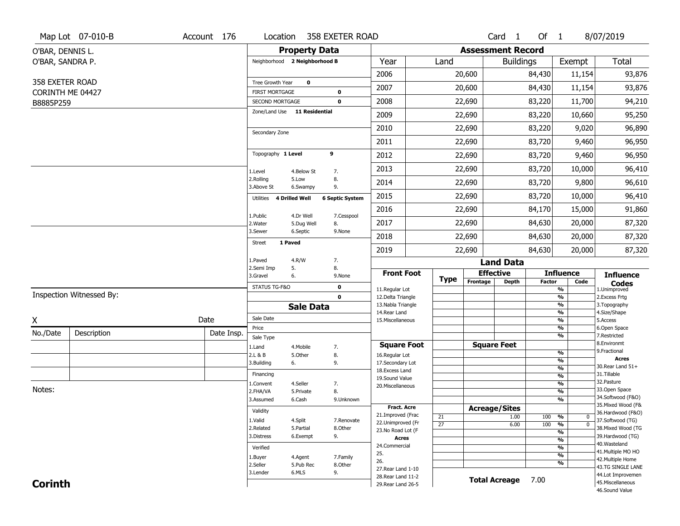|                  | Map Lot 07-010-B         | Account 176 | Location                                 |                       | 358 EXETER ROAD            |                                          |                 |                          | Card <sub>1</sub> | Of 1   |                                 | 8/07/2019                               |
|------------------|--------------------------|-------------|------------------------------------------|-----------------------|----------------------------|------------------------------------------|-----------------|--------------------------|-------------------|--------|---------------------------------|-----------------------------------------|
| O'BAR, DENNIS L. |                          |             |                                          | <b>Property Data</b>  |                            |                                          |                 | <b>Assessment Record</b> |                   |        |                                 |                                         |
| O'BAR, SANDRA P. |                          |             | Neighborhood 2 Neighborhood B            |                       |                            | Year                                     | Land            |                          | <b>Buildings</b>  |        | Exempt                          | <b>Total</b>                            |
|                  |                          |             |                                          |                       |                            | 2006                                     |                 | 20,600                   |                   | 84,430 | 11,154                          | 93,876                                  |
| 358 EXETER ROAD  |                          |             | Tree Growth Year                         | $\mathbf 0$           |                            | 2007                                     |                 | 20,600                   |                   | 84,430 | 11,154                          | 93,876                                  |
| CORINTH ME 04427 |                          |             | <b>FIRST MORTGAGE</b><br>SECOND MORTGAGE |                       | $\mathbf 0$<br>$\mathbf 0$ | 2008                                     |                 | 22,690                   |                   | 83,220 | 11,700                          | 94,210                                  |
| B8885P259        |                          |             | Zone/Land Use 11 Residential             |                       |                            |                                          |                 |                          |                   |        |                                 |                                         |
|                  |                          |             |                                          |                       |                            | 2009                                     |                 | 22,690                   |                   | 83,220 | 10,660                          | 95,250                                  |
|                  |                          |             | Secondary Zone                           |                       |                            | 2010                                     |                 | 22,690                   |                   | 83,220 | 9,020                           | 96,890                                  |
|                  |                          |             |                                          |                       |                            | 2011                                     |                 | 22,690                   |                   | 83,720 | 9,460                           | 96,950                                  |
|                  |                          |             | Topography 1 Level                       |                       | 9                          | 2012                                     |                 | 22,690                   |                   | 83,720 | 9,460                           | 96,950                                  |
|                  |                          |             | 1.Level                                  | 4.Below St            | 7.                         | 2013                                     |                 | 22,690                   |                   | 83,720 | 10,000                          | 96,410                                  |
|                  |                          |             | 2.Rolling<br>3.Above St                  | 5.Low<br>6.Swampy     | 8.<br>9.                   | 2014                                     |                 | 22,690                   |                   | 83,720 | 9,800                           | 96,610                                  |
|                  |                          |             | Utilities                                | <b>4 Drilled Well</b> | <b>6 Septic System</b>     | 2015                                     |                 | 22,690                   |                   | 83,720 | 10,000                          | 96,410                                  |
|                  |                          |             | 1.Public                                 | 4.Dr Well             | 7.Cesspool                 | 2016                                     |                 | 22,690                   |                   | 84,170 | 15,000                          | 91,860                                  |
|                  |                          |             | 2.Water                                  | 5.Dug Well            | 8.                         | 2017                                     |                 | 22,690                   |                   | 84,630 | 20,000                          | 87,320                                  |
|                  |                          |             | 3.Sewer                                  | 6.Septic              | 9.None                     | 2018                                     |                 | 22,690                   |                   | 84,630 | 20,000                          | 87,320                                  |
|                  |                          |             | 1 Paved<br><b>Street</b>                 |                       |                            | 2019                                     |                 | 22,690                   |                   | 84,630 | 20,000                          | 87,320                                  |
|                  |                          |             | 1.Paved                                  | 4.R/W                 | 7.                         |                                          |                 |                          | <b>Land Data</b>  |        |                                 |                                         |
|                  |                          |             | 2.Semi Imp<br>3.Gravel                   | 5.<br>6.              | 8.<br>9.None               | <b>Front Foot</b>                        |                 | <b>Effective</b>         |                   |        | <b>Influence</b>                | <b>Influence</b>                        |
|                  |                          |             | STATUS TG-F&O                            |                       | $\mathbf 0$                | 11.Regular Lot                           | <b>Type</b>     | Frontage                 | Depth             | Factor | Code<br>%                       | <b>Codes</b><br>1.Unimproved            |
|                  | Inspection Witnessed By: |             |                                          |                       | $\mathbf 0$                | 12.Delta Triangle                        |                 |                          |                   |        | %                               | 2. Excess Frtg                          |
|                  |                          |             |                                          | <b>Sale Data</b>      |                            | 13. Nabla Triangle<br>14. Rear Land      |                 |                          |                   |        | %<br>%                          | 3. Topography<br>4.Size/Shape           |
| X                |                          | Date        | Sale Date                                |                       |                            | 15. Miscellaneous                        |                 |                          |                   |        | %                               | 5.Access                                |
| No./Date         | Description              | Date Insp.  | Price                                    |                       |                            |                                          |                 |                          |                   |        | %                               | 6.Open Space                            |
|                  |                          |             | Sale Type                                |                       |                            | <b>Square Foot</b>                       |                 | <b>Square Feet</b>       |                   |        | %                               | 7.Restricted<br>8.Environmt             |
|                  |                          |             | 1.Land<br>2.L & B                        | 4. Mobile<br>5.Other  | 7.<br>8.                   | 16.Regular Lot                           |                 |                          |                   |        | %                               | 9. Fractional                           |
|                  |                          |             | 3.Building                               | 6.                    | 9.                         | 17.Secondary Lot                         |                 |                          |                   |        | %                               | <b>Acres</b><br>30. Rear Land 51+       |
|                  |                          |             | Financing                                |                       |                            | 18.Excess Land                           |                 |                          |                   |        | $\frac{9}{6}$<br>%              | 31.Tillable                             |
|                  |                          |             | 1.Convent                                | 4.Seller              | 7.                         | 19.Sound Value<br>20.Miscellaneous       |                 |                          |                   |        | $\frac{9}{6}$                   | 32. Pasture                             |
| Notes:           |                          |             | 2.FHA/VA                                 | 5.Private             | 8.                         |                                          |                 |                          |                   |        | $\overline{\frac{9}{6}}$        | 33.Open Space                           |
|                  |                          |             | 3.Assumed                                | 6.Cash                | 9.Unknown                  |                                          |                 |                          |                   |        | %                               | 34.Softwood (F&O)                       |
|                  |                          |             | Validity                                 |                       |                            | <b>Fract. Acre</b>                       |                 | <b>Acreage/Sites</b>     |                   |        |                                 | 35. Mixed Wood (F&<br>36.Hardwood (F&O) |
|                  |                          |             | 1.Valid                                  | 4.Split               | 7.Renovate                 | 21.Improved (Frac                        | 21              |                          | 1.00              | 100    | %<br>0                          | 37.Softwood (TG)                        |
|                  |                          |             | 2.Related                                | 5.Partial             | 8.Other                    | 22.Unimproved (Fr<br>23.No Road Lot (F   | $\overline{27}$ |                          | 6.00              | 100    | $\overline{0}$<br>$\frac{9}{6}$ | 38. Mixed Wood (TG                      |
|                  |                          |             | 3.Distress                               | 6.Exempt              | 9.                         | <b>Acres</b>                             |                 |                          |                   |        | %                               | 39.Hardwood (TG)                        |
|                  |                          |             | Verified                                 |                       |                            | 24.Commercial                            |                 |                          |                   |        | %<br>%                          | 40. Wasteland                           |
|                  |                          |             |                                          |                       | 7.Family                   | 25.                                      |                 |                          |                   |        | %                               | 41. Multiple MO HO                      |
|                  |                          |             | 1.Buyer<br>2.Seller                      | 4.Agent<br>5.Pub Rec  | 8.Other                    | 26.                                      |                 |                          |                   |        | %                               | 42. Multiple Home<br>43.TG SINGLE LANE  |
|                  |                          |             |                                          |                       |                            |                                          |                 |                          |                   |        |                                 |                                         |
|                  |                          |             | 3.Lender                                 | 6.MLS                 |                            | 27. Rear Land 1-10                       |                 |                          |                   |        |                                 |                                         |
| <b>Corinth</b>   |                          |             |                                          |                       | 9.                         | 28. Rear Land 11-2<br>29. Rear Land 26-5 |                 | <b>Total Acreage</b>     |                   | 7.00   |                                 | 44.Lot Improvemen<br>45. Miscellaneous  |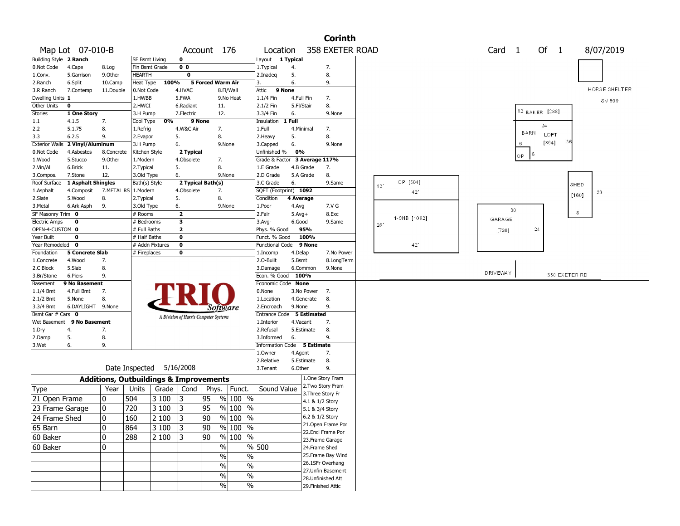|                                         |                            |            |                                                   |          |                                       |                   |                                           |                                        |                          |                   | <b>Corinth</b>     |     |              |                   |      |                                        |       |                |                      |  |
|-----------------------------------------|----------------------------|------------|---------------------------------------------------|----------|---------------------------------------|-------------------|-------------------------------------------|----------------------------------------|--------------------------|-------------------|--------------------|-----|--------------|-------------------|------|----------------------------------------|-------|----------------|----------------------|--|
|                                         | Map Lot 07-010-B           |            |                                                   |          |                                       | Account 176       |                                           | Location                               |                          |                   | 358 EXETER ROAD    |     |              | Card <sub>1</sub> |      |                                        | Of 1  |                | 8/07/2019            |  |
| Building Style 2 Ranch                  |                            |            | SF Bsmt Living                                    |          | 0                                     |                   |                                           | Layout 1 Typical                       |                          |                   |                    |     |              |                   |      |                                        |       |                |                      |  |
| 0.Not Code                              | 4.Cape                     | 8.Log      | Fin Bsmt Grade                                    |          | 0 <sub>0</sub>                        |                   |                                           | 1. Typical                             | 4.                       |                   | 7.                 |     |              |                   |      |                                        |       |                |                      |  |
| 1.Conv.                                 | 5.Garrison                 | 9.Other    | <b>HEARTH</b>                                     |          | 0                                     |                   |                                           | 2.Inadeq                               | 5.                       |                   | 8.                 |     |              |                   |      |                                        |       |                |                      |  |
| 2.Ranch                                 | 6.Split                    | 10.Camp    | Heat Type                                         | 100%     |                                       | 5 Forced Warm Air |                                           | 3.                                     | 6.                       |                   | 9.                 |     |              |                   |      |                                        |       |                | <b>HORSE SHELTER</b> |  |
| 3.R Ranch                               | 7.Contemp                  | 11.Double  | 0.Not Code<br>1.HWBB                              |          | 4.HVAC                                |                   | 8.Fl/Wall<br>9.No Heat                    | 9 None<br>Attic                        |                          |                   |                    |     |              |                   |      |                                        |       |                |                      |  |
| Dwelling Units 1<br>Other Units         | 0                          |            | 2.HWCI                                            |          | 5.FWA<br>6.Radiant                    |                   | 11.                                       | 1.1/4 Fin<br>2.1/2 Fin                 | 4.Full Fin<br>5.Fl/Stair |                   | 7.<br>8.           |     |              |                   |      |                                        |       |                | SV 500               |  |
| Stories                                 | 1 One Story                |            | 3.H Pump                                          |          | 7.Electric                            |                   | 12.                                       | 3.3/4 Fin                              | 6.                       |                   | 9.None             |     |              |                   |      | <sup>12</sup> BAKER [ <sup>288</sup> ] |       |                |                      |  |
| 1.1                                     | 4.1.5                      | 7.         | Cool Type                                         | 0%       | 9 None                                |                   |                                           | Insulation                             | 1 Full                   |                   |                    |     |              |                   |      |                                        |       |                |                      |  |
| 2.2                                     | 5.1.75                     | 8.         | 1.Refrig                                          |          | 4.W&C Air                             | 7.                |                                           | 1.Full                                 | 4.Minimal                |                   | 7.                 |     |              |                   |      | 24                                     |       |                |                      |  |
| 3.3                                     | 6.2.5                      | 9.         | 2.Evapor                                          |          | 5.                                    | 8.                |                                           | 2. Heavy                               | 5.                       |                   | 8.                 |     |              |                   | BARN |                                        | LOFT  |                |                      |  |
| <b>Exterior Walls</b>                   | 2 Vinyl/Aluminum           |            | 3.H Pump                                          |          | 6.                                    |                   | 9.None                                    | 3.Capped                               | 6.                       |                   | 9.None             |     |              |                   |      |                                        | [864] |                |                      |  |
| 0.Not Code                              | 4.Asbestos                 | 8.Concrete | Kitchen Style                                     |          | 2 Typical                             |                   |                                           | Unfinished %                           | 0%                       |                   |                    |     |              |                   | OP.  | 6                                      |       |                |                      |  |
| 1.Wood                                  | 5.Stucco                   | 9.0ther    | 1.Modern                                          |          | 4.Obsolete                            | 7.                |                                           | Grade & Factor 3 Average 117%          |                          |                   |                    |     |              |                   |      |                                        |       |                |                      |  |
| 2.Vin/Al                                | 6.Brick                    | 11.        | 2.Typical                                         |          | 5.                                    | 8.                |                                           | 1.E Grade                              |                          | 4.B Grade         | 7.                 |     |              |                   |      |                                        |       |                |                      |  |
| 3.Compos.                               | 7.Stone                    | 12.        | 3.Old Type                                        |          | 6.                                    |                   | 9.None                                    | 2.D Grade                              |                          | 5.A Grade         | 8.                 |     |              |                   |      |                                        |       |                |                      |  |
| Roof Surface                            | 1 Asphalt Shingles         |            | Bath(s) Style                                     |          | 2 Typical Bath(s)                     |                   |                                           | 3.C Grade                              | 6.                       |                   | 9.Same             | 12  | OP [504]     |                   |      |                                        |       | SHED           |                      |  |
| 1.Asphalt                               | 4.Composit                 | 7.METAL RS | 1.Modern                                          |          | 4.Obsolete                            | 7.                |                                           | SQFT (Footprint) 1092                  |                          |                   |                    |     | $42^\circ$   |                   |      |                                        |       | [160]          | -20                  |  |
| 2.Slate                                 | 5.Wood                     | 8.         | 2.Typical                                         |          | 5.                                    | 8.                |                                           | Condition                              | 4 Average                |                   |                    |     |              |                   |      |                                        |       |                |                      |  |
| 3.Metal                                 | 6.Ark Asph                 | 9.         | 3.Old Type                                        |          | 6.                                    |                   | 9.None                                    | 1.Poor                                 | 4.Avg                    |                   | 7.V G              |     |              |                   | 30   |                                        |       | $\mathbf{S}^-$ |                      |  |
| SF Masonry Trim 0                       |                            |            | # Rooms                                           |          | $\overline{\mathbf{2}}$               |                   |                                           | 2.Fair                                 | $5.Avg+$                 |                   | 8.Exc              |     | 1-SNB [1092] | GARAGE            |      |                                        |       |                |                      |  |
| <b>Electric Amps</b><br>OPEN-4-CUSTOM 0 | 0                          |            | # Bedrooms                                        |          | 3<br>$\mathbf{2}$                     |                   |                                           | $3.$ Avg-                              | 6.Good                   | 95%               | 9.Same             | 26' |              |                   |      |                                        |       |                |                      |  |
| Year Built                              | 0                          |            | # Full Baths<br># Half Baths                      |          | $\bf{0}$                              |                   |                                           | Phys. % Good<br>Funct. % Good          |                          | 100%              |                    |     |              | [720]             |      | $^{24}$                                |       |                |                      |  |
| Year Remodeled 0                        |                            |            | # Addn Fixtures                                   |          | $\pmb{0}$                             |                   |                                           | Functional Code                        |                          | 9 None            |                    |     | $42^{\circ}$ |                   |      |                                        |       |                |                      |  |
| Foundation                              | <b>5 Concrete Slab</b>     |            | # Fireplaces                                      |          | 0                                     |                   |                                           | 1.Incomp                               | 4.Delap                  |                   | 7.No Power         |     |              |                   |      |                                        |       |                |                      |  |
| 1.Concrete                              | 4.Wood                     | 7.         |                                                   |          |                                       |                   |                                           | 2.O-Built                              | 5.Bsmt                   |                   | 8.LongTerm         |     |              |                   |      |                                        |       |                |                      |  |
| 2.C Block                               | 5.Slab                     | 8.         |                                                   |          |                                       |                   |                                           | 3.Damage                               |                          | 6.Common          | 9.None             |     |              |                   |      |                                        |       |                |                      |  |
| 3.Br/Stone                              | 6.Piers                    | 9.         |                                                   |          |                                       |                   |                                           | Econ. % Good                           | 100%                     |                   |                    |     |              | <b>DRIVEWAY</b>   |      |                                        |       | 358 EXETER RD  |                      |  |
| Basement                                | 9 No Basement              |            |                                                   |          |                                       |                   |                                           | Economic Code None                     |                          |                   |                    |     |              |                   |      |                                        |       |                |                      |  |
| $1.1/4$ Bmt                             | 4.Full Bmt                 | 7.         |                                                   |          |                                       |                   |                                           | 0.None                                 |                          | 3.No Power        | 7.                 |     |              |                   |      |                                        |       |                |                      |  |
| 2.1/2 Bmt                               | 5.None                     | 8.         |                                                   |          |                                       |                   |                                           | 1.Location                             |                          | 4.Generate        | 8.                 |     |              |                   |      |                                        |       |                |                      |  |
| 3.3/4 Bmt                               | 6.DAYLIGHT 9.None          |            |                                                   |          |                                       |                   | Software                                  | 2.Encroach                             | 9.None                   |                   | 9.                 |     |              |                   |      |                                        |       |                |                      |  |
| Bsmt Gar # Cars 0                       |                            |            |                                                   |          | A Division of Harris Computer Systems |                   |                                           | Entrance Code 5 Estimated              |                          |                   |                    |     |              |                   |      |                                        |       |                |                      |  |
|                                         | Wet Basement 9 No Basement |            |                                                   |          |                                       |                   |                                           | 1.Interior                             | 4.Vacant                 |                   | 7.                 |     |              |                   |      |                                        |       |                |                      |  |
| 1.Dry                                   | 4.                         | 7.         |                                                   |          |                                       |                   |                                           | 2.Refusal                              |                          | 5.Estimate        | 8.                 |     |              |                   |      |                                        |       |                |                      |  |
| 2.Damp                                  | 5.                         | 8.<br>9.   |                                                   |          |                                       |                   |                                           | 3.Informed                             | 6.                       |                   | 9.                 |     |              |                   |      |                                        |       |                |                      |  |
| 3.Wet                                   | 6.                         |            |                                                   |          |                                       |                   |                                           | Information Code 5 Estimate<br>1.Owner | 4.Agent                  |                   | 7.                 |     |              |                   |      |                                        |       |                |                      |  |
|                                         |                            |            |                                                   |          |                                       |                   |                                           | 2.Relative                             |                          | 5.Estimate        | 8.                 |     |              |                   |      |                                        |       |                |                      |  |
|                                         |                            |            | Date Inspected 5/16/2008                          |          |                                       |                   |                                           | 3.Tenant                               | 6.Other                  |                   | 9.                 |     |              |                   |      |                                        |       |                |                      |  |
|                                         |                            |            | <b>Additions, Outbuildings &amp; Improvements</b> |          |                                       |                   |                                           |                                        |                          |                   | 1.One Story Fram   |     |              |                   |      |                                        |       |                |                      |  |
| Type                                    |                            | Year       | Units                                             |          |                                       |                   | Grade   Cond   Phys.   Funct.             | Sound Value                            |                          |                   | 2. Two Story Fram  |     |              |                   |      |                                        |       |                |                      |  |
| 21 Open Frame                           |                            | 0          | 504                                               | 3 100    | 13                                    | 95                | % 100 %                                   |                                        |                          | 3. Three Story Fr |                    |     |              |                   |      |                                        |       |                |                      |  |
| 23 Frame Garage                         |                            | 0          | 720                                               | 3 100    | 13                                    | 95                | % 100 %                                   |                                        |                          | 4.1 & 1/2 Story   |                    |     |              |                   |      |                                        |       |                |                      |  |
|                                         |                            |            |                                                   |          |                                       |                   |                                           |                                        |                          | 5.1 & 3/4 Story   |                    |     |              |                   |      |                                        |       |                |                      |  |
| 24 Frame Shed                           |                            | 0          | 160                                               | 2 100  3 |                                       | $\overline{90}$   | $\frac{9}{6}$ 100 %                       |                                        |                          | 6.2 & 1/2 Story   | 21. Open Frame Por |     |              |                   |      |                                        |       |                |                      |  |
| 65 Barn                                 |                            | 0          | 864                                               | 3 100    | 3                                     | 90                | % 100 %                                   |                                        |                          |                   | 22.Encl Frame Por  |     |              |                   |      |                                        |       |                |                      |  |
| 60 Baker                                |                            | 0          | 288                                               | 2 100    | 3                                     | 90                | % 100 %                                   |                                        |                          |                   | 23.Frame Garage    |     |              |                   |      |                                        |       |                |                      |  |
| 60 Baker                                |                            | 0          |                                                   |          |                                       |                   | $\sqrt{6}$                                | $\frac{9}{6}$ 500                      |                          | 24.Frame Shed     |                    |     |              |                   |      |                                        |       |                |                      |  |
|                                         |                            |            |                                                   |          |                                       |                   | $\frac{0}{6}$<br>$\overline{\frac{0}{0}}$ |                                        |                          |                   | 25. Frame Bay Wind |     |              |                   |      |                                        |       |                |                      |  |
|                                         |                            |            |                                                   |          |                                       |                   | $\sqrt{6}$<br>$\frac{9}{6}$               |                                        |                          |                   | 26.1SFr Overhang   |     |              |                   |      |                                        |       |                |                      |  |
|                                         |                            |            |                                                   |          |                                       |                   |                                           |                                        |                          |                   | 27.Unfin Basement  |     |              |                   |      |                                        |       |                |                      |  |
|                                         |                            |            |                                                   |          |                                       |                   | $\sqrt{6}$<br>$\sqrt{20}$                 |                                        |                          |                   | 28. Unfinished Att |     |              |                   |      |                                        |       |                |                      |  |
|                                         |                            |            |                                                   |          |                                       |                   | %<br>$\%$                                 |                                        |                          |                   | 29. Finished Attic |     |              |                   |      |                                        |       |                |                      |  |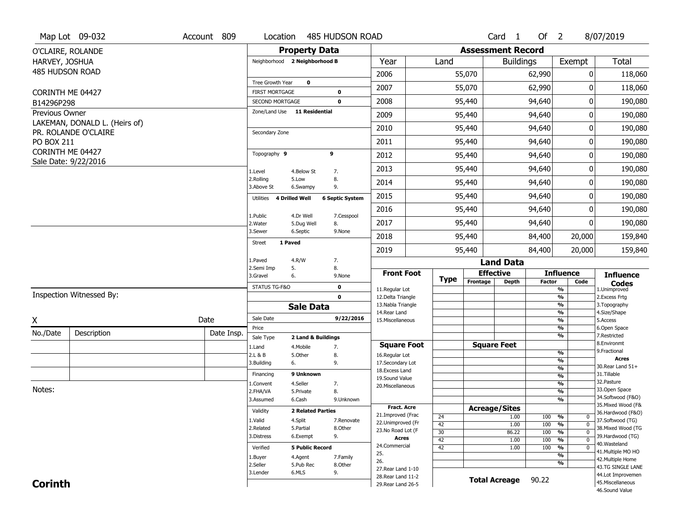|                  | Map Lot 09-032                                        | Account 809 | Location                           | <b>485 HUDSON ROAD</b>                      |                                          |                 |                          | $Card \t1$           | Of $2$        |                                                | 8/07/2019                               |
|------------------|-------------------------------------------------------|-------------|------------------------------------|---------------------------------------------|------------------------------------------|-----------------|--------------------------|----------------------|---------------|------------------------------------------------|-----------------------------------------|
|                  | O'CLAIRE, ROLANDE                                     |             |                                    | <b>Property Data</b>                        |                                          |                 | <b>Assessment Record</b> |                      |               |                                                |                                         |
| HARVEY, JOSHUA   |                                                       |             |                                    | Neighborhood 2 Neighborhood B               | Year                                     | Land            |                          | <b>Buildings</b>     |               | Exempt                                         | <b>Total</b>                            |
| 485 HUDSON ROAD  |                                                       |             |                                    |                                             | 2006                                     |                 | 55,070                   |                      | 62,990        | 0                                              | 118,060                                 |
|                  |                                                       |             | Tree Growth Year                   | $\mathbf 0$                                 |                                          |                 |                          |                      |               |                                                |                                         |
| CORINTH ME 04427 |                                                       |             | <b>FIRST MORTGAGE</b>              | 0                                           | 2007                                     |                 | 55,070                   |                      | 62,990        | 0                                              | 118,060                                 |
| B14296P298       |                                                       |             | SECOND MORTGAGE                    | 0                                           | 2008                                     |                 | 95,440                   |                      | 94,640        | 0                                              | 190,080                                 |
| Previous Owner   |                                                       |             | Zone/Land Use 11 Residential       |                                             | 2009                                     |                 | 95,440                   |                      | 94,640        | 0                                              | 190,080                                 |
|                  | LAKEMAN, DONALD L. (Heirs of)<br>PR. ROLANDE O'CLAIRE |             | Secondary Zone                     |                                             | 2010                                     |                 | 95,440                   |                      | 94,640        | 0                                              | 190,080                                 |
| PO BOX 211       |                                                       |             |                                    |                                             | 2011                                     |                 | 95,440                   |                      | 94,640        | 0                                              | 190,080                                 |
| CORINTH ME 04427 |                                                       |             | Topography 9                       | 9                                           | 2012                                     |                 | 95,440                   |                      | 94,640        | 0                                              | 190,080                                 |
|                  | Sale Date: 9/22/2016                                  |             | 1.Level                            | 4.Below St<br>7.                            | 2013                                     |                 | 95,440                   |                      | 94,640        | 0                                              | 190,080                                 |
|                  |                                                       |             | 2.Rolling<br>3.Above St            | 8.<br>5.Low<br>9.<br>6.Swampy               | 2014                                     |                 | 95,440                   |                      | 94,640        | 0                                              | 190,080                                 |
|                  |                                                       |             | <b>4 Drilled Well</b><br>Utilities | <b>6 Septic System</b>                      | 2015                                     |                 | 95,440                   |                      | 94,640        | 0                                              | 190,080                                 |
|                  |                                                       |             |                                    |                                             | 2016                                     |                 | 95,440                   |                      | 94,640        | 0                                              | 190,080                                 |
|                  |                                                       |             | 1.Public<br>2. Water               | 4.Dr Well<br>7.Cesspool<br>5.Dug Well<br>8. | 2017                                     |                 | 95,440                   |                      | 94,640        | 0                                              | 190,080                                 |
|                  |                                                       |             | 3.Sewer                            | 6.Septic<br>9.None                          | 2018                                     |                 | 95,440                   |                      | 84,400        | 20,000                                         | 159,840                                 |
|                  |                                                       |             | 1 Paved<br>Street                  |                                             | 2019                                     |                 | 95,440                   |                      | 84,400        | 20,000                                         | 159,840                                 |
|                  |                                                       |             | 1.Paved                            | 4.R/W<br>7.                                 |                                          |                 |                          | <b>Land Data</b>     |               |                                                |                                         |
|                  |                                                       |             | 2.Semi Imp                         | 5.<br>8.                                    |                                          |                 |                          |                      |               |                                                |                                         |
|                  |                                                       |             |                                    |                                             | <b>Front Foot</b>                        |                 |                          | <b>Effective</b>     |               | <b>Influence</b>                               |                                         |
|                  |                                                       |             | 3.Gravel                           | 6.<br>9.None                                |                                          | <b>Type</b>     | Frontage                 | <b>Depth</b>         | <b>Factor</b> | Code                                           | <b>Influence</b><br><b>Codes</b>        |
|                  | Inspection Witnessed By:                              |             | STATUS TG-F&O                      | $\mathbf 0$<br>$\mathbf{0}$                 | 11.Regular Lot                           |                 |                          |                      |               | %<br>$\frac{9}{6}$                             | 1.Unimproved                            |
|                  |                                                       |             |                                    | <b>Sale Data</b>                            | 12.Delta Triangle<br>13. Nabla Triangle  |                 |                          |                      |               | %                                              | 2.Excess Frtg<br>3. Topography          |
|                  |                                                       |             | Sale Date                          | 9/22/2016                                   | 14. Rear Land                            |                 |                          |                      |               | %                                              | 4.Size/Shape                            |
| Χ                |                                                       | Date        | Price                              |                                             | 15. Miscellaneous                        |                 |                          |                      |               | %<br>%                                         | 5.Access<br>6.Open Space                |
| No./Date         | Description                                           | Date Insp.  | Sale Type                          | 2 Land & Buildings                          |                                          |                 |                          |                      |               | %                                              | 7.Restricted                            |
|                  |                                                       |             | 1.Land                             | 7.<br>4. Mobile                             | <b>Square Foot</b>                       |                 |                          | <b>Square Feet</b>   |               |                                                | 8.Environmt<br>9. Fractional            |
|                  |                                                       |             | 2.L & B                            | 5.0ther<br>8.                               | 16.Regular Lot                           |                 |                          |                      |               | $\frac{9}{6}$                                  | <b>Acres</b>                            |
|                  |                                                       |             | 3.Building                         | 9.<br>6.                                    | 17.Secondary Lot                         |                 |                          |                      |               | %<br>$\frac{9}{6}$                             | 30. Rear Land 51+                       |
|                  |                                                       |             | Financing                          | 9 Unknown                                   | 18. Excess Land<br>19.Sound Value        |                 |                          |                      |               | $\frac{9}{6}$                                  | 31.Tillable                             |
|                  |                                                       |             | 1.Convent                          | 4.Seller<br>7.                              | 20.Miscellaneous                         |                 |                          |                      |               | $\frac{9}{6}$                                  | 32. Pasture                             |
| Notes:           |                                                       |             | 2.FHA/VA                           | 8.<br>5.Private                             |                                          |                 |                          |                      |               | $\frac{9}{6}$                                  | 33.Open Space                           |
|                  |                                                       |             | 3.Assumed                          | 6.Cash<br>9.Unknown                         |                                          |                 |                          |                      |               | %                                              | 34.Softwood (F&O)<br>35. Mixed Wood (F& |
|                  |                                                       |             | Validity                           | <b>2 Related Parties</b>                    | <b>Fract, Acre</b>                       |                 | <b>Acreage/Sites</b>     |                      |               |                                                |                                         |
|                  |                                                       |             | 1.Valid                            | 4.Split<br>7.Renovate                       | 21.Improved (Frac                        | 24              |                          | 1.00                 | 100           | %<br>0                                         | 36.Hardwood (F&O)<br>37.Softwood (TG)   |
|                  |                                                       |             | 2.Related                          | 5.Partial<br>8.Other                        | 22.Unimproved (Fr<br>23. No Road Lot (F  | 42              |                          | 1.00                 | 100           | $\overline{0}$<br>%                            | 38. Mixed Wood (TG                      |
|                  |                                                       |             | 3.Distress                         | 6.Exempt<br>9.                              | <b>Acres</b>                             | 30              |                          | 86.22                | 100           | $\frac{9}{6}$<br>$\overline{0}$                | 39.Hardwood (TG)                        |
|                  |                                                       |             |                                    |                                             | 24.Commercial                            | 42              |                          | 1.00                 | 100           | $\frac{9}{6}$<br>$\overline{0}$<br>$\mathbf 0$ | 40.Wasteland                            |
|                  |                                                       |             | Verified                           | <b>5 Public Record</b>                      | 25.                                      | $\overline{42}$ |                          | 1.00                 | 100           | %<br>$\frac{9}{6}$                             | 41. Multiple MO HO                      |
|                  |                                                       |             | 1.Buyer                            | 4.Agent<br>7.Family                         | 26.                                      |                 |                          |                      |               | %                                              | 42. Multiple Home                       |
|                  |                                                       |             | 2.Seller<br>3.Lender               | 5.Pub Rec<br>8.Other<br>6.MLS               | 27. Rear Land 1-10                       |                 |                          |                      |               |                                                | 43.TG SINGLE LANE                       |
| <b>Corinth</b>   |                                                       |             |                                    | 9.                                          | 28. Rear Land 11-2<br>29. Rear Land 26-5 |                 |                          | <b>Total Acreage</b> | 90.22         |                                                | 44.Lot Improvemen<br>45. Miscellaneous  |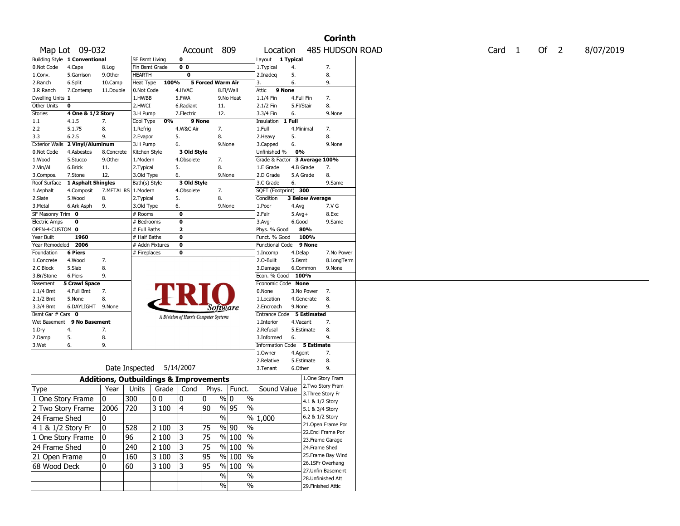|                                 |                                 |            |                                                   |                 |                                       |    |                       |                               |                          |                        | <b>Corinth</b>       |        |        |           |
|---------------------------------|---------------------------------|------------|---------------------------------------------------|-----------------|---------------------------------------|----|-----------------------|-------------------------------|--------------------------|------------------------|----------------------|--------|--------|-----------|
|                                 | Map Lot 09-032                  |            |                                                   |                 | Account 809                           |    |                       | Location                      |                          |                        | 485 HUDSON ROAD      | Card 1 | Of $2$ | 8/07/2019 |
|                                 | Building Style 1 Conventional   |            | <b>SF Bsmt Living</b>                             |                 | 0                                     |    |                       | Layout 1 Typical              |                          |                        |                      |        |        |           |
| 0.Not Code                      | 4.Cape                          | 8.Log      | Fin Bsmt Grade                                    |                 | 0 <sub>0</sub>                        |    |                       | 1.Typical                     | 4.                       |                        | 7.                   |        |        |           |
| 1.Conv.                         | 5.Garrison                      | 9.0ther    | <b>HEARTH</b>                                     |                 | 0                                     |    |                       | 2.Inadeq                      | 5.                       |                        | 8.                   |        |        |           |
| 2.Ranch                         | 6.Split                         | 10.Camp    | Heat Type                                         | 100%            |                                       |    | 5 Forced Warm Air     | 3.                            | 6.                       |                        | 9.                   |        |        |           |
| 3.R Ranch                       | 7.Contemp                       | 11.Double  | 0.Not Code                                        |                 | 4.HVAC<br>5.FWA                       |    | 8.Fl/Wall             | 9 None<br>Attic               |                          |                        |                      |        |        |           |
| Dwelling Units 1<br>Other Units | 0                               |            | 1.HWBB<br>2.HWCI                                  |                 | 6.Radiant                             |    | 9.No Heat<br>11.      | 1.1/4 Fin<br>2.1/2 Fin        | 4.Full Fin<br>5.Fl/Stair |                        | 7.<br>8.             |        |        |           |
| <b>Stories</b>                  | 4 One & 1/2 Story               |            | 3.H Pump                                          |                 | 7.Electric                            |    | 12.                   | 3.3/4 Fin                     | 6.                       |                        | 9.None               |        |        |           |
| $1.1\,$                         | 4.1.5                           | 7.         | Cool Type                                         | 0%              | 9 None                                |    |                       | Insulation                    | 1 Full                   |                        |                      |        |        |           |
| 2.2                             | 5.1.75                          | 8.         | 1.Refrig                                          |                 | 4.W&C Air                             |    | 7.                    | 1.Full                        | 4.Minimal                |                        | 7.                   |        |        |           |
| 3.3                             | 6.2.5                           | 9.         | 2.Evapor                                          |                 | 5.                                    |    | 8.                    | 2.Heavy                       | 5.                       |                        | 8.                   |        |        |           |
|                                 | Exterior Walls 2 Vinyl/Aluminum |            | 3.H Pump                                          |                 | 6.                                    |    | 9.None                | 3.Capped                      | 6.                       |                        | 9.None               |        |        |           |
| 0.Not Code                      | 4.Asbestos                      | 8.Concrete | Kitchen Style                                     |                 | 3 Old Style                           |    |                       | Unfinished %                  | 0%                       |                        |                      |        |        |           |
| 1.Wood                          | 5.Stucco                        | 9.Other    | 1.Modern                                          |                 | 4.Obsolete                            |    | 7.                    | Grade & Factor 3 Average 100% |                          |                        |                      |        |        |           |
| 2.Vin/Al                        | 6.Brick                         | 11.        | 2.Typical                                         |                 | 5.                                    |    | 8.                    | 1.E Grade                     |                          | 4.B Grade              | 7.                   |        |        |           |
| 3.Compos.                       | 7.Stone                         | 12.        | 3.Old Type                                        |                 | 6.                                    |    | 9.None                | 2.D Grade                     |                          | 5.A Grade              | 8.                   |        |        |           |
| Roof Surface                    | 1 Asphalt Shingles              |            | Bath(s) Style                                     |                 | 3 Old Style                           |    |                       | 3.C Grade                     | 6.                       |                        | 9.Same               |        |        |           |
| 1.Asphalt                       | 4.Composit                      | 7.METAL RS | 1.Modern                                          |                 | 4.Obsolete                            |    | 7.                    | SQFT (Footprint) 300          |                          |                        |                      |        |        |           |
| 2.Slate                         | 5.Wood                          | 8.         | 2. Typical                                        |                 | 5.                                    |    | 8.                    | Condition                     |                          | <b>3 Below Average</b> |                      |        |        |           |
| 3.Metal                         | 6.Ark Asph                      | 9.         | 3.Old Type                                        |                 | 6.                                    |    | 9.None                | 1.Poor                        | 4.Avg                    |                        | 7.V G                |        |        |           |
| SF Masonry Trim 0               |                                 |            | # Rooms                                           |                 | 0                                     |    |                       | 2.Fair                        | $5.Avg+$                 |                        | 8.Exc                |        |        |           |
| <b>Electric Amps</b>            | 0                               |            | # Bedrooms                                        |                 | 0                                     |    |                       | $3.$ Avg-                     | 6.Good                   |                        | 9.Same               |        |        |           |
| OPEN-4-CUSTOM 0                 |                                 |            | # Full Baths                                      |                 | $\mathbf{z}$                          |    |                       | Phys. % Good                  |                          | 80%                    |                      |        |        |           |
| Year Built                      | 1960                            |            | # Half Baths                                      |                 | 0                                     |    |                       | Funct. % Good                 |                          | 100%                   |                      |        |        |           |
| Year Remodeled                  | 2006                            |            |                                                   | # Addn Fixtures | 0                                     |    |                       | Functional Code               |                          | 9 None                 |                      |        |        |           |
| Foundation                      | <b>6 Piers</b><br>4.Wood        | 7.         | # Fireplaces                                      |                 | 0                                     |    |                       | 1.Incomp<br>2.O-Built         | 4.Delap<br>5.Bsmt        |                        | 7.No Power           |        |        |           |
| 1.Concrete<br>2.C Block         | 5.Slab                          | 8.         |                                                   |                 |                                       |    |                       | 3.Damage                      |                          | 6.Common               | 8.LongTerm<br>9.None |        |        |           |
| 3.Br/Stone                      | 6.Piers                         | 9.         |                                                   |                 |                                       |    |                       | Econ. % Good                  | 100%                     |                        |                      |        |        |           |
| Basement                        | <b>5 Crawl Space</b>            |            |                                                   |                 |                                       |    |                       | Economic Code None            |                          |                        |                      |        |        |           |
| $1.1/4$ Bmt                     | 4.Full Bmt                      | 7.         |                                                   |                 |                                       |    |                       | 0.None                        |                          | 3.No Power             | 7.                   |        |        |           |
| 2.1/2 Bmt                       | 5.None                          | 8.         |                                                   |                 |                                       |    |                       | 1.Location                    |                          | 4.Generate             | 8.                   |        |        |           |
| 3.3/4 Bmt                       | 6.DAYLIGHT 9.None               |            |                                                   |                 |                                       |    | Software              | 2.Encroach                    | 9.None                   |                        | 9.                   |        |        |           |
| Bsmt Gar # Cars 0               |                                 |            |                                                   |                 | A Division of Harris Computer Systems |    |                       | Entrance Code 5 Estimated     |                          |                        |                      |        |        |           |
| Wet Basement                    | 9 No Basement                   |            |                                                   |                 |                                       |    |                       | 1.Interior                    | 4.Vacant                 |                        | 7.                   |        |        |           |
| 1.Dry                           | 4.                              | 7.         |                                                   |                 |                                       |    |                       | 2.Refusal                     |                          | 5.Estimate             | 8.                   |        |        |           |
| 2.Damp                          | 5.                              | 8.         |                                                   |                 |                                       |    |                       | 3.Informed                    | 6.                       |                        | 9.                   |        |        |           |
| 3.Wet                           | 6.                              | 9.         |                                                   |                 |                                       |    |                       | <b>Information Code</b>       |                          | 5 Estimate             |                      |        |        |           |
|                                 |                                 |            |                                                   |                 |                                       |    |                       | 1.Owner                       | 4.Agent                  |                        | 7.                   |        |        |           |
|                                 |                                 |            |                                                   |                 |                                       |    |                       | 2.Relative                    |                          | 5.Estimate             | 8.                   |        |        |           |
|                                 |                                 |            | Date Inspected                                    |                 | 5/14/2007                             |    |                       | 3.Tenant                      | 6.Other                  |                        | 9.                   |        |        |           |
|                                 |                                 |            | <b>Additions, Outbuildings &amp; Improvements</b> |                 |                                       |    |                       |                               |                          |                        | 1.One Story Fram     |        |        |           |
| Type                            |                                 | Year       | Units                                             | Grade           | Cond                                  |    | Phys.   Funct.        | Sound Value                   |                          |                        | 2. Two Story Fram    |        |        |           |
| 1 One Story Frame               |                                 | 10         | 300                                               | 100             | 0                                     | 0  | % 0<br>%              |                               |                          | 3. Three Story Fr      |                      |        |        |           |
| 2 Two Story Frame               |                                 |            | 720                                               | 3 100           | 4                                     | 90 | %  95<br>$\%$         |                               |                          | 4.1 & 1/2 Story        |                      |        |        |           |
|                                 |                                 | 2006       |                                                   |                 |                                       |    |                       |                               |                          | 5.1 & 3/4 Story        |                      |        |        |           |
| 24 Frame Shed                   |                                 | 0          |                                                   |                 |                                       |    | $\sqrt{96}$           | % 1,000                       |                          | 6.2 & 1/2 Story        | 21.Open Frame Por    |        |        |           |
| 4 1 & 1/2 Story Fr              |                                 | 10         | 528                                               | 2 100           | 3                                     | 75 | %∣90<br>$\frac{0}{0}$ |                               |                          |                        | 22.Encl Frame Por    |        |        |           |
| 1 One Story Frame               |                                 | 10         | 96                                                | 2 100           | 3                                     | 75 | $\sqrt[6]{96}$ 100 %  |                               |                          |                        | 23. Frame Garage     |        |        |           |
| 24 Frame Shed                   |                                 | 10         | 240                                               | 2 100           | 3                                     | 75 | % 100 %               |                               |                          | 24.Frame Shed          |                      |        |        |           |
|                                 |                                 |            |                                                   |                 |                                       |    | % 100 %               |                               |                          |                        | 25. Frame Bay Wind   |        |        |           |
| 21 Open Frame                   |                                 | 10         | 160                                               | 3 100           | 3                                     | 95 |                       |                               |                          |                        | 26.1SFr Overhang     |        |        |           |
| 68 Wood Deck                    |                                 | 10         | 60                                                | 3 100           | 3                                     | 95 | $\sqrt{96}$ 100 %     |                               |                          |                        | 27.Unfin Basement    |        |        |           |
|                                 |                                 |            |                                                   |                 |                                       |    | $\%$<br>$\%$          |                               |                          |                        | 28. Unfinished Att   |        |        |           |
|                                 |                                 |            |                                                   |                 |                                       |    | $\%$                  | $\%$                          |                          | 29. Finished Attic     |                      |        |        |           |
|                                 |                                 |            |                                                   |                 |                                       |    |                       |                               |                          |                        |                      |        |        |           |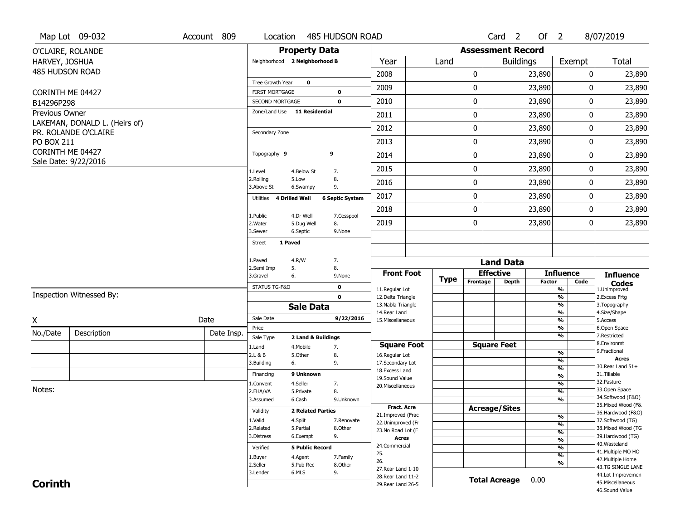|                  | Map Lot 09-032                                        | Account 809 | Location                      | 485 HUDSON ROAD                        |                                          |             |          | Card <sub>2</sub>                | Of $2$        |                                | 8/07/2019                              |
|------------------|-------------------------------------------------------|-------------|-------------------------------|----------------------------------------|------------------------------------------|-------------|----------|----------------------------------|---------------|--------------------------------|----------------------------------------|
|                  | O'CLAIRE, ROLANDE                                     |             |                               | <b>Property Data</b>                   |                                          |             |          | <b>Assessment Record</b>         |               |                                |                                        |
| HARVEY, JOSHUA   |                                                       |             | Neighborhood 2 Neighborhood B |                                        | Year                                     | Land        |          | <b>Buildings</b>                 |               | Exempt                         | Total                                  |
| 485 HUDSON ROAD  |                                                       |             |                               |                                        | 2008                                     |             | 0        |                                  | 23,890        | 0                              | 23,890                                 |
|                  |                                                       |             | Tree Growth Year              | $\mathbf 0$                            |                                          |             |          |                                  |               |                                |                                        |
| CORINTH ME 04427 |                                                       |             | <b>FIRST MORTGAGE</b>         | $\mathbf 0$                            | 2009                                     |             | 0        |                                  | 23,890        | 0                              | 23,890                                 |
| B14296P298       |                                                       |             | SECOND MORTGAGE               | $\mathbf 0$                            | 2010                                     |             | 0        |                                  | 23,890        | 0                              | 23,890                                 |
| Previous Owner   |                                                       |             | Zone/Land Use 11 Residential  |                                        | 2011                                     |             | 0        |                                  | 23,890        | 0                              | 23,890                                 |
|                  | LAKEMAN, DONALD L. (Heirs of)<br>PR. ROLANDE O'CLAIRE |             | Secondary Zone                |                                        | 2012                                     |             | 0        |                                  | 23,890        | 0                              | 23,890                                 |
| PO BOX 211       |                                                       |             |                               |                                        | 2013                                     |             | 0        |                                  | 23,890        | 0                              | 23,890                                 |
| CORINTH ME 04427 |                                                       |             | Topography 9                  | 9                                      | 2014                                     |             | 0        |                                  | 23,890        | 0                              | 23,890                                 |
|                  | Sale Date: 9/22/2016                                  |             | 1.Level                       | 4.Below St<br>7.                       | 2015                                     |             | 0        |                                  | 23,890        | 0                              | 23,890                                 |
|                  |                                                       |             | 2.Rolling                     | 8.<br>5.Low                            | 2016                                     |             | 0        |                                  | 23,890        | 0                              | 23,890                                 |
|                  |                                                       |             | 3.Above St                    | 9.<br>6.Swampy                         | 2017                                     |             | 0        |                                  | 23,890        | 0                              | 23,890                                 |
|                  |                                                       |             | 4 Drilled Well<br>Utilities   | <b>6 Septic System</b>                 | 2018                                     |             | 0        |                                  | 23,890        | 0                              | 23,890                                 |
|                  |                                                       |             | 1.Public                      | 4.Dr Well<br>7.Cesspool                |                                          |             | 0        |                                  | 23,890        | 0                              |                                        |
|                  |                                                       |             | 2. Water<br>3.Sewer           | 5.Dug Well<br>8.<br>6.Septic<br>9.None | 2019                                     |             |          |                                  |               |                                | 23,890                                 |
|                  |                                                       |             | 1 Paved<br><b>Street</b>      |                                        |                                          |             |          |                                  |               |                                |                                        |
|                  |                                                       |             | 1.Paved                       | 4.R/W<br>7.                            |                                          |             |          |                                  |               |                                |                                        |
|                  |                                                       |             | 2.Semi Imp<br>5.              | 8.                                     |                                          |             |          | <b>Land Data</b>                 |               |                                |                                        |
|                  |                                                       |             | 3.Gravel<br>6.                | 9.None                                 | <b>Front Foot</b>                        | <b>Type</b> | Frontage | <b>Effective</b><br><b>Depth</b> | <b>Factor</b> | <b>Influence</b><br>Code       | <b>Influence</b>                       |
|                  |                                                       |             | STATUS TG-F&O                 | $\mathbf 0$                            | 11.Regular Lot                           |             |          |                                  |               | %                              | <b>Codes</b><br>1.Unimproved           |
|                  | Inspection Witnessed By:                              |             |                               | $\mathbf{0}$                           | 12.Delta Triangle                        |             |          |                                  |               | $\frac{9}{6}$<br>%             | 2.Excess Frtg<br>3. Topography         |
|                  |                                                       |             |                               |                                        |                                          |             |          |                                  |               |                                |                                        |
| X                |                                                       |             |                               | <b>Sale Data</b>                       | 13. Nabla Triangle<br>14. Rear Land      |             |          |                                  |               | %                              | 4.Size/Shape                           |
|                  |                                                       | Date        | Sale Date                     | 9/22/2016                              | 15. Miscellaneous                        |             |          |                                  |               | %                              | 5.Access                               |
| No./Date         | Description                                           | Date Insp.  | Price                         |                                        |                                          |             |          |                                  |               | %                              | 6.Open Space                           |
|                  |                                                       |             | Sale Type                     | 2 Land & Buildings                     | <b>Square Foot</b>                       |             |          |                                  |               | %                              | 7.Restricted<br>8.Environmt            |
|                  |                                                       |             | 1.Land<br>2.L & B             | 7.<br>4. Mobile<br>5.0ther<br>8.       | 16.Regular Lot                           |             |          | <b>Square Feet</b>               |               | $\frac{9}{6}$                  | 9. Fractional                          |
|                  |                                                       |             | 3.Building<br>6.              | 9.                                     | 17.Secondary Lot                         |             |          |                                  |               | $\frac{9}{6}$                  | <b>Acres</b>                           |
|                  |                                                       |             | Financing                     | 9 Unknown                              | 18. Excess Land                          |             |          |                                  |               | $\frac{9}{6}$                  | 30. Rear Land 51+<br>31.Tillable       |
|                  |                                                       |             | 1.Convent                     | 4.Seller<br>7.                         | 19.Sound Value                           |             |          |                                  |               | $\frac{9}{6}$<br>$\frac{9}{6}$ | 32. Pasture                            |
| Notes:           |                                                       |             | 2.FHA/VA                      | 8.<br>5.Private                        | 20.Miscellaneous                         |             |          |                                  |               | $\frac{9}{6}$                  | 33.Open Space                          |
|                  |                                                       |             | 3.Assumed                     | 6.Cash<br>9.Unknown                    |                                          |             |          |                                  |               | %                              | 34.Softwood (F&O)                      |
|                  |                                                       |             | Validity                      | <b>2 Related Parties</b>               | <b>Fract, Acre</b>                       |             |          | <b>Acreage/Sites</b>             |               |                                | 35. Mixed Wood (F&                     |
|                  |                                                       |             | 1.Valid                       | 7.Renovate                             | 21.Improved (Frac                        |             |          |                                  |               | %                              | 36.Hardwood (F&O)                      |
|                  |                                                       |             | 2.Related                     | 4.Split<br>5.Partial<br>8.Other        | 22.Unimproved (Fr                        |             |          |                                  |               | $\frac{9}{6}$                  | 37.Softwood (TG)<br>38. Mixed Wood (TG |
|                  |                                                       |             | 3.Distress                    | 6.Exempt<br>9.                         | 23. No Road Lot (F<br><b>Acres</b>       |             |          |                                  |               | %                              | 39.Hardwood (TG)                       |
|                  |                                                       |             |                               |                                        | 24.Commercial                            |             |          |                                  |               | $\frac{9}{6}$                  | 40. Wasteland                          |
|                  |                                                       |             | Verified                      | <b>5 Public Record</b>                 | 25.                                      |             |          |                                  |               | %<br>%                         | 41. Multiple MO HO                     |
|                  |                                                       |             | 1.Buyer                       | 4.Agent<br>7.Family                    | 26.                                      |             |          |                                  |               | %                              | 42. Multiple Home                      |
|                  |                                                       |             | 2.Seller                      | 5.Pub Rec<br>8.Other                   | 27. Rear Land 1-10                       |             |          |                                  |               |                                | 43.TG SINGLE LANE                      |
| <b>Corinth</b>   |                                                       |             | 3.Lender                      | 6.MLS<br>9.                            | 28. Rear Land 11-2<br>29. Rear Land 26-5 |             |          | <b>Total Acreage</b>             | 0.00          |                                | 44.Lot Improvemen<br>45. Miscellaneous |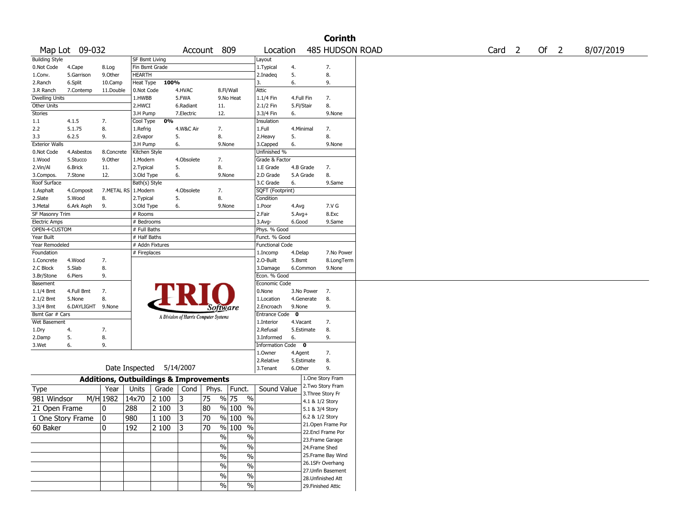|                       |                |                                                   |                          |                 |                                       |             |                                        |                        |             |                                       | <b>Corinth</b>     |                   |        |           |
|-----------------------|----------------|---------------------------------------------------|--------------------------|-----------------|---------------------------------------|-------------|----------------------------------------|------------------------|-------------|---------------------------------------|--------------------|-------------------|--------|-----------|
|                       | Map Lot 09-032 |                                                   |                          |                 |                                       | Account 809 |                                        | Location               |             |                                       | 485 HUDSON ROAD    | Card <sub>2</sub> | Of $2$ | 8/07/2019 |
| <b>Building Style</b> |                |                                                   | SF Bsmt Living           |                 |                                       |             |                                        | Layout                 |             |                                       |                    |                   |        |           |
| 0.Not Code            | 4.Cape         | 8.Log                                             | Fin Bsmt Grade           |                 |                                       |             |                                        | 1. Typical             | 4.          |                                       | 7.                 |                   |        |           |
| 1.Conv.               | 5.Garrison     | 9.Other                                           | <b>HEARTH</b>            |                 |                                       |             |                                        | 2.Inadeg               | 5.          |                                       | 8.                 |                   |        |           |
| 2.Ranch               | 6.Split        | 10.Camp                                           | Heat Type                | 100%            |                                       |             |                                        | 3.                     | 6.          |                                       | 9.                 |                   |        |           |
| 3.R Ranch             | 7.Contemp      | 11.Double                                         | 0.Not Code               |                 | 4.HVAC                                |             | 8.Fl/Wall                              | Attic                  |             |                                       |                    |                   |        |           |
| <b>Dwelling Units</b> |                |                                                   | 1.HWBB                   |                 | 5.FWA                                 |             | 9.No Heat                              | 1.1/4 Fin              | 4.Full Fin  |                                       | 7.                 |                   |        |           |
| Other Units           |                |                                                   | 2.HWCI                   |                 | 6.Radiant                             |             | 11.                                    | 2.1/2 Fin              | 5.Fl/Stair  |                                       | 8.                 |                   |        |           |
| Stories               |                |                                                   | 3.H Pump                 |                 | 7.Electric                            |             | 12.                                    | 3.3/4 Fin              | 6.          |                                       | 9.None             |                   |        |           |
| 1.1                   | 4.1.5          | 7.                                                | Cool Type                | 0%              |                                       |             |                                        | Insulation             |             |                                       |                    |                   |        |           |
| 2.2                   | 5.1.75         | 8.                                                | 1.Refrig                 |                 | 4.W&C Air                             | 7.          |                                        | 1.Full                 | 4.Minimal   |                                       | 7.                 |                   |        |           |
| 3.3                   | 6.2.5          | 9.                                                | 2.Evapor                 |                 | 5.                                    | 8.          |                                        | 2.Heavy                | 5.          |                                       | 8.                 |                   |        |           |
| <b>Exterior Walls</b> |                |                                                   | 3.H Pump                 |                 | 6.                                    |             | 9.None                                 | 3.Capped               | 6.          |                                       | 9.None             |                   |        |           |
| 0.Not Code            | 4.Asbestos     | 8.Concrete                                        | Kitchen Style            |                 |                                       |             |                                        | Unfinished %           |             |                                       |                    |                   |        |           |
| 1.Wood                | 5.Stucco       | 9.Other                                           | 1.Modern                 |                 | 4.Obsolete                            | 7.          |                                        | Grade & Factor         |             |                                       |                    |                   |        |           |
| 2.Vin/Al              | 6.Brick        | 11.                                               | 2. Typical               |                 | 5.                                    | 8.          |                                        | 1.E Grade              | 4.B Grade   |                                       | 7.                 |                   |        |           |
| 3.Compos.             | 7.Stone        | 12.                                               | 3.Old Type               |                 | 6.                                    |             | 9.None                                 | 2.D Grade              | 5.A Grade   |                                       | 8.                 |                   |        |           |
| Roof Surface          |                |                                                   | Bath(s) Style            |                 |                                       |             |                                        | 3.C Grade              | 6.          |                                       | 9.Same             |                   |        |           |
| 1.Asphalt             | 4.Composit     | 7.METAL RS                                        | 1.Modern                 |                 | 4.Obsolete                            | 7.          |                                        | SQFT (Footprint)       |             |                                       |                    |                   |        |           |
| 2.Slate               | 5.Wood         | 8.                                                | 2. Typical               |                 | 5.                                    | 8.          |                                        | Condition              |             |                                       |                    |                   |        |           |
| 3.Metal               | 6.Ark Asph     | 9.                                                | 3.Old Type               |                 | 6.                                    |             | 9.None                                 | 1.Poor                 | 4.Avg       |                                       | 7.V G              |                   |        |           |
| SF Masonry Trim       |                |                                                   | # Rooms                  |                 |                                       |             |                                        | 2.Fair                 | $5.Avg+$    |                                       | 8.Exc              |                   |        |           |
| <b>Electric Amps</b>  |                |                                                   | # Bedrooms               |                 |                                       |             |                                        | $3.$ Avg-              | 6.Good      |                                       | 9.Same             |                   |        |           |
| OPEN-4-CUSTOM         |                |                                                   | # Full Baths             |                 |                                       |             |                                        | Phys. % Good           |             |                                       |                    |                   |        |           |
| Year Built            |                |                                                   | # Half Baths             |                 |                                       |             |                                        | Funct. % Good          |             |                                       |                    |                   |        |           |
| Year Remodeled        |                |                                                   |                          | # Addn Fixtures |                                       |             |                                        | <b>Functional Code</b> |             |                                       |                    |                   |        |           |
| Foundation            |                |                                                   | # Fireplaces             |                 |                                       |             |                                        | 1.Incomp               | 4.Delap     |                                       | 7.No Power         |                   |        |           |
| 1.Concrete            | 4.Wood         | 7.                                                |                          |                 |                                       |             |                                        | 2.0-Built              | 5.Bsmt      |                                       | 8.LongTerm         |                   |        |           |
| 2.C Block             | 5.Slab         | 8.                                                |                          |                 |                                       |             |                                        | 3.Damage               | 6.Common    |                                       | 9.None             |                   |        |           |
| 3.Br/Stone            | 6.Piers        | 9.                                                |                          |                 |                                       |             |                                        | Econ. % Good           |             |                                       |                    |                   |        |           |
| Basement              |                |                                                   |                          |                 |                                       |             |                                        | Economic Code          |             |                                       |                    |                   |        |           |
| 1.1/4 Bmt             | 4.Full Bmt     | 7.                                                |                          |                 |                                       |             |                                        | 0.None                 |             | 3.No Power 7.                         |                    |                   |        |           |
| 2.1/2 Bmt             | 5.None         | 8.                                                |                          |                 |                                       |             |                                        | 1.Location             | 4.Generate  |                                       | 8.                 |                   |        |           |
| 3.3/4 Bmt             | 6.DAYLIGHT     | 9.None                                            |                          |                 |                                       |             | Software                               | 2.Encroach             | 9.None      |                                       | 9.                 |                   |        |           |
| Bsmt Gar # Cars       |                |                                                   |                          |                 |                                       |             |                                        | Entrance Code          | $\mathbf 0$ |                                       |                    |                   |        |           |
| Wet Basement          |                |                                                   |                          |                 | A Division of Harris Computer Systems |             |                                        | 1.Interior             | 4.Vacant    |                                       | 7.                 |                   |        |           |
| 1.Dry                 | 4.             | 7.                                                |                          |                 |                                       |             |                                        | 2.Refusal              | 5.Estimate  |                                       | 8.                 |                   |        |           |
| 2.Damp                | 5.             | 8.                                                |                          |                 |                                       |             |                                        | 3.Informed             | 6.          |                                       | 9.                 |                   |        |           |
| 3.Wet                 | 6.             | 9.                                                |                          |                 |                                       |             |                                        | Information Code 0     |             |                                       |                    |                   |        |           |
|                       |                |                                                   |                          |                 |                                       |             |                                        | 1.0wner                | 4.Agent     |                                       | 7.                 |                   |        |           |
|                       |                |                                                   |                          |                 |                                       |             |                                        | 2.Relative             | 5.Estimate  |                                       | 8.                 |                   |        |           |
|                       |                |                                                   | Date Inspected 5/14/2007 |                 |                                       |             |                                        | 3. Tenant              | 6.Other     |                                       | 9.                 |                   |        |           |
|                       |                |                                                   |                          |                 |                                       |             |                                        |                        |             |                                       |                    |                   |        |           |
|                       |                | <b>Additions, Outbuildings &amp; Improvements</b> |                          |                 |                                       |             |                                        |                        |             | 1.One Story Fram<br>2. Two Story Fram |                    |                   |        |           |
| Type                  |                | Year                                              | Units                    | Grade           | Cond                                  | Phys.       | Funct.                                 | Sound Value            |             | 3. Three Story Fr                     |                    |                   |        |           |
| 981 Windsor           |                | M/H 1982                                          | 14x70                    | 2 100           | 3                                     | 75          | % 75<br>$\%$                           |                        |             | 4.1 & 1/2 Story                       |                    |                   |        |           |
| 21 Open Frame         |                | 0                                                 | 288                      | 2 100           | 3                                     | 80          | $%100$ %                               |                        |             | 5.1 & 3/4 Story                       |                    |                   |        |           |
| 1 One Story Frame     |                | 0                                                 | 980                      | $\vert$ 1 100   | 3                                     | 70          | % 100 %                                |                        |             | 6.2 & 1/2 Story                       |                    |                   |        |           |
|                       |                |                                                   |                          |                 |                                       | 70          | % 100 %                                |                        |             |                                       | 21. Open Frame Por |                   |        |           |
| 60 Baker              |                | 0                                                 | 192                      | 2 100           | 3                                     |             |                                        |                        |             | 22.Encl Frame Por                     |                    |                   |        |           |
|                       |                |                                                   |                          |                 |                                       |             | $\sqrt{6}$<br>$\%$                     |                        |             | 23. Frame Garage                      |                    |                   |        |           |
|                       |                |                                                   |                          |                 |                                       |             | $\overline{\frac{0}{6}}$<br>$\sqrt{6}$ |                        |             | 24.Frame Shed                         |                    |                   |        |           |
|                       |                |                                                   |                          |                 |                                       |             | $\overline{\frac{0}{6}}$<br>$\sqrt{6}$ |                        |             |                                       | 25. Frame Bay Wind |                   |        |           |
|                       |                |                                                   |                          |                 |                                       |             |                                        |                        |             | 26.1SFr Overhang                      |                    |                   |        |           |
|                       |                |                                                   |                          |                 |                                       |             | $\overline{\frac{0}{6}}$<br>$\sqrt{6}$ |                        |             | 27.Unfin Basement                     |                    |                   |        |           |
|                       |                |                                                   |                          |                 |                                       |             | $\frac{0}{0}$<br>$\%$                  |                        |             | 28. Unfinished Att                    |                    |                   |        |           |
|                       |                |                                                   |                          |                 |                                       |             | $\sqrt{6}$<br>$\%$                     |                        |             | 29. Finished Attic                    |                    |                   |        |           |
|                       |                |                                                   |                          |                 |                                       |             |                                        |                        |             |                                       |                    |                   |        |           |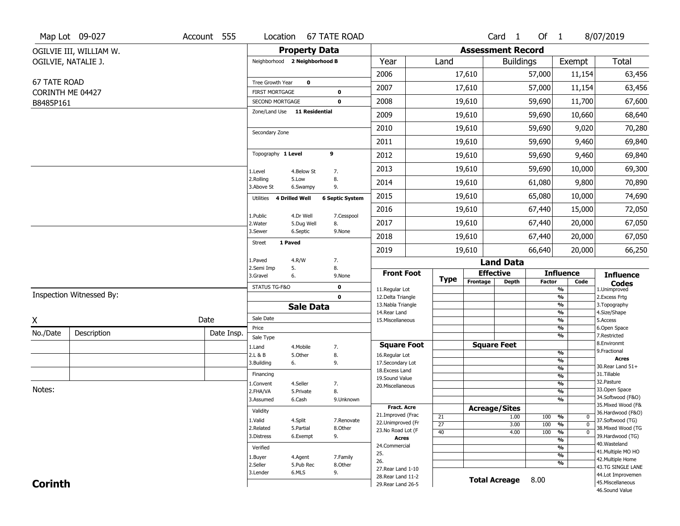|                     | Map Lot 09-027           | Account 555 | Location                                        |                       | <b>67 TATE ROAD</b>    |                                          |                       |                          | Card <sub>1</sub>    | Of $1$     |                                                  | 8/07/2019                               |
|---------------------|--------------------------|-------------|-------------------------------------------------|-----------------------|------------------------|------------------------------------------|-----------------------|--------------------------|----------------------|------------|--------------------------------------------------|-----------------------------------------|
|                     | OGILVIE III, WILLIAM W.  |             |                                                 | <b>Property Data</b>  |                        |                                          |                       | <b>Assessment Record</b> |                      |            |                                                  |                                         |
|                     | OGILVIE, NATALIE J.      |             | Neighborhood 2 Neighborhood B                   |                       |                        | Year                                     | Land                  |                          | <b>Buildings</b>     |            | Exempt                                           | Total                                   |
|                     |                          |             |                                                 |                       |                        | 2006                                     |                       | 17,610                   |                      | 57,000     | 11,154                                           | 63,456                                  |
| <b>67 TATE ROAD</b> |                          |             | Tree Growth Year                                | $\mathbf 0$           |                        | 2007                                     |                       | 17,610                   |                      | 57,000     | 11,154                                           | 63,456                                  |
|                     | CORINTH ME 04427         |             | <b>FIRST MORTGAGE</b>                           |                       | $\mathbf 0$            |                                          |                       |                          |                      |            |                                                  |                                         |
| B8485P161           |                          |             | SECOND MORTGAGE<br>Zone/Land Use 11 Residential |                       | $\mathbf 0$            | 2008                                     |                       | 19,610                   |                      | 59,690     | 11,700                                           | 67,600                                  |
|                     |                          |             |                                                 |                       |                        | 2009                                     |                       | 19,610                   |                      | 59,690     | 10,660                                           | 68,640                                  |
|                     |                          |             | Secondary Zone                                  |                       |                        | 2010                                     |                       | 19,610                   |                      | 59,690     | 9,020                                            | 70,280                                  |
|                     |                          |             |                                                 |                       |                        | 2011                                     |                       | 19,610                   |                      | 59,690     | 9,460                                            | 69,840                                  |
|                     |                          |             | Topography 1 Level                              |                       | 9                      | 2012                                     |                       | 19,610                   |                      | 59,690     | 9,460                                            | 69,840                                  |
|                     |                          |             | 1.Level                                         | 4.Below St            | 7.                     | 2013                                     |                       | 19,610                   |                      | 59,690     | 10,000                                           | 69,300                                  |
|                     |                          |             | 2.Rolling<br>3.Above St                         | 5.Low<br>6.Swampy     | 8.<br>9.               | 2014                                     |                       | 19,610                   |                      | 61,080     | 9,800                                            | 70,890                                  |
|                     |                          |             | Utilities                                       | <b>4 Drilled Well</b> | <b>6 Septic System</b> | 2015                                     |                       | 19,610                   |                      | 65,080     | 10,000                                           | 74,690                                  |
|                     |                          |             | 1.Public                                        | 4.Dr Well             | 7.Cesspool             | 2016                                     |                       | 19,610                   |                      | 67,440     | 15,000                                           | 72,050                                  |
|                     |                          |             | 2. Water                                        | 5.Dug Well            | 8.                     | 2017                                     |                       | 19,610                   |                      | 67,440     | 20,000                                           | 67,050                                  |
|                     |                          |             | 3.Sewer                                         | 6.Septic              | 9.None                 | 2018                                     |                       | 19,610                   |                      | 67,440     | 20,000                                           | 67,050                                  |
|                     |                          |             | <b>Street</b>                                   | 1 Paved               |                        | 2019                                     |                       | 19,610                   |                      | 66,640     | 20,000                                           | 66,250                                  |
|                     |                          |             | 1.Paved                                         | 4.R/W                 | 7.                     |                                          |                       |                          | <b>Land Data</b>     |            |                                                  |                                         |
|                     |                          |             | 2.Semi Imp<br>3.Gravel                          | 5.<br>6.              | 8.<br>9.None           | <b>Front Foot</b>                        | <b>Type</b>           |                          | <b>Effective</b>     |            | <b>Influence</b>                                 | <b>Influence</b>                        |
|                     |                          |             | STATUS TG-F&O                                   |                       | $\mathbf 0$            | 11.Regular Lot                           |                       | Frontage                 | <b>Depth</b>         | Factor     | Code<br>$\overline{\frac{9}{6}}$                 | <b>Codes</b><br>1.Unimproved            |
|                     | Inspection Witnessed By: |             |                                                 |                       | $\mathbf 0$            | 12.Delta Triangle                        |                       |                          |                      |            | $\frac{9}{6}$                                    | 2.Excess Frtg                           |
|                     |                          |             |                                                 | <b>Sale Data</b>      |                        | 13. Nabla Triangle<br>14. Rear Land      |                       |                          |                      |            | $\frac{9}{6}$<br>$\frac{9}{6}$                   | 3. Topography<br>4.Size/Shape           |
| X                   |                          | Date        | Sale Date                                       |                       |                        | 15. Miscellaneous                        |                       |                          |                      |            | $\frac{9}{6}$                                    | 5.Access                                |
| No./Date            | Description              | Date Insp.  | Price                                           |                       |                        |                                          |                       |                          |                      |            | %<br>%                                           | 6.Open Space<br>7.Restricted            |
|                     |                          |             | Sale Type<br>1.Land                             | 4. Mobile             | 7.                     | <b>Square Foot</b>                       |                       |                          | <b>Square Feet</b>   |            |                                                  | 8.Environmt                             |
|                     |                          |             | 2.L & B                                         | 5.Other               | 8.                     | 16.Regular Lot                           |                       |                          |                      |            | %                                                | 9. Fractional<br><b>Acres</b>           |
|                     |                          |             | 3.Building                                      | 6.                    | 9.                     | 17.Secondary Lot                         |                       |                          |                      |            | %<br>%                                           | 30.Rear Land 51+                        |
|                     |                          |             | Financing                                       |                       |                        | 18.Excess Land<br>19.Sound Value         |                       |                          |                      |            | $\frac{9}{6}$                                    | 31.Tillable                             |
|                     |                          |             | 1.Convent                                       | 4.Seller              | 7.                     | 20.Miscellaneous                         |                       |                          |                      |            | %                                                | 32. Pasture                             |
| Notes:              |                          |             | 2.FHA/VA                                        | 5.Private             | 8.                     |                                          |                       |                          |                      |            | %                                                | 33.Open Space<br>34.Softwood (F&O)      |
|                     |                          |             | 3.Assumed                                       | 6.Cash                | 9.Unknown              | <b>Fract. Acre</b>                       |                       |                          |                      |            | %                                                | 35. Mixed Wood (F&                      |
|                     |                          |             | Validity                                        |                       |                        | 21.Improved (Frac                        |                       |                          | <b>Acreage/Sites</b> |            |                                                  | 36.Hardwood (F&O)                       |
|                     |                          |             | 1.Valid                                         | 4.Split               | 7.Renovate             | 22.Unimproved (Fr                        | 21<br>$\overline{27}$ |                          | 1.00                 | 100<br>100 | %<br>0<br>$\overline{\mathfrak{o}}$              | 37.Softwood (TG)                        |
|                     |                          |             | 2.Related                                       | 5.Partial             | 8.Other                | 23.No Road Lot (F                        | 40                    |                          | 3.00<br>4.00         | 100        | $\frac{9}{6}$<br>$\frac{9}{6}$<br>$\overline{0}$ | 38. Mixed Wood (TG                      |
|                     |                          |             | 3.Distress                                      | 6.Exempt              | 9.                     | <b>Acres</b>                             |                       |                          |                      |            | $\frac{9}{6}$                                    | 39.Hardwood (TG)                        |
|                     |                          |             | Verified                                        |                       |                        | 24.Commercial                            |                       |                          |                      |            | $\overline{\frac{9}{6}}$                         | 40. Wasteland                           |
|                     |                          |             | 1.Buyer                                         | 4.Agent               | 7.Family               | 25.                                      |                       |                          |                      |            | $\overline{\frac{9}{6}}$                         | 41. Multiple MO HO<br>42. Multiple Home |
|                     |                          |             | 2.Seller                                        | 5.Pub Rec             | 8.Other                | 26.                                      |                       |                          |                      |            | %                                                | 43.TG SINGLE LANE                       |
|                     |                          |             | 3.Lender                                        | 6.MLS                 | 9.                     | 27. Rear Land 1-10                       |                       |                          |                      |            |                                                  |                                         |
|                     |                          |             |                                                 |                       |                        |                                          |                       |                          |                      |            |                                                  | 44.Lot Improvemen                       |
| <b>Corinth</b>      |                          |             |                                                 |                       |                        | 28. Rear Land 11-2<br>29. Rear Land 26-5 |                       |                          | <b>Total Acreage</b> | 8.00       |                                                  | 45. Miscellaneous<br>46.Sound Value     |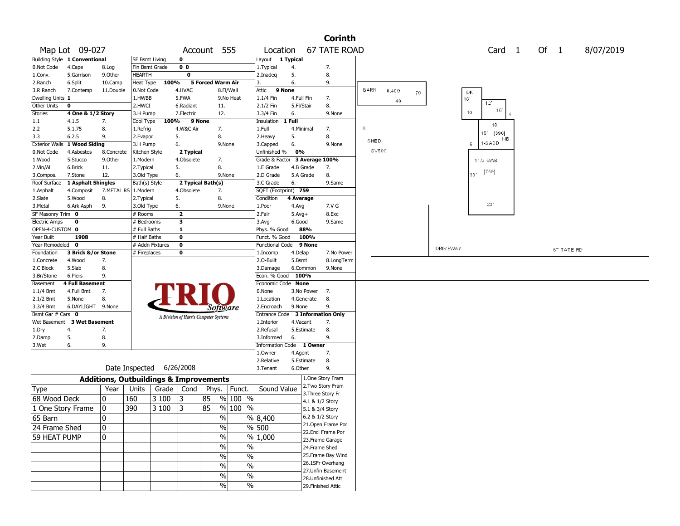|                       |                               |                                                   |                          |         |                                       |                   |                       |                               |            |                    | <b>Corinth</b>      |                            |                   |      |            |
|-----------------------|-------------------------------|---------------------------------------------------|--------------------------|---------|---------------------------------------|-------------------|-----------------------|-------------------------------|------------|--------------------|---------------------|----------------------------|-------------------|------|------------|
|                       | Map Lot 09-027                |                                                   |                          |         |                                       | Account 555       |                       | Location                      |            |                    | <b>67 TATE ROAD</b> |                            | Card <sub>1</sub> | Of 1 | 8/07/2019  |
|                       | Building Style 1 Conventional |                                                   | <b>SF Bsmt Living</b>    |         | $\mathbf 0$                           |                   |                       | Layout 1 Typical              |            |                    |                     |                            |                   |      |            |
| 0.Not Code            | 4.Cape                        | 8.Log                                             | Fin Bsmt Grade           |         | 0 <sub>0</sub>                        |                   |                       | 1. Typical                    | 4.         |                    | 7.                  |                            |                   |      |            |
| 1.Conv.               | 5.Garrison                    | 9.0ther                                           | <b>HEARTH</b>            |         | $\mathbf 0$                           |                   |                       | 2.Inadeg                      | 5.         |                    | 8.                  |                            |                   |      |            |
| 2.Ranch               | 6.Split                       | 10.Camp                                           | Heat Type                | 100%    |                                       | 5 Forced Warm Air |                       | 3.                            | 6.         |                    | 9.                  |                            |                   |      |            |
| 3.R Ranch             | 7.Contemp                     | 11.Double                                         | 0.Not Code               |         | 4.HVAC                                |                   | 8.Fl/Wall             | 9 None<br>Attic               |            |                    |                     | <b>BARN</b><br>8,400<br>70 | DK                |      |            |
| Dwelling Units 1      |                               |                                                   | 1.HWBB                   |         | 5.FWA                                 |                   | 9.No Heat             | 1.1/4 Fin                     | 4.Full Fin |                    | 7.                  | 40                         | 16'               |      |            |
| Other Units           | 0                             |                                                   | 2.HWCI                   |         | 6.Radiant                             | 11.               |                       | 2.1/2 Fin                     | 5.Fl/Stair |                    | 8.                  |                            | 12'<br>10'        |      |            |
| <b>Stories</b>        | 4 One & 1/2 Story             |                                                   | 3.H Pump                 |         | 7.Electric                            | 12.               |                       | 3.3/4 Fin                     | 6.         |                    | 9.None              |                            | 10'               |      |            |
| 1.1                   | 4.1.5                         | 7.                                                | Cool Type                | 100%    | 9 None                                |                   |                       | Insulation                    | 1 Full     |                    |                     |                            | 18'               |      |            |
| 2.2                   | 5.1.75                        | 8.                                                | 1.Refrig                 |         | 4.W&C Air                             | 7.                |                       | 1.Full                        | 4.Minimal  |                    | 7.                  | Х                          | 15' [390]         |      |            |
| 3.3                   | 6.2.5                         | 9.                                                | 2.Evapor                 |         | 5.                                    | 8.                |                       | 2. Heavy                      | 5.         |                    | 8.                  | SHED                       | NB.               |      |            |
| <b>Exterior Walls</b> | 1 Wood Siding                 |                                                   | 3.H Pump                 |         | 6.                                    |                   | 9.None                | 3.Capped                      | 6.         |                    | 9.None              |                            | 1-SADD<br>5       |      |            |
| 0.Not Code            | 4.Asbestos                    | 8.Concrete                                        | Kitchen Style            |         | 2 Typical                             |                   |                       | Unfinished %                  | 0%         |                    |                     | SV500                      |                   |      |            |
| 1.Wood                | 5.Stucco                      | 9.0ther                                           | 1.Modern                 |         | 4.Obsolete                            | 7.                |                       | Grade & Factor 3 Average 100% |            |                    |                     |                            | 11/2 SWB          |      |            |
| 2.Vin/Al              | 6.Brick                       | 11.                                               | 2.Typical                |         | 5.                                    | 8.                |                       | 1.E Grade                     | 4.B Grade  |                    | 7.                  |                            | [759]             |      |            |
| 3.Compos.             | 7.Stone                       | 12.                                               | 3.Old Type               |         | 6.                                    |                   | 9.None                | 2.D Grade                     | 5.A Grade  |                    | 8.                  |                            | 331               |      |            |
| Roof Surface          | 1 Asphalt Shingles            |                                                   | Bath(s) Style            |         |                                       | 2 Typical Bath(s) |                       | 3.C Grade                     | 6.         |                    | 9.Same              |                            |                   |      |            |
| 1.Asphalt             | 4.Composit                    | 7.METAL RS                                        | 1.Modern                 |         | 4.Obsolete                            | 7.                |                       | SQFT (Footprint) 759          |            |                    |                     |                            |                   |      |            |
| 2.Slate               | 5.Wood                        | 8.                                                | 2.Typical                |         | 5.                                    | 8.                |                       | Condition                     | 4 Average  |                    |                     |                            |                   |      |            |
| 3.Metal               | 6.Ark Asph                    | 9.                                                | 3.Old Type               |         | 6.                                    |                   | 9.None                | 1.Poor                        | 4.Avg      |                    | 7.V G               |                            | 23'               |      |            |
| SF Masonry Trim 0     |                               |                                                   | # Rooms                  |         | $\overline{\mathbf{2}}$               |                   |                       | 2.Fair                        | $5.Avg+$   |                    | 8.Exc               |                            |                   |      |            |
| <b>Electric Amps</b>  | 0                             |                                                   | # Bedrooms               |         | 3                                     |                   |                       | 3.Avg-                        | 6.Good     |                    | 9.Same              |                            |                   |      |            |
| OPEN-4-CUSTOM 0       |                               |                                                   | # Full Baths             |         | $\mathbf{1}$                          |                   |                       | Phys. % Good                  |            | 88%                |                     |                            |                   |      |            |
| Year Built            | 1908                          |                                                   | # Half Baths             |         | $\mathbf 0$                           |                   |                       | Funct. % Good                 |            | 100%               |                     |                            |                   |      |            |
| Year Remodeled 0      |                               |                                                   | # Addn Fixtures          |         | $\bf{0}$                              |                   |                       | <b>Functional Code</b>        |            | 9 None             |                     |                            | <b>DRIVEWAY</b>   |      | 67 TATE RD |
| Foundation            | 3 Brick &/or Stone            |                                                   | # Fireplaces             |         | 0                                     |                   |                       | 1.Incomp                      | 4.Delap    |                    | 7.No Power          |                            |                   |      |            |
| 1.Concrete            | 4.Wood                        | 7.                                                |                          |         |                                       |                   |                       | 2.O-Built                     | 5.Bsmt     |                    | 8.LongTerm          |                            |                   |      |            |
| 2.C Block             | 5.Slab                        | 8.                                                |                          |         |                                       |                   |                       | 3.Damage                      |            | 6.Common           | 9.None              |                            |                   |      |            |
| 3.Br/Stone            | 6.Piers                       | 9.                                                |                          |         |                                       |                   |                       | Econ. % Good 100%             |            |                    |                     |                            |                   |      |            |
| Basement              | <b>4 Full Basement</b>        |                                                   |                          |         |                                       |                   |                       | Economic Code None            |            |                    |                     |                            |                   |      |            |
| 1.1/4 Bmt             | 4.Full Bmt                    | 7.                                                |                          |         |                                       |                   |                       | 0.None                        |            | 3.No Power         | 7.                  |                            |                   |      |            |
| 2.1/2 Bmt             | 5.None                        | 8.                                                |                          |         |                                       |                   |                       | 1.Location                    |            | 4.Generate         | 8.                  |                            |                   |      |            |
| 3.3/4 Bmt             | 6.DAYLIGHT 9.None             |                                                   |                          |         |                                       | Software          |                       | 2.Encroach                    | 9.None     |                    | 9.                  |                            |                   |      |            |
| Bsmt Gar # Cars 0     |                               |                                                   |                          |         | A Division of Harris Computer Systems |                   |                       | <b>Entrance Code</b>          |            |                    | 3 Information Only  |                            |                   |      |            |
| Wet Basement          | <b>3 Wet Basement</b>         |                                                   |                          |         |                                       |                   |                       | 1.Interior                    | 4.Vacant   |                    | 7.                  |                            |                   |      |            |
| 1.Dry                 | 4.                            | 7.                                                |                          |         |                                       |                   |                       | 2.Refusal                     |            | 5.Estimate         | 8.                  |                            |                   |      |            |
| 2.Damp                | 5.                            | 8.                                                |                          |         |                                       |                   |                       | 3.Informed                    | 6.         |                    | 9.                  |                            |                   |      |            |
| 3.Wet                 | 6.                            | 9.                                                |                          |         |                                       |                   |                       | Information Code 1 Owner      |            |                    |                     |                            |                   |      |            |
|                       |                               |                                                   |                          |         |                                       |                   |                       | 1.Owner                       | 4.Agent    |                    | 7.                  |                            |                   |      |            |
|                       |                               |                                                   |                          |         |                                       |                   |                       | 2.Relative                    |            | 5.Estimate         | 8.                  |                            |                   |      |            |
|                       |                               |                                                   | Date Inspected 6/26/2008 |         |                                       |                   |                       | 3.Tenant                      | 6.Other    |                    | 9.                  |                            |                   |      |            |
|                       |                               | <b>Additions, Outbuildings &amp; Improvements</b> |                          |         |                                       |                   |                       |                               |            | 1.One Story Fram   |                     |                            |                   |      |            |
| Type                  |                               | Year                                              | Units                    |         | Grade   Cond                          |                   | Phys.   Funct.        | Sound Value                   |            | 2. Two Story Fram  |                     |                            |                   |      |            |
|                       |                               |                                                   |                          |         |                                       |                   |                       |                               |            | 3. Three Story Fr  |                     |                            |                   |      |            |
| 68 Wood Deck          |                               | 0                                                 | 160                      | 3 100   | 3                                     | 85                | $%100$ %              |                               |            | 4.1 & 1/2 Story    |                     |                            |                   |      |            |
|                       | 1 One Story Frame             | 0                                                 | 390                      | 3 1 0 0 | 3                                     | 85                | % 100<br>$\%$         |                               |            | 5.1 & 3/4 Story    |                     |                            |                   |      |            |
| 65 Barn               |                               | $\Omega$                                          |                          |         |                                       |                   | $\%$                  | % 8,400                       |            | 6.2 & 1/2 Story    |                     |                            |                   |      |            |
| 24 Frame Shed         |                               | 0                                                 |                          |         |                                       |                   | $\frac{0}{0}$         | % 500                         |            |                    | 21.Open Frame Por   |                            |                   |      |            |
|                       |                               |                                                   |                          |         |                                       |                   |                       |                               |            |                    | 22.Encl Frame Por   |                            |                   |      |            |
| 59 HEAT PUMP          |                               | 0                                                 |                          |         |                                       |                   | %                     | $\frac{9}{6}$ 1,000           |            | 23. Frame Garage   |                     |                            |                   |      |            |
|                       |                               |                                                   |                          |         |                                       |                   | $\frac{0}{0}$<br>$\%$ |                               |            | 24.Frame Shed      |                     |                            |                   |      |            |
|                       |                               |                                                   |                          |         |                                       |                   | $\%$<br>$\%$          |                               |            |                    | 25. Frame Bay Wind  |                            |                   |      |            |
|                       |                               |                                                   |                          |         |                                       |                   | $\sqrt{6}$<br>$\%$    |                               |            |                    | 26.1SFr Overhang    |                            |                   |      |            |
|                       |                               |                                                   |                          |         |                                       |                   |                       |                               |            |                    | 27.Unfin Basement   |                            |                   |      |            |
|                       |                               |                                                   |                          |         |                                       |                   | %<br>$\%$             |                               |            | 28. Unfinished Att |                     |                            |                   |      |            |
|                       |                               |                                                   |                          |         |                                       |                   | $\%$<br>$\%$          |                               |            | 29. Finished Attic |                     |                            |                   |      |            |
|                       |                               |                                                   |                          |         |                                       |                   |                       |                               |            |                    |                     |                            |                   |      |            |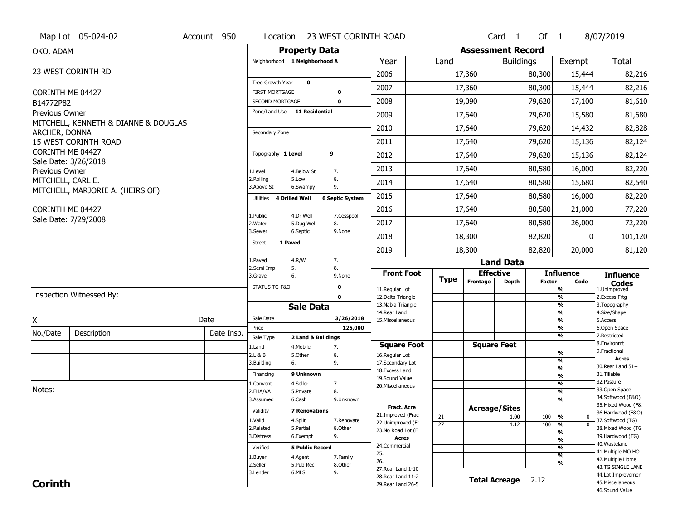|                               | Map Lot 05-024-02                    | Account 950 |                                                 |                         | Location 23 WEST CORINTH ROAD |                                          |                 |                          | Card <sub>1</sub>    | Of 1          |                                                  | 8/07/2019                               |
|-------------------------------|--------------------------------------|-------------|-------------------------------------------------|-------------------------|-------------------------------|------------------------------------------|-----------------|--------------------------|----------------------|---------------|--------------------------------------------------|-----------------------------------------|
| OKO, ADAM                     |                                      |             |                                                 | <b>Property Data</b>    |                               |                                          |                 | <b>Assessment Record</b> |                      |               |                                                  |                                         |
|                               |                                      |             | Neighborhood 1 Neighborhood A                   |                         |                               | Year                                     | Land            |                          | <b>Buildings</b>     |               | Exempt                                           | <b>Total</b>                            |
|                               | 23 WEST CORINTH RD                   |             |                                                 |                         |                               | 2006                                     |                 | 17,360                   |                      | 80,300        | 15,444                                           | 82,216                                  |
|                               |                                      |             | Tree Growth Year                                | $\mathbf 0$             |                               | 2007                                     |                 | 17,360                   |                      | 80,300        | 15,444                                           | 82,216                                  |
| CORINTH ME 04427<br>B14772P82 |                                      |             | <b>FIRST MORTGAGE</b><br><b>SECOND MORTGAGE</b> |                         | $\mathbf 0$<br>$\mathbf 0$    | 2008                                     |                 | 19,090                   |                      | 79,620        | 17,100                                           | 81,610                                  |
| Previous Owner                |                                      |             | Zone/Land Use 11 Residential                    |                         |                               | 2009                                     |                 | 17,640                   |                      | 79,620        | 15,580                                           | 81,680                                  |
|                               | MITCHELL, KENNETH & DIANNE & DOUGLAS |             |                                                 |                         |                               |                                          |                 |                          |                      |               |                                                  |                                         |
| ARCHER, DONNA                 |                                      |             | Secondary Zone                                  |                         |                               | 2010                                     |                 | 17,640                   |                      | 79,620        | 14,432                                           | 82,828                                  |
|                               | 15 WEST CORINTH ROAD                 |             |                                                 |                         |                               | 2011                                     |                 | 17,640                   |                      | 79,620        | 15,136                                           | 82,124                                  |
| CORINTH ME 04427              | Sale Date: 3/26/2018                 |             | Topography 1 Level                              |                         | 9                             | 2012                                     |                 | 17,640                   |                      | 79,620        | 15,136                                           | 82,124                                  |
| Previous Owner                |                                      |             | 1.Level                                         | 4.Below St              | 7.                            | 2013                                     |                 | 17,640                   |                      | 80,580        | 16,000                                           | 82,220                                  |
| MITCHELL, CARL E.             |                                      |             | 2.Rolling<br>3.Above St                         | 5.Low<br>6.Swampy       | 8.<br>9.                      | 2014                                     |                 | 17,640                   |                      | 80,580        | 15,680                                           | 82,540                                  |
|                               | MITCHELL, MARJORIE A. (HEIRS OF)     |             | Utilities                                       | <b>4 Drilled Well</b>   | <b>6 Septic System</b>        | 2015                                     |                 | 17,640                   |                      | 80,580        | 16,000                                           | 82,220                                  |
| CORINTH ME 04427              |                                      |             |                                                 |                         |                               | 2016                                     |                 | 17,640                   |                      | 80,580        | 21,000                                           | 77,220                                  |
|                               | Sale Date: 7/29/2008                 |             | 1.Public<br>2.Water                             | 4.Dr Well<br>5.Dug Well | 7.Cesspool<br>8.              | 2017                                     |                 | 17,640                   |                      | 80,580        | 26,000                                           | 72,220                                  |
|                               |                                      |             | 3.Sewer                                         | 6.Septic                | 9.None                        | 2018                                     |                 | 18,300                   |                      | 82,820        | 0                                                | 101,120                                 |
|                               |                                      |             | 1 Paved<br><b>Street</b>                        |                         |                               | 2019                                     |                 | 18,300                   |                      | 82,820        | 20,000                                           | 81,120                                  |
|                               |                                      |             | 1.Paved                                         | 4.R/W                   | 7.                            |                                          |                 |                          | <b>Land Data</b>     |               |                                                  |                                         |
|                               |                                      |             | 2.Semi Imp<br>3.Gravel                          | 5.<br>6.                | 8.<br>9.None                  | <b>Front Foot</b>                        |                 | <b>Effective</b>         |                      |               | <b>Influence</b>                                 | <b>Influence</b>                        |
|                               |                                      |             | STATUS TG-F&O                                   |                         | $\mathbf 0$                   | 11.Regular Lot                           | <b>Type</b>     | Frontage                 | <b>Depth</b>         | <b>Factor</b> | Code<br>$\frac{9}{6}$                            | <b>Codes</b><br>1.Unimproved            |
|                               |                                      |             |                                                 |                         |                               |                                          |                 |                          |                      |               |                                                  | 2. Excess Frtg                          |
|                               | Inspection Witnessed By:             |             |                                                 |                         | $\mathbf 0$                   | 12.Delta Triangle                        |                 |                          |                      |               | $\frac{9}{6}$                                    |                                         |
|                               |                                      |             |                                                 | <b>Sale Data</b>        |                               | 13. Nabla Triangle                       |                 |                          |                      |               | $\frac{9}{6}$                                    | 3. Topography                           |
| χ                             |                                      | Date        | Sale Date                                       |                         | 3/26/2018                     | 14. Rear Land<br>15. Miscellaneous       |                 |                          |                      |               | $\frac{9}{6}$<br>$\frac{9}{6}$                   | 4.Size/Shape<br>5.Access                |
|                               | Description                          | Date Insp.  | Price                                           |                         | 125,000                       |                                          |                 |                          |                      |               | %                                                | 6.Open Space                            |
| No./Date                      |                                      |             | Sale Type                                       | 2 Land & Buildings      |                               |                                          |                 |                          |                      |               | %                                                | 7.Restricted<br>8.Environmt             |
|                               |                                      |             | 1.Land<br>2.L & B                               | 4. Mobile<br>5.0ther    | 7.<br>8.                      | <b>Square Foot</b><br>16.Regular Lot     |                 | <b>Square Feet</b>       |                      |               | %                                                | 9. Fractional                           |
|                               |                                      |             | 3.Building                                      | 6.                      | 9.                            | 17.Secondary Lot                         |                 |                          |                      |               | %                                                | <b>Acres</b><br>30. Rear Land 51+       |
|                               |                                      |             | Financing                                       | 9 Unknown               |                               | 18.Excess Land                           |                 |                          |                      |               | $\frac{9}{6}$<br>$\frac{9}{6}$                   | 31.Tillable                             |
|                               |                                      |             | 1.Convent                                       | 4.Seller                | 7.                            | 19.Sound Value<br>20.Miscellaneous       |                 |                          |                      |               | $\frac{9}{6}$                                    | 32.Pasture                              |
| Notes:                        |                                      |             | 2.FHA/VA                                        | 5.Private               | 8.                            |                                          |                 |                          |                      |               | %                                                | 33.Open Space                           |
|                               |                                      |             | 3.Assumed                                       | 6.Cash                  | 9.Unknown                     |                                          |                 |                          |                      |               | $\frac{9}{6}$                                    | 34.Softwood (F&O)                       |
|                               |                                      |             | Validity                                        | <b>7 Renovations</b>    |                               | <b>Fract. Acre</b>                       |                 | <b>Acreage/Sites</b>     |                      |               |                                                  | 35. Mixed Wood (F&<br>36.Hardwood (F&O) |
|                               |                                      |             | 1.Valid                                         | 4.Split                 | 7.Renovate                    | 21.Improved (Frac<br>22.Unimproved (Fr   | 21              |                          | 1.00                 | 100           | %<br>0                                           | 37.Softwood (TG)                        |
|                               |                                      |             | 2.Related                                       | 5.Partial               | 8.Other                       | 23.No Road Lot (F                        | $\overline{27}$ |                          | 1.12                 | 100           | $\overline{0}$<br>$\frac{9}{6}$<br>$\frac{9}{6}$ | 38. Mixed Wood (TG                      |
|                               |                                      |             | 3.Distress                                      | 6.Exempt                | 9.                            | <b>Acres</b>                             |                 |                          |                      |               | $\frac{9}{6}$                                    | 39.Hardwood (TG)                        |
|                               |                                      |             | Verified                                        | <b>5 Public Record</b>  |                               | 24.Commercial                            |                 |                          |                      |               | $\frac{9}{6}$                                    | 40. Wasteland                           |
|                               |                                      |             | 1.Buyer                                         | 4.Agent                 | 7.Family                      | 25.                                      |                 |                          |                      |               | $\frac{9}{6}$                                    | 41. Multiple MO HO<br>42. Multiple Home |
|                               |                                      |             | 2.Seller                                        | 5.Pub Rec               | 8.Other                       | 26.                                      |                 |                          |                      |               | $\frac{9}{6}$                                    | 43.TG SINGLE LANE                       |
| <b>Corinth</b>                |                                      |             | 3.Lender                                        | 6.MLS                   | 9.                            | 27. Rear Land 1-10<br>28. Rear Land 11-2 |                 |                          | <b>Total Acreage</b> | 2.12          |                                                  | 44.Lot Improvemen<br>45. Miscellaneous  |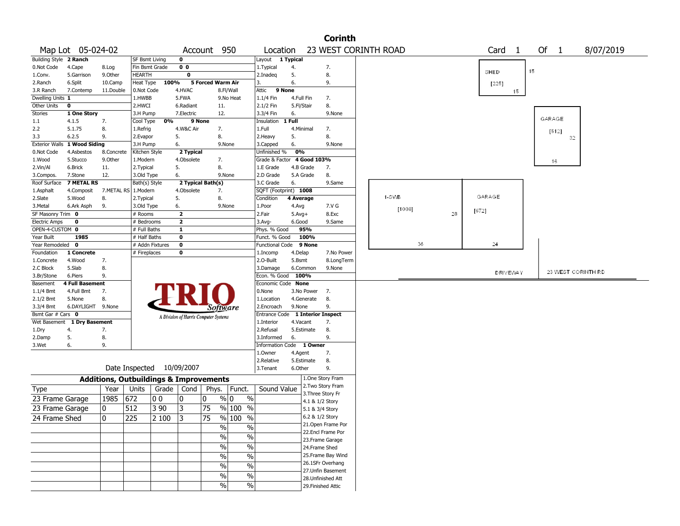|                        |                              |                                                   |                  |       |                         |                                       |                          |                                  |            |                   | <b>Corinth</b>                          |        |    |    |                   |    |        |                    |  |
|------------------------|------------------------------|---------------------------------------------------|------------------|-------|-------------------------|---------------------------------------|--------------------------|----------------------------------|------------|-------------------|-----------------------------------------|--------|----|----|-------------------|----|--------|--------------------|--|
|                        | Map Lot 05-024-02            |                                                   |                  |       |                         | Account 950                           |                          | Location                         |            |                   | 23 WEST CORINTH ROAD                    |        |    |    | Card <sub>1</sub> |    | Of 1   | 8/07/2019          |  |
| Building Style 2 Ranch |                              |                                                   | SF Bsmt Living   |       | $\mathbf 0$             |                                       |                          | Layout 1 Typical                 |            |                   |                                         |        |    |    |                   |    |        |                    |  |
| 0.Not Code             | 4.Cape                       | 8.Log                                             | Fin Bsmt Grade   |       | 0 <sub>0</sub>          |                                       |                          | 1. Typical                       | 4.         |                   | 7.                                      |        |    |    | SHED              | 15 |        |                    |  |
| 1.Conv.                | 5.Garrison                   | 9.0ther                                           | <b>HEARTH</b>    |       | $\mathbf 0$             |                                       |                          | 2.Inadeg                         | 5.         |                   | 8.                                      |        |    |    |                   |    |        |                    |  |
| 2.Ranch                | 6.Split                      | 10.Camp                                           | Heat Type        | 100%  |                         | 5 Forced Warm Air                     |                          | 3.                               | 6.         |                   | 9.                                      |        |    |    | [225]             |    |        |                    |  |
| 3.R Ranch              | 7.Contemp                    | 11.Double                                         | 0.Not Code       |       | 4.HVAC                  |                                       | 8.Fl/Wall                | Attic                            | 9 None     |                   |                                         |        |    |    | 15                |    |        |                    |  |
| Dwelling Units 1       |                              |                                                   | 1.HWBB           |       | 5.FWA                   |                                       | 9.No Heat                | $1.1/4$ Fin                      | 4.Full Fin |                   | 7.                                      |        |    |    |                   |    |        |                    |  |
| Other Units            | 0                            |                                                   | 2.HWCI           |       | 6.Radiant               | 11.                                   |                          | 2.1/2 Fin                        | 5.Fl/Stair |                   | 8.                                      |        |    |    |                   |    |        |                    |  |
| Stories                | 1 One Story                  |                                                   | 3.H Pump         |       | 7.Electric              | 12.                                   |                          | 3.3/4 Fin                        | 6.         |                   | 9.None                                  |        |    |    |                   |    | GARAGE |                    |  |
| $1.1\,$                | 4.1.5                        | 7.                                                | Cool Type        | 0%    |                         | 9 None                                |                          | Insulation                       | 1 Full     |                   |                                         |        |    |    |                   |    |        |                    |  |
| 2.2                    | 5.1.75                       | 8.                                                | 1.Refrig         |       | 4.W&C Air               | 7.                                    |                          | 1.Full                           | 4.Minimal  |                   | 7.                                      |        |    |    |                   |    | [512]  |                    |  |
| 3.3                    | 6.2.5                        | 9.                                                | 2.Evapor         |       | 5.                      | 8.                                    |                          | 2.Heavy                          | 5.         |                   | 8.                                      |        |    |    |                   |    |        | 32                 |  |
|                        | Exterior Walls 1 Wood Siding |                                                   | 3.H Pump         |       | 6.                      |                                       | 9.None                   | 3.Capped                         | 6.         |                   | 9.None                                  |        |    |    |                   |    |        |                    |  |
| 0.Not Code             | 4.Asbestos                   | 8.Concrete                                        | Kitchen Style    |       | 2 Typical               |                                       |                          | Unfinished %                     | 0%         |                   |                                         |        |    |    |                   |    |        |                    |  |
| 1.Wood                 | 5.Stucco                     | 9.0ther                                           | 1.Modern         |       | 4.Obsolete              | 7.                                    |                          | Grade & Factor                   |            | 4 Good 103%       |                                         |        |    |    |                   |    | 16     |                    |  |
| 2.Vin/Al               | 6.Brick                      | 11.                                               | 2.Typical        |       | 5.                      | 8.                                    |                          | 1.E Grade                        | 4.B Grade  |                   | 7.                                      |        |    |    |                   |    |        |                    |  |
| 3.Compos.              | 7.Stone                      | 12.                                               | 3.Old Type       |       | 6.                      |                                       | 9.None                   | 2.D Grade                        | 5.A Grade  |                   | 8.                                      |        |    |    |                   |    |        |                    |  |
| Roof Surface           | <b>7 METAL RS</b>            |                                                   | Bath(s) Style    |       |                         | 2 Typical Bath(s)                     |                          | 3.C Grade                        | 6.         |                   | 9.Same                                  |        |    |    |                   |    |        |                    |  |
| 1.Asphalt              | 4.Composit                   | 7.METAL RS                                        | 1.Modern         |       | 4.Obsolete              | 7.                                    |                          | SQFT (Footprint) 1008            |            |                   |                                         |        |    |    |                   |    |        |                    |  |
| 2.Slate                | 5.Wood                       | 8.                                                | 2. Typical       |       | 5.                      | 8.                                    |                          | Condition                        | 4 Average  |                   |                                         | 1-SWB  |    |    | GARAGE            |    |        |                    |  |
| 3.Metal                | 6.Ark Asph                   | 9.                                                | 3.Old Type       |       | 6.                      |                                       | 9.None                   | 1.Poor                           | 4.Avg      |                   | 7.V G                                   | [1008] |    |    | $[672]$           |    |        |                    |  |
| SF Masonry Trim 0      |                              |                                                   | # Rooms          |       | $\overline{\mathbf{2}}$ |                                       |                          | 2.Fair                           | $5.Avg+$   |                   | 8.Exc                                   |        |    | 28 |                   |    |        |                    |  |
| <b>Electric Amps</b>   | 0                            |                                                   | # Bedrooms       |       | $\overline{\mathbf{2}}$ |                                       |                          | $3.$ Avg-                        | 6.Good     |                   | 9.Same                                  |        |    |    |                   |    |        |                    |  |
| OPEN-4-CUSTOM 0        |                              |                                                   | # Full Baths     |       | $\mathbf{1}$            |                                       |                          | Phys. % Good                     |            | 95%               |                                         |        |    |    |                   |    |        |                    |  |
| Year Built             | 1985                         |                                                   | # Half Baths     |       | $\mathbf 0$             |                                       |                          | Funct. % Good                    |            | 100%              |                                         |        |    |    |                   |    |        |                    |  |
| Year Remodeled         | 0                            |                                                   | # Addn Fixtures  |       | $\overline{\mathbf{0}}$ |                                       |                          | <b>Functional Code</b>           |            | 9 None            |                                         |        | 36 |    | 24                |    |        |                    |  |
| Foundation             | 1 Concrete                   |                                                   | # Fireplaces     |       | $\bf{0}$                |                                       |                          | 1.Incomp                         | 4.Delap    |                   | 7.No Power                              |        |    |    |                   |    |        |                    |  |
| 1.Concrete             | 4.Wood                       | 7.                                                |                  |       |                         |                                       |                          | 2.0-Built                        | 5.Bsmt     |                   | 8.LongTerm                              |        |    |    |                   |    |        |                    |  |
| 2.C Block              | 5.Slab                       | 8.                                                |                  |       |                         |                                       |                          | 3.Damage                         | 6.Common   |                   | 9.None                                  |        |    |    | <b>DRIVEWAY</b>   |    |        | 23 WEST CORINTH RD |  |
| 3.Br/Stone             | 6.Piers                      | 9.                                                |                  |       |                         |                                       |                          | Econ. % Good 100%                |            |                   |                                         |        |    |    |                   |    |        |                    |  |
| Basement               | 4 Full Basement              |                                                   |                  |       |                         |                                       |                          | Economic Code None               |            |                   |                                         |        |    |    |                   |    |        |                    |  |
| $1.1/4$ Bmt            | 4.Full Bmt                   | 7.                                                |                  |       |                         |                                       |                          | 0.None                           |            | 3.No Power 7.     |                                         |        |    |    |                   |    |        |                    |  |
| 2.1/2 Bmt              | 5.None                       | 8.                                                |                  |       |                         |                                       |                          | 1.Location                       |            | 4.Generate        | 8.                                      |        |    |    |                   |    |        |                    |  |
| 3.3/4 Bmt              | 6.DAYLIGHT 9.None            |                                                   |                  |       |                         | Software                              |                          | 2.Encroach                       | 9.None     |                   | 9.                                      |        |    |    |                   |    |        |                    |  |
| Bsmt Gar # Cars 0      |                              |                                                   |                  |       |                         | A Division of Harris Computer Systems |                          | Entrance Code 1 Interior Inspect |            |                   |                                         |        |    |    |                   |    |        |                    |  |
| Wet Basement           | 1 Dry Basement               |                                                   |                  |       |                         |                                       |                          | 1.Interior                       | 4.Vacant   |                   | 7.                                      |        |    |    |                   |    |        |                    |  |
| 1.Dry                  | 4.                           | 7.                                                |                  |       |                         |                                       |                          | 2.Refusal                        | 5.Estimate |                   | 8.                                      |        |    |    |                   |    |        |                    |  |
| 2.Damp                 | 5.                           | 8.                                                |                  |       |                         |                                       |                          | 3.Informed                       | 6.         |                   | 9.                                      |        |    |    |                   |    |        |                    |  |
| 3.Wet                  | 6.                           | 9.                                                |                  |       |                         |                                       |                          | <b>Information Code</b>          |            | 1 Owner           |                                         |        |    |    |                   |    |        |                    |  |
|                        |                              |                                                   |                  |       |                         |                                       |                          | 1.0wner                          | 4.Agent    |                   | 7.                                      |        |    |    |                   |    |        |                    |  |
|                        |                              |                                                   |                  |       |                         |                                       |                          | 2.Relative                       | 5.Estimate |                   | 8.                                      |        |    |    |                   |    |        |                    |  |
|                        |                              |                                                   | Date Inspected   |       | 10/09/2007              |                                       |                          | 3.Tenant                         | 6.Other    |                   | 9.                                      |        |    |    |                   |    |        |                    |  |
|                        |                              | <b>Additions, Outbuildings &amp; Improvements</b> |                  |       |                         |                                       |                          |                                  |            |                   | 1.One Story Fram                        |        |    |    |                   |    |        |                    |  |
| Type                   |                              | Year                                              | Units            |       | Grade   Cond            | Phys.                                 | Funct.                   | Sound Value                      |            |                   | 2. Two Story Fram                       |        |    |    |                   |    |        |                    |  |
| 23 Frame Garage        |                              | 1985                                              | 672              | 00    | 10                      | $\overline{0}$                        | % 0<br>$\%$              |                                  |            | 3. Three Story Fr |                                         |        |    |    |                   |    |        |                    |  |
|                        |                              |                                                   | 512              |       |                         |                                       |                          |                                  |            | 4.1 & 1/2 Story   |                                         |        |    |    |                   |    |        |                    |  |
| 23 Frame Garage        |                              | 0                                                 |                  | 3 9 0 | 3                       | 75                                    | $%100$ %                 |                                  |            | 5.1 & 3/4 Story   |                                         |        |    |    |                   |    |        |                    |  |
| 24 Frame Shed          |                              | 10                                                | $\overline{225}$ | 2 100 | 3                       | 75                                    | % 100 %                  |                                  |            | 6.2 & 1/2 Story   |                                         |        |    |    |                   |    |        |                    |  |
|                        |                              |                                                   |                  |       |                         | %                                     | $\%$                     |                                  |            |                   | 21. Open Frame Por<br>22.Encl Frame Por |        |    |    |                   |    |        |                    |  |
|                        |                              |                                                   |                  |       |                         | $\frac{9}{6}$                         | $\frac{0}{0}$            |                                  |            |                   |                                         |        |    |    |                   |    |        |                    |  |
|                        |                              |                                                   |                  |       |                         |                                       |                          |                                  |            |                   | 23. Frame Garage                        |        |    |    |                   |    |        |                    |  |
|                        |                              |                                                   |                  |       |                         | %                                     | $\%$                     |                                  |            | 24.Frame Shed     |                                         |        |    |    |                   |    |        |                    |  |
|                        |                              |                                                   |                  |       |                         |                                       |                          |                                  |            |                   |                                         |        |    |    |                   |    |        |                    |  |
|                        |                              |                                                   |                  |       |                         | $\frac{1}{2}$                         | $\overline{\frac{0}{0}}$ |                                  |            |                   | 25. Frame Bay Wind                      |        |    |    |                   |    |        |                    |  |
|                        |                              |                                                   |                  |       |                         | $\frac{1}{2}$                         | $\%$                     |                                  |            |                   | 26.1SFr Overhang                        |        |    |    |                   |    |        |                    |  |
|                        |                              |                                                   |                  |       |                         |                                       |                          |                                  |            |                   | 27.Unfin Basement                       |        |    |    |                   |    |        |                    |  |
|                        |                              |                                                   |                  |       |                         | $\%$<br>%                             | $\%$<br>$\%$             |                                  |            |                   | 28.Unfinished Att<br>29. Finished Attic |        |    |    |                   |    |        |                    |  |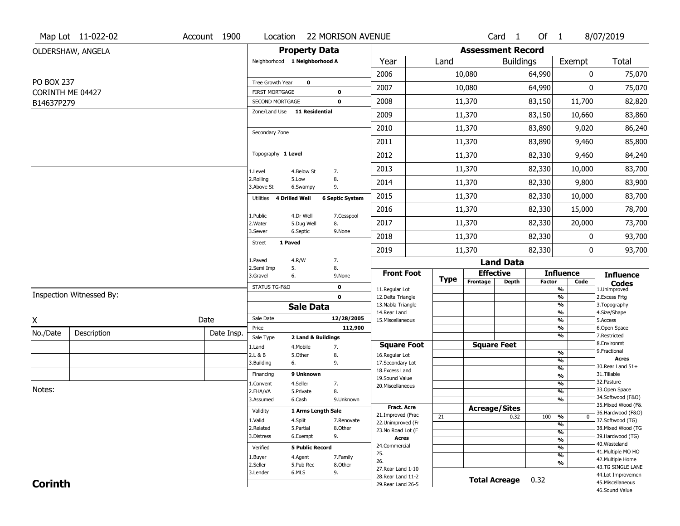|                  | Map Lot 11-022-02        | Account 1900 | Location                                        |                        | <b>22 MORISON AVENUE</b> |                                          |             |                          | Card <sub>1</sub> | Of $1$        |                                | 8/07/2019                              |
|------------------|--------------------------|--------------|-------------------------------------------------|------------------------|--------------------------|------------------------------------------|-------------|--------------------------|-------------------|---------------|--------------------------------|----------------------------------------|
|                  | OLDERSHAW, ANGELA        |              |                                                 | <b>Property Data</b>   |                          |                                          |             | <b>Assessment Record</b> |                   |               |                                |                                        |
|                  |                          |              | Neighborhood 1 Neighborhood A                   |                        |                          | Year                                     | Land        |                          | <b>Buildings</b>  |               | Exempt                         | <b>Total</b>                           |
|                  |                          |              |                                                 |                        |                          | 2006                                     |             | 10,080                   |                   | 64,990        | 0                              | 75,070                                 |
| PO BOX 237       |                          |              | Tree Growth Year                                | $\mathbf 0$            |                          | 2007                                     |             | 10,080                   |                   | 64,990        | 0                              | 75,070                                 |
| CORINTH ME 04427 |                          |              | <b>FIRST MORTGAGE</b>                           |                        | $\pmb{0}$                | 2008                                     |             |                          |                   | 83,150        | 11,700                         |                                        |
| B14637P279       |                          |              | SECOND MORTGAGE<br>Zone/Land Use 11 Residential |                        | $\mathbf 0$              |                                          |             | 11,370                   |                   |               |                                | 82,820                                 |
|                  |                          |              |                                                 |                        |                          | 2009                                     |             | 11,370                   |                   | 83,150        | 10,660                         | 83,860                                 |
|                  |                          |              | Secondary Zone                                  |                        |                          | 2010                                     |             | 11,370                   |                   | 83,890        | 9,020                          | 86,240                                 |
|                  |                          |              |                                                 |                        |                          | 2011                                     |             | 11,370                   |                   | 83,890        | 9,460                          | 85,800                                 |
|                  |                          |              | Topography 1 Level                              |                        |                          | 2012                                     |             | 11,370                   |                   | 82,330        | 9,460                          | 84,240                                 |
|                  |                          |              | 1.Level                                         | 4.Below St             | 7.                       | 2013                                     |             | 11,370                   |                   | 82,330        | 10,000                         | 83,700                                 |
|                  |                          |              | 2.Rolling<br>3.Above St                         | 5.Low<br>6.Swampy      | 8.<br>9.                 | 2014                                     |             | 11,370                   |                   | 82,330        | 9,800                          | 83,900                                 |
|                  |                          |              | <b>4 Drilled Well</b><br>Utilities              |                        | <b>6 Septic System</b>   | 2015                                     |             | 11,370                   |                   | 82,330        | 10,000                         | 83,700                                 |
|                  |                          |              | 1.Public                                        | 4.Dr Well              | 7.Cesspool               | 2016                                     |             | 11,370                   |                   | 82,330        | 15,000                         | 78,700                                 |
|                  |                          |              | 2. Water                                        | 5.Dug Well             | 8.                       | 2017                                     |             | 11,370                   |                   | 82,330        | 20,000                         | 73,700                                 |
|                  |                          |              | 3.Sewer                                         | 6.Septic               | 9.None                   | 2018                                     |             | 11,370                   |                   | 82,330        | 0                              | 93,700                                 |
|                  |                          |              | 1 Paved<br><b>Street</b>                        |                        |                          | 2019                                     |             | 11,370                   |                   | 82,330        | 0                              | 93,700                                 |
|                  |                          |              | 1.Paved                                         | 4.R/W                  | 7.                       |                                          |             |                          | <b>Land Data</b>  |               |                                |                                        |
|                  |                          |              | 2.Semi Imp<br>5.<br>3.Gravel<br>6.              |                        | 8.<br>9.None             | <b>Front Foot</b>                        |             | <b>Effective</b>         |                   |               | <b>Influence</b>               | <b>Influence</b>                       |
|                  |                          |              | STATUS TG-F&O                                   |                        | $\mathbf 0$              | 11.Regular Lot                           | <b>Type</b> | Frontage                 | <b>Depth</b>      | <b>Factor</b> | Code<br>%                      | <b>Codes</b><br>1.Unimproved           |
|                  | Inspection Witnessed By: |              |                                                 |                        | $\mathbf 0$              | 12.Delta Triangle                        |             |                          |                   |               | %                              | 2.Excess Frtg                          |
|                  |                          |              |                                                 | <b>Sale Data</b>       |                          | 13. Nabla Triangle<br>14. Rear Land      |             |                          |                   |               | %<br>%                         | 3. Topography<br>4.Size/Shape          |
| X                |                          | Date         | Sale Date                                       |                        | 12/28/2005               | 15.Miscellaneous                         |             |                          |                   |               | %                              | 5.Access                               |
| No./Date         | Description              | Date Insp.   | Price                                           |                        | 112,900                  |                                          |             |                          |                   |               | %                              | 6.Open Space                           |
|                  |                          |              | Sale Type                                       | 2 Land & Buildings     |                          | <b>Square Foot</b>                       |             | <b>Square Feet</b>       |                   |               | %                              | 7.Restricted<br>8.Environmt            |
|                  |                          |              | 1.Land<br>2.L & B                               | 4. Mobile<br>5.Other   | 7.<br>8.                 | 16.Regular Lot                           |             |                          |                   |               | %                              | 9. Fractional                          |
|                  |                          |              | 3.Building<br>6.                                |                        | 9.                       | 17.Secondary Lot                         |             |                          |                   |               | %                              | Acres                                  |
|                  |                          |              | Financing                                       | 9 Unknown              |                          | 18. Excess Land                          |             |                          |                   |               | $\frac{9}{6}$                  | 30. Rear Land 51+<br>31.Tillable       |
|                  |                          |              | 1.Convent                                       | 4.Seller               | 7.                       | 19.Sound Value                           |             |                          |                   |               | $\frac{9}{6}$<br>$\frac{9}{6}$ | 32.Pasture                             |
| Notes:           |                          |              | 2.FHA/VA                                        | 5.Private              | 8.                       | 20.Miscellaneous                         |             |                          |                   |               | $\frac{9}{6}$                  | 33.Open Space                          |
|                  |                          |              | 3.Assumed                                       | 6.Cash                 | 9.Unknown                |                                          |             |                          |                   |               | %                              | 34.Softwood (F&O)                      |
|                  |                          |              | Validity                                        | 1 Arms Length Sale     |                          | <b>Fract. Acre</b>                       |             | <b>Acreage/Sites</b>     |                   |               |                                | 35. Mixed Wood (F&                     |
|                  |                          |              | 1.Valid                                         | 4.Split                | 7.Renovate               | 21.Improved (Frac                        | 21          |                          | 0.32              | 100 %         | $\mathbf 0$                    | 36.Hardwood (F&O)<br>37.Softwood (TG)  |
|                  |                          |              | 2.Related                                       | 5.Partial              | 8.Other                  | 22.Unimproved (Fr                        |             |                          |                   |               | $\frac{9}{6}$                  | 38. Mixed Wood (TG                     |
|                  |                          |              | 3.Distress                                      | 6.Exempt               | 9.                       | 23.No Road Lot (F<br>Acres               |             |                          |                   |               | $\frac{9}{6}$                  | 39.Hardwood (TG)                       |
|                  |                          |              |                                                 | <b>5 Public Record</b> |                          | 24.Commercial                            |             |                          |                   |               | $\frac{9}{6}$<br>$\frac{9}{6}$ | 40. Wasteland                          |
|                  |                          |              | Verified                                        |                        |                          | 25.                                      |             |                          |                   |               | $\frac{9}{6}$                  | 41. Multiple MO HO                     |
|                  |                          |              | 1.Buyer<br>2.Seller                             | 4.Agent<br>5.Pub Rec   | 7.Family<br>8.Other      | 26.                                      |             |                          |                   |               | %                              | 42. Multiple Home                      |
|                  |                          |              |                                                 |                        |                          |                                          |             |                          |                   |               |                                | 43.TG SINGLE LANE                      |
|                  |                          |              |                                                 |                        |                          | 27. Rear Land 1-10                       |             |                          |                   |               |                                |                                        |
| <b>Corinth</b>   |                          |              | 3.Lender                                        | 6.MLS                  | 9.                       | 28. Rear Land 11-2<br>29. Rear Land 26-5 |             | <b>Total Acreage</b>     |                   | 0.32          |                                | 44.Lot Improvemen<br>45. Miscellaneous |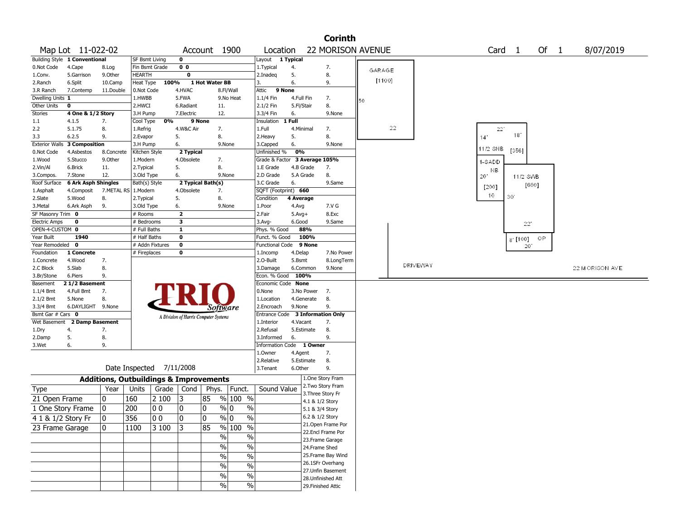|                       |                                       |                                                   |                          |                          |                         |                                       |                          |                                   |                 |                    | <b>Corinth</b>                        |                          |    |          |              |                           |      |                 |  |
|-----------------------|---------------------------------------|---------------------------------------------------|--------------------------|--------------------------|-------------------------|---------------------------------------|--------------------------|-----------------------------------|-----------------|--------------------|---------------------------------------|--------------------------|----|----------|--------------|---------------------------|------|-----------------|--|
|                       | Map Lot 11-022-02                     |                                                   |                          |                          |                         | Account 1900                          |                          | Location                          |                 |                    |                                       | <b>22 MORISON AVENUE</b> |    |          |              | Card <sub>1</sub>         | Of 1 | 8/07/2019       |  |
|                       | Building Style 1 Conventional         |                                                   | <b>SF Bsmt Living</b>    |                          | $\mathbf 0$             |                                       |                          | Layout                            | 1 Typical       |                    |                                       |                          |    |          |              |                           |      |                 |  |
| 0.Not Code            | 4.Cape                                | 8.Log                                             |                          | Fin Bsmt Grade           | 0 <sub>0</sub>          |                                       |                          | 1. Typical                        | 4.              |                    | 7.                                    | GARAGE                   |    |          |              |                           |      |                 |  |
| 1.Conv.               | 5.Garrison                            | 9.0ther                                           | <b>HEARTH</b>            |                          | 0                       |                                       |                          | 2.Inadeg                          | 5.              |                    | 8.                                    |                          |    |          |              |                           |      |                 |  |
| 2.Ranch               | 6.Split                               | 10.Camp                                           | Heat Type                | 100%                     |                         | 1 Hot Water BB                        |                          | 3.                                | 6.              |                    | 9.                                    | [1100]                   |    |          |              |                           |      |                 |  |
| 3.R Ranch             | 7.Contemp                             | 11.Double                                         | 0.Not Code               |                          | 4.HVAC                  |                                       | 8.Fl/Wall                | 9 None<br>Attic                   |                 |                    |                                       |                          |    |          |              |                           |      |                 |  |
| Dwelling Units 1      |                                       |                                                   | 1.HWBB                   |                          | 5.FWA                   |                                       | 9.No Heat                | $1.1/4$ Fin                       | 4.Full Fin      |                    | 7.                                    | 50                       |    |          |              |                           |      |                 |  |
| Other Units           | 0                                     |                                                   | 2.HWCI                   |                          | 6.Radiant               | 11.                                   |                          | 2.1/2 Fin                         | 5.Fl/Stair      |                    | 8.                                    |                          |    |          |              |                           |      |                 |  |
| Stories               | 4 One & 1/2 Story                     |                                                   | 3.H Pump                 |                          | 7.Electric              | 12.                                   |                          | 3.3/4 Fin                         | 6.              |                    | 9.None                                |                          |    |          |              |                           |      |                 |  |
| 1.1                   | 4.1.5                                 | 7.                                                | Cool Type                | 0%                       |                         | 9 None                                |                          | Insulation                        | 1 Full          |                    |                                       |                          |    |          |              |                           |      |                 |  |
| 2.2                   | 5.1.75                                | 8.                                                | 1.Refrig                 |                          | 4.W&C Air               | 7.                                    |                          | 1.Full                            | 4.Minimal       |                    | 7.                                    |                          | 22 |          | $22^{\circ}$ | 18'                       |      |                 |  |
| 3.3                   | 6.2.5                                 | 9.                                                | 2.Evapor                 |                          | 5.                      | 8.                                    |                          | 2. Heavy                          | 5.              |                    | 8.                                    |                          |    |          | 14'          |                           |      |                 |  |
| <b>Exterior Walls</b> | 3 Composition                         |                                                   | 3.H Pump                 |                          | 6.                      |                                       | 9.None                   | 3.Capped                          | 6.              |                    | 9.None                                |                          |    |          | 11/2 SNB     | [356]                     |      |                 |  |
| 0.Not Code            | 4.Asbestos                            | 8.Concrete                                        | Kitchen Style            |                          | 2 Typical               |                                       |                          | Unfinished %                      | 0%              |                    |                                       |                          |    |          |              |                           |      |                 |  |
| 1.Wood                | 5.Stucco                              | 9.0ther                                           | 1.Modern                 |                          | 4.Obsolete              | 7.                                    |                          | Grade & Factor 3 Average 105%     |                 |                    |                                       |                          |    |          | 1-SADD       |                           |      |                 |  |
| 2.Vin/Al              | 6.Brick                               | 11.                                               | 2. Typical               |                          | 5.                      | 8.                                    |                          | 1.E Grade                         | 4.B Grade       |                    | 7.                                    |                          |    |          | NB.          |                           |      |                 |  |
| 3.Compos.             | 7.Stone<br><b>6 Ark Asph Shingles</b> | 12.                                               | 3.Old Type               |                          | 6.                      |                                       | 9.None                   | 2.D Grade                         | 5.A Grade<br>6. |                    | 8.<br>9.Same                          |                          |    |          | 20           | 11/2 SWB                  |      |                 |  |
| Roof Surface          |                                       | 7.METAL RS                                        | Bath(s) Style            |                          |                         | 2 Typical Bath(s)                     |                          | 3.C Grade<br>SQFT (Footprint) 660 |                 |                    |                                       |                          |    |          | [200]        | [660]                     |      |                 |  |
| 1.Asphalt<br>2.Slate  | 4.Composit<br>5.Wood                  | 8.                                                | 1.Modern                 |                          | 4.Obsolete<br>5.        | 7.<br>8.                              |                          | Condition                         | 4 Average       |                    |                                       |                          |    |          | 10           | 30                        |      |                 |  |
| 3.Metal               | 6.Ark Asph                            | 9.                                                | 2. Typical<br>3.Old Type |                          | 6.                      |                                       | 9.None                   | 1.Poor                            | 4.Avg           |                    | 7.V G                                 |                          |    |          |              |                           |      |                 |  |
| SF Masonry Trim 0     |                                       |                                                   | # Rooms                  |                          | $\overline{\mathbf{z}}$ |                                       |                          | 2.Fair                            | $5.Avg+$        |                    | 8.Exc                                 |                          |    |          |              |                           |      |                 |  |
| <b>Electric Amps</b>  | 0                                     |                                                   | # Bedrooms               |                          | 3                       |                                       |                          | 3.Avg-                            | 6.Good          |                    | 9.Same                                |                          |    |          |              |                           |      |                 |  |
| OPEN-4-CUSTOM 0       |                                       |                                                   | # Full Baths             |                          | 1                       |                                       |                          | Phys. % Good                      | 88%             |                    |                                       |                          |    |          |              | 22"                       |      |                 |  |
| Year Built            | 1940                                  |                                                   | # Half Baths             |                          | $\bf{0}$                |                                       |                          | Funct. % Good                     |                 | 100%               |                                       |                          |    |          |              |                           | OP.  |                 |  |
| Year Remodeled        | $\mathbf{o}$                          |                                                   |                          | # Addn Fixtures          | $\bf{0}$                |                                       |                          | Functional Code                   |                 | 9 None             |                                       |                          |    |          |              | $8$ [100]<br>$20^{\circ}$ |      |                 |  |
| Foundation            | 1 Concrete                            |                                                   | # Fireplaces             |                          | 0                       |                                       |                          | 1.Incomp                          | 4.Delap         |                    | 7.No Power                            |                          |    |          |              |                           |      |                 |  |
| 1.Concrete            | 4.Wood                                | 7.                                                |                          |                          |                         |                                       |                          | 2.0-Built                         | 5.Bsmt          |                    | 8.LongTerm                            |                          |    |          |              |                           |      |                 |  |
| 2.C Block             | 5.Slab                                | 8.                                                |                          |                          |                         |                                       |                          | 3.Damage                          | 6.Common        |                    | 9.None                                |                          |    | DRIVEWAY |              |                           |      | 22 M ORISON AVE |  |
| 3.Br/Stone            | 6.Piers                               | 9.                                                |                          |                          |                         |                                       |                          | Econ. % Good                      | 100%            |                    |                                       |                          |    |          |              |                           |      |                 |  |
| Basement              | 21/2 Basement                         |                                                   |                          |                          |                         |                                       |                          | Economic Code None                |                 |                    |                                       |                          |    |          |              |                           |      |                 |  |
| 1.1/4 Bmt             | 4.Full Bmt                            | 7.                                                |                          |                          |                         |                                       |                          | 0.None                            | 3.No Power      |                    | 7.                                    |                          |    |          |              |                           |      |                 |  |
| 2.1/2 Bmt             | 5.None                                | 8.                                                |                          |                          |                         |                                       |                          | 1.Location                        | 4.Generate      |                    | 8.                                    |                          |    |          |              |                           |      |                 |  |
| 3.3/4 Bmt             | 6.DAYLIGHT 9.None                     |                                                   |                          |                          |                         | Software                              |                          | 2.Encroach                        | 9.None          |                    | 9.                                    |                          |    |          |              |                           |      |                 |  |
| Bsmt Gar # Cars 0     |                                       |                                                   |                          |                          |                         | A Division of Harris Computer Systems |                          | Entrance Code 3 Information Only  |                 |                    |                                       |                          |    |          |              |                           |      |                 |  |
| Wet Basement          | 2 Damp Basement                       |                                                   |                          |                          |                         |                                       |                          | 1.Interior                        | 4.Vacant        |                    | 7.                                    |                          |    |          |              |                           |      |                 |  |
| 1.Dry                 | 4.                                    | 7.                                                |                          |                          |                         |                                       |                          | 2.Refusal                         | 5.Estimate      |                    | 8.                                    |                          |    |          |              |                           |      |                 |  |
| 2.Damp                | 5.                                    | 8.                                                |                          |                          |                         |                                       |                          | 3.Informed                        | 6.              |                    | 9.                                    |                          |    |          |              |                           |      |                 |  |
| 3.Wet                 | 6.                                    | 9.                                                |                          |                          |                         |                                       |                          | Information Code 1 Owner          |                 |                    |                                       |                          |    |          |              |                           |      |                 |  |
|                       |                                       |                                                   |                          |                          |                         |                                       |                          | 1.Owner                           | 4.Agent         |                    | 7.                                    |                          |    |          |              |                           |      |                 |  |
|                       |                                       |                                                   |                          |                          |                         |                                       |                          | 2.Relative                        | 5.Estimate      |                    | 8.                                    |                          |    |          |              |                           |      |                 |  |
|                       |                                       |                                                   |                          | Date Inspected 7/11/2008 |                         |                                       |                          | 3.Tenant                          | 6.Other         |                    | 9.                                    |                          |    |          |              |                           |      |                 |  |
|                       |                                       | <b>Additions, Outbuildings &amp; Improvements</b> |                          |                          |                         |                                       |                          |                                   |                 | 1.One Story Fram   |                                       |                          |    |          |              |                           |      |                 |  |
| Type                  |                                       | Year                                              | Units                    | Grade                    | Cond                    | Phys.                                 | Funct.                   | Sound Value                       |                 | 2. Two Story Fram  |                                       |                          |    |          |              |                           |      |                 |  |
| 21 Open Frame         |                                       | 10                                                | 160                      | 2 100                    | 13                      | 85                                    | % 100 %                  |                                   |                 | 3. Three Story Fr  |                                       |                          |    |          |              |                           |      |                 |  |
|                       |                                       |                                                   |                          |                          |                         |                                       |                          |                                   |                 | 4.1 & 1/2 Story    |                                       |                          |    |          |              |                           |      |                 |  |
| 1 One Story Frame     |                                       | 10                                                | 200                      | 00                       | 0                       | 0                                     | % 0<br>$\%$              |                                   |                 | 5.1 & 3/4 Story    |                                       |                          |    |          |              |                           |      |                 |  |
| 4 1 & 1/2 Story Fr    |                                       | 0                                                 | 356                      | 00                       | 0                       | 10                                    | % 0<br>%                 |                                   |                 | 6.2 & 1/2 Story    |                                       |                          |    |          |              |                           |      |                 |  |
| 23 Frame Garage       |                                       | $ 0\rangle$                                       | 1100                     | 3 100                    | 3                       | $\overline{85}$                       | $\frac{9}{6}$ 100 %      |                                   |                 |                    | 21.Open Frame Por                     |                          |    |          |              |                           |      |                 |  |
|                       |                                       |                                                   |                          |                          |                         | $\%$                                  | $\%$                     |                                   |                 |                    | 22.Encl Frame Por                     |                          |    |          |              |                           |      |                 |  |
|                       |                                       |                                                   |                          |                          |                         | $\%$                                  | $\%$                     |                                   |                 | 23. Frame Garage   |                                       |                          |    |          |              |                           |      |                 |  |
|                       |                                       |                                                   |                          |                          |                         |                                       |                          |                                   |                 | 24.Frame Shed      |                                       |                          |    |          |              |                           |      |                 |  |
|                       |                                       |                                                   |                          |                          |                         | $\%$                                  | $\overline{\frac{0}{6}}$ |                                   |                 |                    | 25.Frame Bay Wind                     |                          |    |          |              |                           |      |                 |  |
|                       |                                       |                                                   |                          |                          |                         | $\%$                                  | $\%$                     |                                   |                 |                    | 26.1SFr Overhang<br>27.Unfin Basement |                          |    |          |              |                           |      |                 |  |
|                       |                                       |                                                   |                          |                          |                         | $\%$                                  | $\%$                     |                                   |                 | 28.Unfinished Att  |                                       |                          |    |          |              |                           |      |                 |  |
|                       |                                       |                                                   |                          |                          |                         | %                                     | $\%$                     |                                   |                 | 29. Finished Attic |                                       |                          |    |          |              |                           |      |                 |  |
|                       |                                       |                                                   |                          |                          |                         |                                       |                          |                                   |                 |                    |                                       |                          |    |          |              |                           |      |                 |  |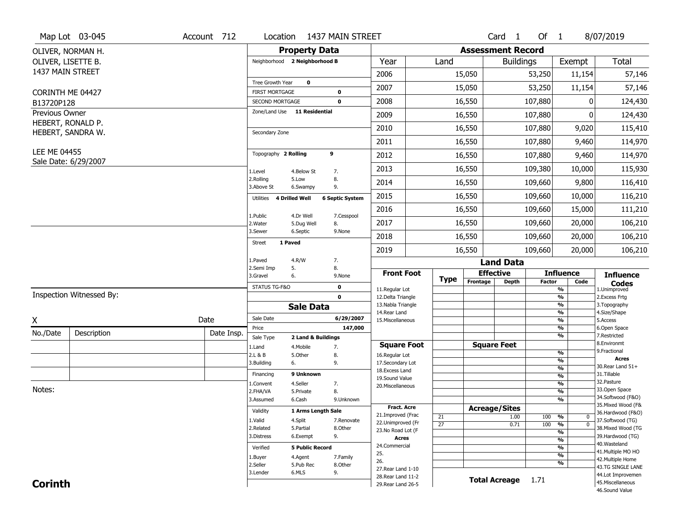|                    | Map Lot 03-045                         | Account 712 | Location                           |                         | 1437 MAIN STREET       |                                     |                 |                          | Card <sub>1</sub> | Of 1          |                                 | 8/07/2019                         |
|--------------------|----------------------------------------|-------------|------------------------------------|-------------------------|------------------------|-------------------------------------|-----------------|--------------------------|-------------------|---------------|---------------------------------|-----------------------------------|
|                    | OLIVER, NORMAN H.                      |             |                                    | <b>Property Data</b>    |                        |                                     |                 | <b>Assessment Record</b> |                   |               |                                 |                                   |
| OLIVER, LISETTE B. |                                        |             | Neighborhood 2 Neighborhood B      |                         |                        | Year                                | Land            |                          | <b>Buildings</b>  |               | Exempt                          | <b>Total</b>                      |
| 1437 MAIN STREET   |                                        |             |                                    |                         |                        | 2006                                |                 | 15,050                   |                   | 53,250        | 11,154                          | 57,146                            |
|                    |                                        |             | Tree Growth Year                   | $\mathbf 0$             |                        |                                     |                 |                          |                   |               |                                 |                                   |
| CORINTH ME 04427   |                                        |             | <b>FIRST MORTGAGE</b>              |                         | $\mathbf 0$            | 2007                                |                 | 15,050                   |                   | 53,250        | 11,154                          | 57,146                            |
| B13720P128         |                                        |             | SECOND MORTGAGE                    |                         | $\mathbf 0$            | 2008                                |                 | 16,550                   |                   | 107,880       | 0                               | 124,430                           |
| Previous Owner     |                                        |             | Zone/Land Use 11 Residential       |                         |                        | 2009                                |                 | 16,550                   |                   | 107,880       | 0                               | 124,430                           |
|                    | HEBERT, RONALD P.<br>HEBERT, SANDRA W. |             | Secondary Zone                     |                         |                        | 2010                                |                 | 16,550                   |                   | 107,880       | 9,020                           | 115,410                           |
|                    |                                        |             |                                    |                         |                        | 2011                                |                 | 16,550                   |                   | 107,880       | 9,460                           | 114,970                           |
| LEE ME 04455       |                                        |             | Topography 2 Rolling               |                         | 9                      | 2012                                |                 | 16,550                   |                   | 107,880       | 9,460                           | 114,970                           |
|                    | Sale Date: 6/29/2007                   |             | 1.Level                            | 4.Below St              | 7.                     | 2013                                |                 | 16,550                   |                   | 109,380       | 10,000                          | 115,930                           |
|                    |                                        |             | 2.Rolling<br>3.Above St            | 5.Low<br>6.Swampy       | 8.<br>9.               | 2014                                |                 | 16,550                   |                   | 109,660       | 9,800                           | 116,410                           |
|                    |                                        |             | <b>4 Drilled Well</b><br>Utilities |                         | <b>6 Septic System</b> | 2015                                |                 | 16,550                   |                   | 109,660       | 10,000                          | 116,210                           |
|                    |                                        |             |                                    |                         |                        | 2016                                |                 | 16,550                   |                   | 109,660       | 15,000                          | 111,210                           |
|                    |                                        |             | 1.Public<br>2. Water               | 4.Dr Well<br>5.Dug Well | 7.Cesspool<br>8.       | 2017                                |                 | 16,550                   |                   | 109,660       | 20,000                          | 106,210                           |
|                    |                                        |             | 3.Sewer                            | 6.Septic                | 9.None                 | 2018                                |                 | 16,550                   |                   | 109,660       | 20,000                          | 106,210                           |
|                    |                                        |             | 1 Paved<br><b>Street</b>           |                         |                        | 2019                                |                 | 16,550                   |                   | 109,660       | 20,000                          | 106,210                           |
|                    |                                        |             | 1.Paved                            | 4.R/W                   | 7.                     |                                     |                 |                          | <b>Land Data</b>  |               |                                 |                                   |
|                    |                                        |             | 2.Semi Imp<br>5.<br>3.Gravel<br>6. |                         | 8.<br>9.None           | <b>Front Foot</b>                   |                 | <b>Effective</b>         |                   |               | <b>Influence</b>                | <b>Influence</b>                  |
|                    |                                        |             | STATUS TG-F&O                      |                         | $\mathbf 0$            |                                     | <b>Type</b>     | Frontage                 | <b>Depth</b>      | <b>Factor</b> | Code                            | <b>Codes</b>                      |
|                    | Inspection Witnessed By:               |             |                                    |                         | $\mathbf 0$            | 11.Regular Lot<br>12.Delta Triangle |                 |                          |                   |               | %<br>%                          | 1.Unimproved<br>2.Excess Frtg     |
|                    |                                        |             |                                    | <b>Sale Data</b>        |                        | 13. Nabla Triangle                  |                 |                          |                   |               | %                               | 3. Topography                     |
| Χ                  |                                        | Date        | Sale Date                          |                         | 6/29/2007              | 14. Rear Land<br>15. Miscellaneous  |                 |                          |                   |               | %<br>%                          | 4.Size/Shape<br>5.Access          |
|                    |                                        |             | Price                              |                         | 147,000                |                                     |                 |                          |                   |               | %                               | 6.Open Space                      |
| No./Date           | Description                            | Date Insp.  | Sale Type                          | 2 Land & Buildings      |                        |                                     |                 |                          |                   |               | %                               | 7.Restricted                      |
|                    |                                        |             | 1.Land                             | 4. Mobile               | 7.                     | <b>Square Foot</b>                  |                 | <b>Square Feet</b>       |                   |               | %                               | 8.Environmt<br>9. Fractional      |
|                    |                                        |             | 2.L & B<br>3.Building<br>6.        | 5.Other                 | 8.<br>9.               | 16.Regular Lot<br>17.Secondary Lot  |                 |                          |                   |               | %                               | <b>Acres</b>                      |
|                    |                                        |             |                                    |                         |                        | 18.Excess Land                      |                 |                          |                   |               | $\frac{9}{6}$                   | 30.Rear Land 51+                  |
|                    |                                        |             | Financing                          | 9 Unknown               |                        | 19.Sound Value                      |                 |                          |                   |               | $\overline{\frac{9}{6}}$        | 31.Tillable<br>32. Pasture        |
| Notes:             |                                        |             | 1.Convent                          | 4.Seller                | 7.<br>8.               | 20.Miscellaneous                    |                 |                          |                   |               | $\frac{9}{6}$                   | 33.Open Space                     |
|                    |                                        |             | 2.FHA/VA<br>3.Assumed              | 5.Private<br>6.Cash     | 9.Unknown              |                                     |                 |                          |                   |               | $\overline{\frac{9}{6}}$<br>%   | 34.Softwood (F&O)                 |
|                    |                                        |             |                                    |                         |                        | <b>Fract. Acre</b>                  |                 | <b>Acreage/Sites</b>     |                   |               |                                 | 35. Mixed Wood (F&                |
|                    |                                        |             | Validity                           | 1 Arms Length Sale      |                        | 21.Improved (Frac                   | 21              |                          | 1.00              | 100           | %<br>0                          | 36.Hardwood (F&O)                 |
|                    |                                        |             | 1.Valid                            | 4.Split                 | 7.Renovate             | 22.Unimproved (Fr                   | $\overline{27}$ |                          | 0.71              | 100           | $\overline{0}$<br>$\frac{9}{6}$ | 37.Softwood (TG)                  |
|                    |                                        |             | 2.Related<br>3.Distress            | 5.Partial<br>6.Exempt   | 8.0ther                | 23.No Road Lot (F                   |                 |                          |                   |               | %                               | 38. Mixed Wood (TG                |
|                    |                                        |             |                                    |                         | 9.                     | <b>Acres</b>                        |                 |                          |                   |               | %                               | 39.Hardwood (TG)<br>40. Wasteland |
|                    |                                        |             | Verified                           | <b>5 Public Record</b>  |                        | 24.Commercial<br>25.                |                 |                          |                   |               | %                               | 41. Multiple MO HO                |
|                    |                                        |             | 1.Buyer                            | 4.Agent                 | 7.Family               | 26.                                 |                 |                          |                   |               | %<br>%                          | 42. Multiple Home                 |
|                    |                                        |             | 2.Seller                           | 5.Pub Rec               | 8.Other                | 27. Rear Land 1-10                  |                 |                          |                   |               |                                 | 43.TG SINGLE LANE                 |
|                    |                                        |             | 3.Lender                           | 6.MLS                   | 9.                     | 28. Rear Land 11-2                  |                 | <b>Total Acreage</b>     |                   | 1.71          |                                 | 44.Lot Improvemen                 |
| <b>Corinth</b>     |                                        |             |                                    |                         |                        | 29. Rear Land 26-5                  |                 |                          |                   |               |                                 | 45. Miscellaneous                 |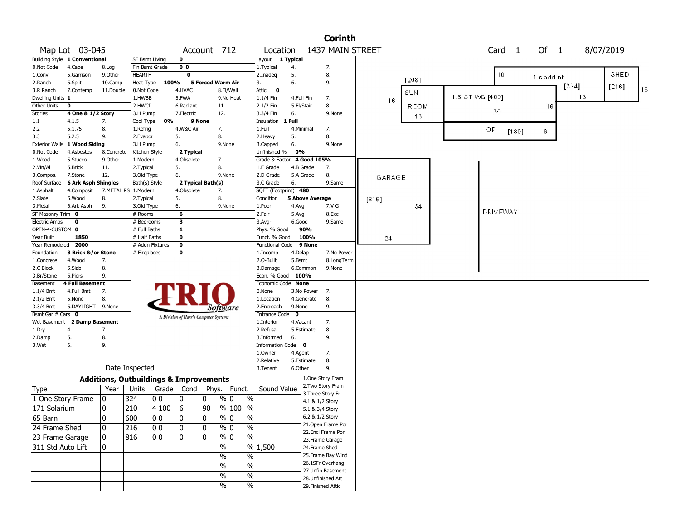|                                   |                               |                                                   |                                 |                |                     |                                       |                                |                             |                       |                                          | <b>Corinth</b>   |        |       |                 |                   |            |       |           |    |
|-----------------------------------|-------------------------------|---------------------------------------------------|---------------------------------|----------------|---------------------|---------------------------------------|--------------------------------|-----------------------------|-----------------------|------------------------------------------|------------------|--------|-------|-----------------|-------------------|------------|-------|-----------|----|
|                                   | Map Lot 03-045                |                                                   |                                 |                |                     | Account 712                           |                                | Location                    |                       |                                          | 1437 MAIN STREET |        |       |                 | Card <sub>1</sub> | Of 1       |       | 8/07/2019 |    |
|                                   | Building Style 1 Conventional |                                                   | <b>SF Bsmt Living</b>           |                | 0                   |                                       |                                | Layout 1 Typical            |                       |                                          |                  |        |       |                 |                   |            |       |           |    |
| 0.Not Code                        | 4.Cape                        | 8.Log                                             | Fin Bsmt Grade                  |                | 0 <sub>0</sub>      |                                       |                                | 1. Typical                  | 4.                    |                                          | 7.               |        |       |                 |                   |            |       |           |    |
| 1.Conv.                           | 5.Garrison                    | 9.0ther                                           | HEARTH                          |                | 0                   |                                       |                                | 2.Inadeg                    | 5.                    |                                          | 8.               |        |       |                 | 10                | 1-s add nb |       | SHED      |    |
| 2.Ranch                           | 6.Split                       | 10.Camp                                           | Heat Type                       | 100%           |                     | 5 Forced Warm Air                     |                                | 3.                          | 6.                    |                                          | 9.               |        | [208] |                 |                   |            | [324] | [216]     |    |
| 3.R Ranch                         | 7.Contemp                     | 11.Double                                         | 0.Not Code                      |                | 4.HVAC              |                                       | 8.Fl/Wall                      | Attic<br>$\bf{0}$           |                       |                                          |                  |        | SUN   |                 |                   |            |       |           | 18 |
| Dwelling Units 1                  |                               |                                                   | 1.HWBB                          |                | 5.FWA               |                                       | 9.No Heat                      | 1.1/4 Fin                   | 4.Full Fin            |                                          | 7.               | 16     |       | 1.5 ST WB [480] |                   |            | 13    |           |    |
| Other Units                       | $\mathbf 0$                   |                                                   | 2.HWCI                          |                | 6.Radiant           | 11.                                   |                                | 2.1/2 Fin                   | 5.Fl/Stair            |                                          | 8.               |        | ROOM  |                 | 30                | 16         |       |           |    |
| <b>Stories</b>                    | 4 One & 1/2 Story             |                                                   | 3.H Pump                        |                | 7.Electric          | 12.                                   |                                | 3.3/4 Fin                   | 6.                    |                                          | 9.None           |        | 13    |                 |                   |            |       |           |    |
| 1.1<br>2.2                        | 4.1.5<br>5.1.75               | 7.<br>8.                                          | Cool Type<br>1.Refrig           | 0%             | 9 None<br>4.W&C Air | 7.                                    |                                | Insulation 1 Full<br>1.Full | 4.Minimal             |                                          | 7.               |        |       |                 |                   |            |       |           |    |
| 3.3                               | 6.2.5                         | 9.                                                | 2.Evapor                        |                | 5.                  | 8.                                    |                                | 2.Heavy                     | 5.                    |                                          | 8.               |        |       |                 | ОP<br>[180]       | 6          |       |           |    |
| <b>Exterior Walls</b>             | 1 Wood Siding                 |                                                   | 3.H Pump                        |                | 6.                  | 9.None                                |                                | 3.Capped                    | 6.                    |                                          | 9.None           |        |       |                 |                   |            |       |           |    |
| 0.Not Code                        | 4.Asbestos                    | 8.Concrete                                        | Kitchen Style                   |                | 2 Typical           |                                       |                                | Unfinished %                | 0%                    |                                          |                  |        |       |                 |                   |            |       |           |    |
| 1.Wood                            | 5.Stucco                      | 9.0ther                                           | 1.Modern                        |                | 4.Obsolete          | 7.                                    |                                | Grade & Factor 4 Good 105%  |                       |                                          |                  |        |       |                 |                   |            |       |           |    |
| 2.Vin/Al                          | 6.Brick                       | 11.                                               | 2. Typical                      |                | 5.                  | 8.                                    |                                | 1.E Grade                   | 4.B Grade             | 7.                                       |                  |        |       |                 |                   |            |       |           |    |
| 3.Compos.                         | 7.Stone                       | 12.                                               | 3.Old Type                      |                | 6.                  |                                       | 9.None                         | 2.D Grade                   | 5.A Grade             | 8.                                       |                  | GARAGE |       |                 |                   |            |       |           |    |
| Roof Surface                      | 6 Ark Asph Shingles           |                                                   | Bath(s) Style                   |                |                     | 2 Typical Bath(s)                     |                                | 3.C Grade                   | 6.                    |                                          | 9.Same           |        |       |                 |                   |            |       |           |    |
| 1.Asphalt                         | 4.Composit                    | 7.METAL RS                                        | 1.Modern                        |                | 4.Obsolete          | 7.                                    |                                | SQFT (Footprint) 480        |                       |                                          |                  |        |       |                 |                   |            |       |           |    |
| 2.Slate                           | 5.Wood                        | 8.                                                | 2. Typical                      |                | 5.                  | 8.                                    |                                | Condition                   |                       | <b>5 Above Average</b>                   |                  | [816]  |       |                 |                   |            |       |           |    |
| 3.Metal                           | 6.Ark Asph                    | 9.                                                | 3.Old Type                      |                | 6.                  | 9.None                                |                                | 1.Poor                      | 4.Avg                 |                                          | 7.V G            |        | 34    |                 |                   |            |       |           |    |
| SF Masonry Trim 0                 |                               |                                                   | # Rooms                         |                | 6                   |                                       |                                | 2.Fair                      | $5.$ Avg $+$          |                                          | 8.Exc            |        |       |                 | <b>DRIVEWAY</b>   |            |       |           |    |
| Electric Amps                     | 0                             |                                                   | # Bedrooms                      |                | 3                   |                                       |                                | $3.$ Avg-                   | 6.Good                |                                          | 9.Same           |        |       |                 |                   |            |       |           |    |
| OPEN-4-CUSTOM 0                   |                               |                                                   | # Full Baths                    |                | $\mathbf{1}$        |                                       |                                | Phys. % Good                | 90%                   |                                          |                  |        |       |                 |                   |            |       |           |    |
| Year Built                        | 1850                          |                                                   | # Half Baths                    |                | 0                   |                                       |                                | Funct. % Good               |                       | 100%                                     |                  | 24     |       |                 |                   |            |       |           |    |
| Year Remodeled 2000<br>Foundation | 3 Brick &/or Stone            |                                                   | # Addn Fixtures<br># Fireplaces |                | 0<br>0              |                                       |                                | Functional Code 9 None      |                       |                                          | 7.No Power       |        |       |                 |                   |            |       |           |    |
| 1.Concrete                        | 4.Wood                        | 7.                                                |                                 |                |                     |                                       |                                | 1.Incomp<br>2.0-Built       | 4.Delap<br>5.Bsmt     |                                          | 8.LongTerm       |        |       |                 |                   |            |       |           |    |
| 2.C Block                         | 5.Slab                        | 8.                                                |                                 |                |                     |                                       |                                | 3.Damage                    | 6.Common              |                                          | 9.None           |        |       |                 |                   |            |       |           |    |
| 3.Br/Stone                        | 6.Piers                       | 9.                                                |                                 |                |                     |                                       |                                | Econ. % Good                | 100%                  |                                          |                  |        |       |                 |                   |            |       |           |    |
| Basement                          | <b>4 Full Basement</b>        |                                                   |                                 |                |                     |                                       |                                | Economic Code None          |                       |                                          |                  |        |       |                 |                   |            |       |           |    |
| 1.1/4 Bmt                         | 4.Full Bmt                    | 7.                                                |                                 |                |                     |                                       |                                | 0.None                      | 3.No Power            | 7.                                       |                  |        |       |                 |                   |            |       |           |    |
| $2.1/2$ Bmt                       | 5.None                        | 8.                                                |                                 |                |                     |                                       |                                | 1.Location                  | 4.Generate            | 8.                                       |                  |        |       |                 |                   |            |       |           |    |
| 3.3/4 Bmt                         | 6.DAYLIGHT 9.None             |                                                   |                                 |                |                     | Software                              |                                | 2.Encroach                  | 9.None                |                                          | 9.               |        |       |                 |                   |            |       |           |    |
| Bsmt Gar # Cars 0                 |                               |                                                   |                                 |                |                     | A Division of Harris Computer Systems |                                | <b>Entrance Code</b>        | $\mathbf 0$           |                                          |                  |        |       |                 |                   |            |       |           |    |
|                                   | Wet Basement 2 Damp Basement  |                                                   |                                 |                |                     |                                       |                                | 1.Interior                  | 4.Vacant              |                                          | 7.               |        |       |                 |                   |            |       |           |    |
| 1.Dry                             | 4.                            | 7.                                                |                                 |                |                     |                                       |                                | 2.Refusal                   | 5.Estimate            | 8.                                       |                  |        |       |                 |                   |            |       |           |    |
| 2.Damp                            | 5.                            | 8.                                                |                                 |                |                     |                                       |                                | 3.Informed                  | 6.                    |                                          | 9.               |        |       |                 |                   |            |       |           |    |
| 3.Wet                             | 6.                            | 9.                                                |                                 |                |                     |                                       |                                | Information Code 0          |                       |                                          |                  |        |       |                 |                   |            |       |           |    |
|                                   |                               |                                                   |                                 |                |                     |                                       |                                | 1.0wner                     | 4.Agent               |                                          | 7.               |        |       |                 |                   |            |       |           |    |
|                                   |                               |                                                   | Date Inspected                  |                |                     |                                       |                                | 2.Relative<br>3. Tenant     | 5.Estimate<br>6.Other | 8.                                       | 9.               |        |       |                 |                   |            |       |           |    |
|                                   |                               |                                                   |                                 |                |                     |                                       |                                |                             |                       |                                          |                  |        |       |                 |                   |            |       |           |    |
|                                   |                               | <b>Additions, Outbuildings &amp; Improvements</b> |                                 |                |                     |                                       |                                |                             |                       | 1.One Story Fram<br>2. Two Story Fram    |                  |        |       |                 |                   |            |       |           |    |
| <b>Type</b>                       |                               | Year                                              | Units                           | Grade   Cond   |                     | Phys.                                 | Funct.                         | Sound Value                 |                       | 3. Three Story Fr                        |                  |        |       |                 |                   |            |       |           |    |
| 1 One Story Frame                 |                               | 0                                                 | 324                             | 0 <sub>0</sub> | 0                   | 0                                     | $\frac{0}{0}$<br>% 0           |                             |                       | 4.1 & 1/2 Story                          |                  |        |       |                 |                   |            |       |           |    |
| 171 Solarium                      |                               | 0                                                 | 210                             | 4 100          | 6                   | 90                                    | $%100$ %                       |                             |                       | 5.1 & 3/4 Story                          |                  |        |       |                 |                   |            |       |           |    |
| 65 Barn                           |                               | $\pmb{0}$                                         | 600                             | 10 O           | 0                   | 10                                    | $\sqrt{0}$<br>$\frac{9}{6}$ 0  |                             |                       | 6.2 & 1/2 Story                          |                  |        |       |                 |                   |            |       |           |    |
|                                   |                               |                                                   |                                 |                |                     |                                       |                                |                             |                       | 21.Open Frame Por                        |                  |        |       |                 |                   |            |       |           |    |
| 24 Frame Shed                     |                               | $\mathbf 0$                                       | 216                             | 00             | $\pmb{0}$           | 10                                    | $\sqrt[6]{0}$<br>$\%$          |                             |                       | 22.Encl Frame Por                        |                  |        |       |                 |                   |            |       |           |    |
| 23 Frame Garage                   |                               | 10                                                | 816                             | 00             | $\mathbf 0$         | $\mathbf{0}$                          | $\sqrt[6]{0}$<br>$\frac{1}{2}$ |                             |                       | 23. Frame Garage                         |                  |        |       |                 |                   |            |       |           |    |
| 311 Std Auto Lift                 |                               | $\mathbf 0$                                       |                                 |                |                     | %                                     |                                | % 1,500                     |                       | 24.Frame Shed                            |                  |        |       |                 |                   |            |       |           |    |
|                                   |                               |                                                   |                                 |                |                     | $\%$                                  | $\frac{0}{0}$                  |                             |                       | 25. Frame Bay Wind                       |                  |        |       |                 |                   |            |       |           |    |
|                                   |                               |                                                   |                                 |                |                     | $\%$                                  | $\%$                           |                             |                       | 26.1SFr Overhang                         |                  |        |       |                 |                   |            |       |           |    |
|                                   |                               |                                                   |                                 |                |                     | %                                     | $\%$                           |                             |                       | 27.Unfin Basement                        |                  |        |       |                 |                   |            |       |           |    |
|                                   |                               |                                                   |                                 |                |                     | $\frac{0}{0}$                         | $\%$                           |                             |                       | 28. Unfinished Att<br>29. Finished Attic |                  |        |       |                 |                   |            |       |           |    |
|                                   |                               |                                                   |                                 |                |                     |                                       |                                |                             |                       |                                          |                  |        |       |                 |                   |            |       |           |    |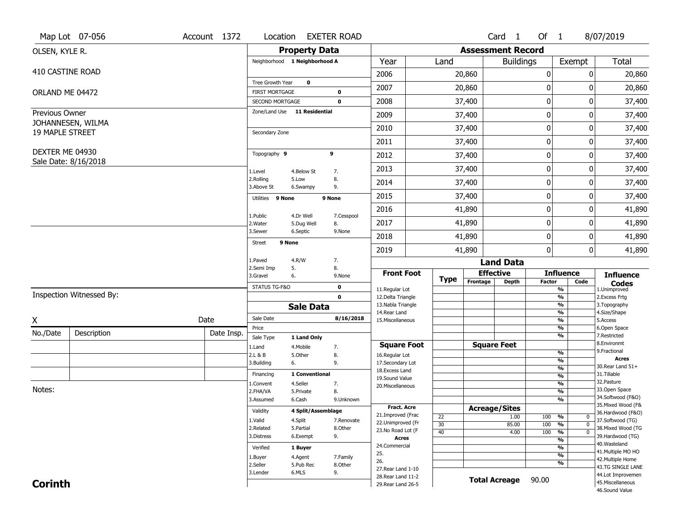|                        | Map Lot 07-056           | Account 1372 | Location                                 |                            | <b>EXETER ROAD</b>         |                                          |                 |                          | Card 1           | Of 1          |                                                      | 8/07/2019                              |
|------------------------|--------------------------|--------------|------------------------------------------|----------------------------|----------------------------|------------------------------------------|-----------------|--------------------------|------------------|---------------|------------------------------------------------------|----------------------------------------|
| OLSEN, KYLE R.         |                          |              |                                          | <b>Property Data</b>       |                            |                                          |                 | <b>Assessment Record</b> |                  |               |                                                      |                                        |
|                        |                          |              | Neighborhood 1 Neighborhood A            |                            |                            | Year                                     | Land            |                          | <b>Buildings</b> |               | Exempt                                               | <b>Total</b>                           |
| 410 CASTINE ROAD       |                          |              |                                          |                            |                            | 2006                                     |                 | 20,860                   |                  | 0             | $\mathbf{0}$                                         | 20,860                                 |
|                        |                          |              | Tree Growth Year                         | $\mathbf 0$                |                            | 2007                                     |                 | 20,860                   |                  | $\mathbf{0}$  | 0                                                    | 20,860                                 |
| ORLAND ME 04472        |                          |              | <b>FIRST MORTGAGE</b><br>SECOND MORTGAGE |                            | $\mathbf 0$<br>$\mathbf 0$ | 2008                                     |                 | 37,400                   |                  | $\pmb{0}$     | 0                                                    | 37,400                                 |
| Previous Owner         |                          |              | Zone/Land Use 11 Residential             |                            |                            |                                          |                 |                          |                  |               |                                                      |                                        |
|                        | JOHANNESEN, WILMA        |              |                                          |                            |                            | 2009                                     |                 | 37,400                   |                  | $\mathbf 0$   | 0                                                    | 37,400                                 |
| <b>19 MAPLE STREET</b> |                          |              | Secondary Zone                           |                            |                            | 2010                                     |                 | 37,400                   |                  | $\mathbf 0$   | 0                                                    | 37,400                                 |
|                        |                          |              |                                          |                            |                            | 2011                                     |                 | 37,400                   |                  | $\mathbf 0$   | 0                                                    | 37,400                                 |
| DEXTER ME 04930        |                          |              | Topography 9                             |                            | 9                          | 2012                                     |                 | 37,400                   |                  | $\pmb{0}$     | 0                                                    | 37,400                                 |
|                        | Sale Date: 8/16/2018     |              | 1.Level                                  | 4.Below St                 | 7.                         | 2013                                     |                 | 37,400                   |                  | $\mathbf 0$   | 0                                                    | 37,400                                 |
|                        |                          |              | 2.Rolling<br>3.Above St                  | 5.Low<br>6.Swampy          | 8.<br>9.                   | 2014                                     |                 | 37,400                   |                  | $\mathbf 0$   | 0                                                    | 37,400                                 |
|                        |                          |              | Utilities 9 None                         |                            | 9 None                     | 2015                                     |                 | 37,400                   |                  | $\mathbf 0$   | 0                                                    | 37,400                                 |
|                        |                          |              |                                          |                            |                            | 2016                                     |                 | 41,890                   |                  | $\pmb{0}$     | 0                                                    | 41,890                                 |
|                        |                          |              | 1.Public<br>2. Water                     | 4.Dr Well<br>5.Dug Well    | 7.Cesspool<br>8.           | 2017                                     |                 | 41,890                   |                  | $\mathbf 0$   | 0                                                    | 41,890                                 |
|                        |                          |              | 3.Sewer                                  | 6.Septic                   | 9.None                     | 2018                                     |                 | 41,890                   |                  | $\mathbf 0$   | 0                                                    |                                        |
|                        |                          |              | 9 None<br><b>Street</b>                  |                            |                            | 2019                                     |                 | 41,890                   |                  | $\mathbf{0}$  | 0                                                    | 41,890<br>41,890                       |
|                        |                          |              | 1.Paved                                  | 4.R/W                      | 7.                         |                                          |                 |                          |                  |               |                                                      |                                        |
|                        |                          |              | 2.Semi Imp<br>5.                         |                            | 8.                         | <b>Front Foot</b>                        |                 | <b>Effective</b>         | <b>Land Data</b> |               | <b>Influence</b>                                     |                                        |
|                        |                          |              | 3.Gravel<br>6.                           |                            | 9.None                     |                                          | <b>Type</b>     | Frontage                 | <b>Depth</b>     | <b>Factor</b> | Code                                                 | <b>Influence</b><br><b>Codes</b>       |
|                        | Inspection Witnessed By: |              | STATUS TG-F&O                            |                            | 0<br>$\mathbf 0$           | 11.Regular Lot<br>12.Delta Triangle      |                 |                          |                  |               | $\frac{9}{6}$<br>$\overline{\frac{9}{6}}$            | 1.Unimproved<br>2.Excess Frtg          |
|                        |                          |              |                                          | <b>Sale Data</b>           |                            | 13. Nabla Triangle                       |                 |                          |                  |               | $\frac{9}{6}$                                        | 3. Topography                          |
|                        |                          | Date         | Sale Date                                |                            | 8/16/2018                  | 14. Rear Land<br>15. Miscellaneous       |                 |                          |                  |               | $\overline{\frac{9}{6}}$<br>$\overline{\frac{9}{6}}$ | 4.Size/Shape<br>5.Access               |
| Χ                      |                          |              | Price                                    |                            |                            |                                          |                 |                          |                  |               | $\overline{\frac{9}{6}}$                             | 6.Open Space                           |
| No./Date               | Description              | Date Insp.   | Sale Type                                | 1 Land Only                |                            |                                          |                 |                          |                  |               | $\frac{9}{6}$                                        | 7.Restricted                           |
|                        |                          |              | 1.Land<br>2.L & B                        | 4. Mobile                  | 7.                         | <b>Square Foot</b>                       |                 | <b>Square Feet</b>       |                  |               | $\frac{9}{6}$                                        | 8.Environmt<br>9. Fractional           |
|                        |                          |              |                                          |                            |                            |                                          |                 |                          |                  |               |                                                      |                                        |
|                        |                          |              | 3.Building                               | 5.Other<br>6.              | 8.<br>9.                   | 16.Regular Lot<br>17.Secondary Lot       |                 |                          |                  |               | $\overline{\frac{9}{6}}$                             | <b>Acres</b>                           |
|                        |                          |              |                                          |                            |                            | 18.Excess Land                           |                 |                          |                  |               | $\frac{9}{6}$                                        | 30. Rear Land 51+                      |
|                        |                          |              | Financing<br>1.Convent                   | 1 Conventional<br>4.Seller | 7.                         | 19.Sound Value                           |                 |                          |                  |               | $\frac{9}{6}$<br>$\frac{9}{6}$                       | 31.Tillable<br>32.Pasture              |
| Notes:                 |                          |              | 2.FHA/VA                                 | 5.Private                  | 8.                         | 20.Miscellaneous                         |                 |                          |                  |               | $\overline{\frac{9}{6}}$                             | 33.Open Space                          |
|                        |                          |              | 3.Assumed                                | 6.Cash                     | 9.Unknown                  |                                          |                 |                          |                  |               | $\frac{9}{6}$                                        | 34.Softwood (F&O)                      |
|                        |                          |              | Validity                                 | 4 Split/Assemblage         |                            | <b>Fract. Acre</b>                       |                 | <b>Acreage/Sites</b>     |                  |               |                                                      | 35. Mixed Wood (F&                     |
|                        |                          |              | 1.Valid                                  | 4.Split                    | 7.Renovate                 | 21.Improved (Frac                        | 22              |                          | 1.00             | 100 %         | $\mathbf{0}$                                         | 36.Hardwood (F&O)<br>37.Softwood (TG)  |
|                        |                          |              | 2.Related                                | 5.Partial                  | 8.Other                    | 22.Unimproved (Fr<br>23.No Road Lot (F   | $\overline{30}$ |                          | 85.00            | 100           | $\frac{9}{6}$<br>$\mathbf 0$                         | 38. Mixed Wood (TG                     |
|                        |                          |              | 3.Distress                               | 6.Exempt                   | 9.                         | Acres                                    | $\overline{40}$ |                          | 4.00             | 100           | $\frac{9}{6}$<br>$\mathbf 0$<br>$\frac{9}{6}$        | 39.Hardwood (TG)                       |
|                        |                          |              | Verified                                 | 1 Buyer                    |                            | 24.Commercial                            |                 |                          |                  |               | $\frac{9}{6}$                                        | 40. Wasteland                          |
|                        |                          |              | 1.Buyer                                  | 4.Agent                    | 7.Family                   | 25.                                      |                 |                          |                  |               | $\frac{9}{6}$                                        | 41. Multiple MO HO                     |
|                        |                          |              | 2.Seller                                 | 5.Pub Rec                  | 8.Other                    | 26.                                      |                 |                          |                  |               | $\overline{\frac{9}{6}}$                             | 42. Multiple Home<br>43.TG SINGLE LANE |
| <b>Corinth</b>         |                          |              | 3.Lender                                 | 6.MLS                      | 9.                         | 27. Rear Land 1-10<br>28. Rear Land 11-2 |                 | <b>Total Acreage</b>     |                  | 90.00         |                                                      | 44.Lot Improvemen<br>45. Miscellaneous |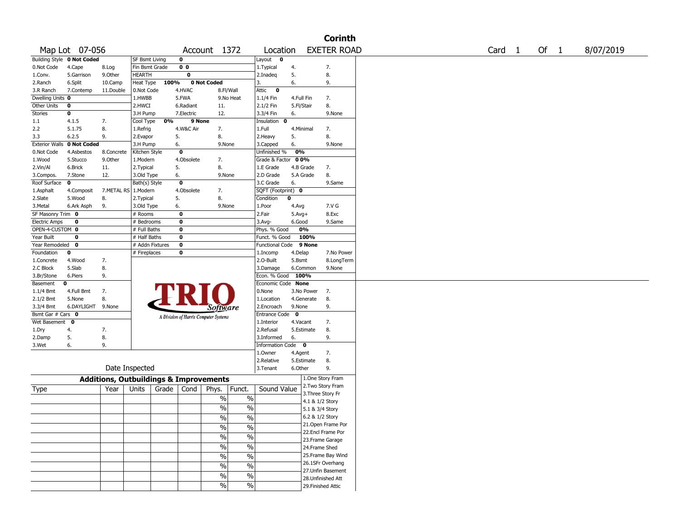|                                   |                   |                     |                       |                                                   |                 |               |                        |             | <b>Corinth</b>     |  |
|-----------------------------------|-------------------|---------------------|-----------------------|---------------------------------------------------|-----------------|---------------|------------------------|-------------|--------------------|--|
|                                   | Map Lot 07-056    |                     |                       |                                                   | Account 1372    |               | Location               |             | <b>EXETER ROAD</b> |  |
| <b>Building Style 0 Not Coded</b> |                   |                     | <b>SF Bsmt Living</b> | 0                                                 |                 |               | Layout<br>$\bf{0}$     |             |                    |  |
| 0.Not Code                        | 4.Cape            | 8.Log               | Fin Bsmt Grade        | 0 <sub>0</sub>                                    |                 |               | 1. Typical             | 4.          | 7.                 |  |
| 1.Conv.                           | 5.Garrison        | 9.0ther             | <b>HEARTH</b>         | $\mathbf 0$                                       |                 |               | 2.Inadeq               | 5.          | 8.                 |  |
| 2.Ranch                           | 6.Split           | 10.Camp             | Heat Type             | 100%                                              | 0 Not Coded     |               | 3.                     | 6.          | 9.                 |  |
| 3.R Ranch                         | 7.Contemp         | 11.Double           | 0.Not Code            | 4.HVAC                                            |                 | 8.Fl/Wall     | Attic 0                |             |                    |  |
| Dwelling Units 0                  |                   |                     | 1.HWBB                | 5.FWA                                             |                 | 9.No Heat     | $1.1/4$ Fin            | 4.Full Fin  | 7.                 |  |
| Other Units                       | $\bf{0}$          |                     | 2.HWCI                | 6.Radiant                                         | 11.             |               | 2.1/2 Fin              | 5.Fl/Stair  | 8.                 |  |
| <b>Stories</b>                    | 0                 |                     | 3.H Pump              | 7.Electric                                        | 12.             |               | 3.3/4 Fin              | 6.          | 9.None             |  |
| 1.1                               | 4.1.5             | 7.                  | Cool Type             | 0%                                                | 9 None          |               | Insulation<br>0        |             |                    |  |
| 2.2                               | 5.1.75            | 8.                  | 1.Refrig              | 4.W&C Air                                         | 7.              |               | $1.$ Full              | 4.Minimal   | 7.                 |  |
| 3.3                               | 6.2.5             | 9.                  | 2.Evapor              | 5.                                                | 8.              |               | 2.Heavy                | 5.          | 8.                 |  |
| <b>Exterior Walls</b>             | 0 Not Coded       |                     | 3.H Pump              | 6.                                                |                 | 9.None        | 3.Capped               | 6.          | 9.None             |  |
| 0.Not Code                        | 4.Asbestos        | 8.Concrete          | Kitchen Style         | $\overline{\mathbf{0}}$                           |                 |               | Unfinished %           | 0%          |                    |  |
| 1.Wood                            | 5.Stucco          | 9.0ther             | 1.Modern              | 4.Obsolete                                        | 7.              |               | Grade & Factor         | 00%         |                    |  |
| 2.Vin/Al                          | 6.Brick           | 11.                 | 2. Typical            | 5.                                                | 8.              |               | 1.E Grade              | 4.B Grade   | 7.                 |  |
| 3.Compos.                         | 7.Stone           | 12.                 | 3.Old Type            | 6.                                                |                 | 9.None        | 2.D Grade              | 5.A Grade   | 8.                 |  |
| Roof Surface                      | 0                 |                     | Bath(s) Style         | $\overline{\mathbf{0}}$                           |                 |               | 3.C Grade              | 6.          | 9.Same             |  |
| 1.Asphalt                         | 4.Composit        | 7.METAL RS 1.Modern |                       | 4.Obsolete                                        | 7.              |               | SQFT (Footprint) 0     |             |                    |  |
| 2.Slate                           | 5.Wood            | 8.                  | 2. Typical            | 5.                                                | 8.              |               | Condition              | $\mathbf 0$ |                    |  |
| 3.Metal                           | 6.Ark Asph        | 9.                  | 3.Old Type            | 6.                                                |                 | 9.None        | 1.Poor                 | 4.Avg       | 7.V G              |  |
| SF Masonry Trim                   | 0                 |                     | # Rooms               | $\bf{0}$                                          |                 |               | 2.Fair                 | $5.Avg+$    | 8.Exc              |  |
| <b>Electric Amps</b>              | 0                 |                     | # Bedrooms            | $\bf{0}$                                          |                 |               | $3.$ Avg-              | 6.Good      | 9.Same             |  |
| OPEN-4-CUSTOM 0                   |                   |                     | # Full Baths          | $\bf{0}$                                          |                 |               | Phys. % Good           | 0%          |                    |  |
| Year Built                        | 0                 |                     | # Half Baths          | 0                                                 |                 |               | Funct. % Good          | 100%        |                    |  |
| Year Remodeled                    | $\mathbf 0$       |                     | # Addn Fixtures       | $\bf{0}$                                          |                 |               | <b>Functional Code</b> | 9 None      |                    |  |
| Foundation                        | $\mathbf 0$       |                     | # Fireplaces          | $\bf{0}$                                          |                 |               | 1.Incomp               | 4.Delap     | 7.No Power         |  |
| 1.Concrete                        | 4.Wood            | 7.                  |                       |                                                   |                 |               | 2.0-Built              | 5.Bsmt      | 8.LongTerm         |  |
| 2.C Block                         | 5.Slab            | 8.                  |                       |                                                   |                 |               | 3.Damage               | 6.Common    | 9.None             |  |
| 3.Br/Stone                        | 6.Piers           | 9.                  |                       |                                                   |                 |               | Econ. % Good           | 100%        |                    |  |
| Basement<br>0                     |                   |                     |                       |                                                   |                 |               | Economic Code None     |             |                    |  |
| $1.1/4$ Bmt                       | 4.Full Bmt        | 7.                  |                       |                                                   |                 |               | 0.None                 | 3.No Power  | 7.                 |  |
| 2.1/2 Bmt                         | 5.None            | 8.                  |                       |                                                   |                 |               | 1.Location             | 4.Generate  | 8.                 |  |
| 3.3/4 Bmt                         | 6.DAYLIGHT 9.None |                     |                       |                                                   | Software        |               | 2.Encroach             | 9.None      | 9.                 |  |
| Bsmt Gar # Cars 0                 |                   |                     |                       | A Division of Harris Computer Systems             |                 |               | Entrance Code          | $\mathbf 0$ |                    |  |
| Wet Basement 0                    |                   |                     |                       |                                                   |                 |               | 1.Interior             | 4.Vacant    | 7.                 |  |
| 1.Dry                             | 4.                | 7.                  |                       |                                                   |                 |               | 2.Refusal              | 5.Estimate  | 8.                 |  |
| 2.Damp                            | 5.                | 8.                  |                       |                                                   |                 |               | 3.Informed             | 6.          | 9.                 |  |
| 3.Wet                             | 6.                | 9.                  |                       |                                                   |                 |               | Information Code 0     |             |                    |  |
|                                   |                   |                     |                       |                                                   |                 |               | 1.0wner                | 4.Agent     | 7.                 |  |
|                                   |                   |                     |                       |                                                   |                 |               | 2.Relative             | 5.Estimate  | 8.                 |  |
|                                   |                   |                     | Date Inspected        |                                                   |                 |               | 3.Tenant               | 6.Other     | 9.                 |  |
|                                   |                   |                     |                       | <b>Additions, Outbuildings &amp; Improvements</b> |                 |               |                        |             | 1.One Story Fram   |  |
| Type                              |                   | Year                | Units                 | Grade<br>Cond                                     | Phys.           | Funct.        | Sound Value            |             | 2. Two Story Fram  |  |
|                                   |                   |                     |                       |                                                   | $\frac{0}{0}$   | $\%$          |                        |             | 3. Three Story Fr  |  |
|                                   |                   |                     |                       |                                                   |                 |               |                        |             | 4.1 & 1/2 Story    |  |
|                                   |                   |                     |                       |                                                   | $\overline{\%}$ | $\sqrt{6}$    |                        |             | 5.1 & 3/4 Story    |  |
|                                   |                   |                     |                       |                                                   | %               | $\frac{0}{0}$ |                        |             | 6.2 & 1/2 Story    |  |
|                                   |                   |                     |                       |                                                   | $\%$            | $\sqrt{20}$   |                        |             | 21. Open Frame Por |  |
|                                   |                   |                     |                       |                                                   |                 | $\frac{0}{6}$ |                        |             | 22.Encl Frame Por  |  |
|                                   |                   |                     |                       |                                                   | $\frac{0}{0}$   |               |                        |             | 23. Frame Garage   |  |
|                                   |                   |                     |                       |                                                   | $\%$            | $\frac{9}{6}$ |                        |             | 24.Frame Shed      |  |
|                                   |                   |                     |                       |                                                   | $\%$            | $\frac{0}{6}$ |                        |             | 25.Frame Bay Wind  |  |
|                                   |                   |                     |                       |                                                   | $\%$            | $\sqrt{6}$    |                        |             | 26.1SFr Overhang   |  |
|                                   |                   |                     |                       |                                                   |                 |               |                        |             | 27.Unfin Basement  |  |
|                                   |                   |                     |                       |                                                   | $\%$            | $\sqrt{6}$    |                        |             | 28.Unfinished Att  |  |
|                                   |                   |                     |                       |                                                   | $\%$            | $\%$          |                        |             | 29. Finished Attic |  |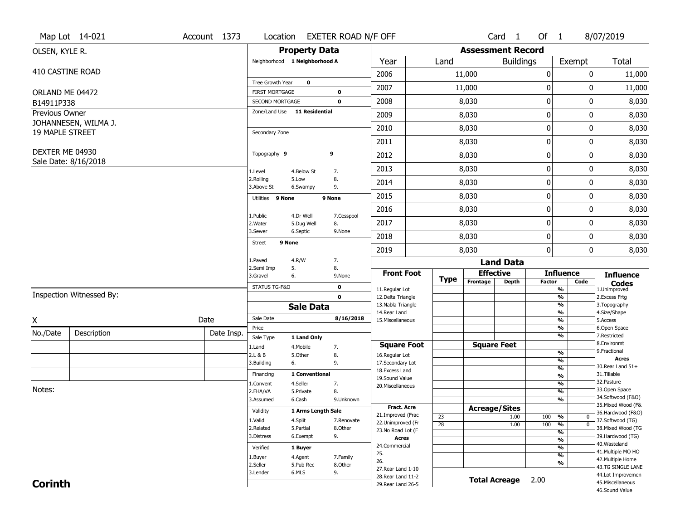|                              | Map Lot 14-021           | Account 1373 |                                          |                         | Location EXETER ROAD N/F OFF |                                          |                 |                          | Card <sub>1</sub> | Of $1$        |                                | 8/07/2019                              |
|------------------------------|--------------------------|--------------|------------------------------------------|-------------------------|------------------------------|------------------------------------------|-----------------|--------------------------|-------------------|---------------|--------------------------------|----------------------------------------|
| OLSEN, KYLE R.               |                          |              |                                          | <b>Property Data</b>    |                              |                                          |                 | <b>Assessment Record</b> |                   |               |                                |                                        |
|                              |                          |              | Neighborhood 1 Neighborhood A            |                         |                              | Year                                     | Land            |                          | <b>Buildings</b>  |               | Exempt                         | <b>Total</b>                           |
| 410 CASTINE ROAD             |                          |              |                                          |                         |                              | 2006                                     |                 | 11,000                   |                   | 0             |                                | 0<br>11,000                            |
|                              |                          |              | Tree Growth Year                         | $\mathbf 0$             |                              | 2007                                     |                 | 11,000                   |                   | 0             |                                | 11,000<br>0                            |
| ORLAND ME 04472              |                          |              | <b>FIRST MORTGAGE</b><br>SECOND MORTGAGE |                         | $\mathbf 0$<br>$\mathbf 0$   | 2008                                     |                 | 8,030                    |                   | 0             |                                | $\mathbf 0$<br>8,030                   |
| B14911P338<br>Previous Owner |                          |              | Zone/Land Use 11 Residential             |                         |                              |                                          |                 |                          |                   |               |                                |                                        |
|                              | JOHANNESEN, WILMA J.     |              |                                          |                         |                              | 2009                                     |                 | 8,030                    |                   | 0             |                                | 8,030<br>0                             |
| <b>19 MAPLE STREET</b>       |                          |              | Secondary Zone                           |                         |                              | 2010                                     |                 | 8,030                    |                   | 0             |                                | 0<br>8,030                             |
|                              |                          |              |                                          |                         |                              | 2011                                     |                 | 8,030                    |                   | 0             |                                | 0<br>8,030                             |
| DEXTER ME 04930              |                          |              | Topography 9                             |                         | 9                            | 2012                                     |                 | 8,030                    |                   | 0             |                                | 8,030<br>0                             |
|                              | Sale Date: 8/16/2018     |              | 1.Level                                  | 4.Below St              | 7.                           | 2013                                     |                 | 8,030                    |                   | 0             |                                | 0<br>8,030                             |
|                              |                          |              | 2.Rolling<br>3.Above St                  | 5.Low<br>6.Swampy       | 8.<br>9.                     | 2014                                     |                 | 8,030                    |                   | 0             |                                | 8,030<br>0                             |
|                              |                          |              | Utilities 9 None                         |                         | 9 None                       | 2015                                     |                 | 8,030                    |                   | 0             |                                | 8,030<br>0                             |
|                              |                          |              |                                          |                         |                              | 2016                                     |                 | 8,030                    |                   | 0             |                                | 0<br>8,030                             |
|                              |                          |              | 1.Public<br>2. Water                     | 4.Dr Well<br>5.Dug Well | 7.Cesspool<br>8.             | 2017                                     |                 | 8,030                    |                   | 0             |                                | 8,030<br>0                             |
|                              |                          |              | 3.Sewer                                  | 6.Septic                | 9.None                       | 2018                                     |                 | 8,030                    |                   | 0             |                                | 0<br>8,030                             |
|                              |                          |              | 9 None<br><b>Street</b>                  |                         |                              | 2019                                     |                 | 8,030                    |                   | $\mathbf{0}$  |                                | 0<br>8,030                             |
|                              |                          |              | 1.Paved                                  | 4.R/W                   | 7.                           |                                          |                 |                          | <b>Land Data</b>  |               |                                |                                        |
|                              |                          |              | 2.Semi Imp<br>3.Gravel                   | 5.<br>6.                | 8.<br>9.None                 | <b>Front Foot</b>                        |                 | <b>Effective</b>         |                   |               | <b>Influence</b>               | <b>Influence</b>                       |
|                              |                          |              | STATUS TG-F&O                            |                         | $\mathbf 0$                  |                                          | <b>Type</b>     | Frontage                 | <b>Depth</b>      | <b>Factor</b> | Code                           | <b>Codes</b>                           |
|                              | Inspection Witnessed By: |              |                                          |                         | $\mathbf 0$                  | 11.Regular Lot<br>12.Delta Triangle      |                 |                          |                   |               | $\frac{9}{6}$<br>$\frac{9}{6}$ | 1.Unimproved<br>2.Excess Frtg          |
|                              |                          |              |                                          | <b>Sale Data</b>        |                              | 13. Nabla Triangle                       |                 |                          |                   |               | $\frac{9}{6}$                  | 3. Topography                          |
| X                            |                          | Date         | Sale Date                                |                         | 8/16/2018                    | 14. Rear Land<br>15. Miscellaneous       |                 |                          |                   |               | $\frac{9}{6}$<br>$\frac{9}{6}$ | 4.Size/Shape<br>5.Access               |
| No./Date                     | Description              | Date Insp.   | Price                                    |                         |                              |                                          |                 |                          |                   |               | %                              | 6.Open Space                           |
|                              |                          |              | Sale Type                                | 1 Land Only             |                              | <b>Square Foot</b>                       |                 | <b>Square Feet</b>       |                   |               | %                              | 7.Restricted<br>8.Environmt            |
|                              |                          |              | 1.Land<br>2.L & B                        | 4. Mobile<br>5.0ther    | 7.<br>8.                     | 16.Regular Lot                           |                 |                          |                   |               | %                              | 9. Fractional                          |
|                              |                          |              | 3.Building                               | 6.                      | 9.                           | 17.Secondary Lot                         |                 |                          |                   |               | %                              | <b>Acres</b><br>30. Rear Land 51+      |
|                              |                          |              | Financing                                | 1 Conventional          |                              | 18.Excess Land<br>19.Sound Value         |                 |                          |                   |               | $\frac{9}{6}$<br>$\frac{9}{6}$ | 31.Tillable                            |
|                              |                          |              | 1.Convent                                | 4.Seller                | 7.                           | 20.Miscellaneous                         |                 |                          |                   |               | $\frac{9}{6}$                  | 32.Pasture                             |
| Notes:                       |                          |              | 2.FHA/VA                                 | 5.Private               | 8.                           |                                          |                 |                          |                   |               | $\frac{9}{6}$                  | 33.Open Space<br>34.Softwood (F&O)     |
|                              |                          |              | 3.Assumed                                | 6.Cash                  | 9.Unknown                    | <b>Fract. Acre</b>                       |                 | <b>Acreage/Sites</b>     |                   |               | $\frac{9}{6}$                  | 35. Mixed Wood (F&                     |
|                              |                          |              | Validity                                 | 1 Arms Length Sale      |                              | 21.Improved (Frac                        | 23              |                          | 1.00              | 100           | %                              | 36.Hardwood (F&O)<br>0                 |
|                              |                          |              | 1.Valid                                  | 4.Split                 | 7.Renovate                   | 22.Unimproved (Fr                        | $\overline{28}$ |                          | 1.00              | 100           | %                              | 37.Softwood (TG)<br>$\overline{0}$     |
|                              |                          |              | 2.Related<br>3.Distress                  | 5.Partial<br>6.Exempt   | 8.Other<br>9.                | 23.No Road Lot (F                        |                 |                          |                   |               | $\frac{9}{6}$                  | 38. Mixed Wood (TG<br>39.Hardwood (TG) |
|                              |                          |              |                                          |                         |                              | <b>Acres</b><br>24.Commercial            |                 |                          |                   |               | $\frac{9}{6}$                  | 40. Wasteland                          |
|                              |                          |              | Verified                                 | 1 Buyer                 |                              | 25.                                      |                 |                          |                   |               | $\frac{9}{6}$<br>$\frac{9}{6}$ | 41. Multiple MO HO                     |
|                              |                          |              | 1.Buyer<br>2.Seller                      | 4.Agent<br>5.Pub Rec    | 7.Family<br>8.Other          | 26.                                      |                 |                          |                   |               | $\frac{9}{6}$                  | 42. Multiple Home                      |
|                              |                          |              | 3.Lender                                 | 6.MLS                   | 9.                           | 27. Rear Land 1-10                       |                 |                          |                   |               |                                | 43.TG SINGLE LANE<br>44.Lot Improvemen |
|                              |                          |              |                                          |                         |                              |                                          |                 |                          |                   |               |                                |                                        |
| <b>Corinth</b>               |                          |              |                                          |                         |                              | 28. Rear Land 11-2<br>29. Rear Land 26-5 |                 | <b>Total Acreage</b>     |                   | 2.00          |                                | 45. Miscellaneous                      |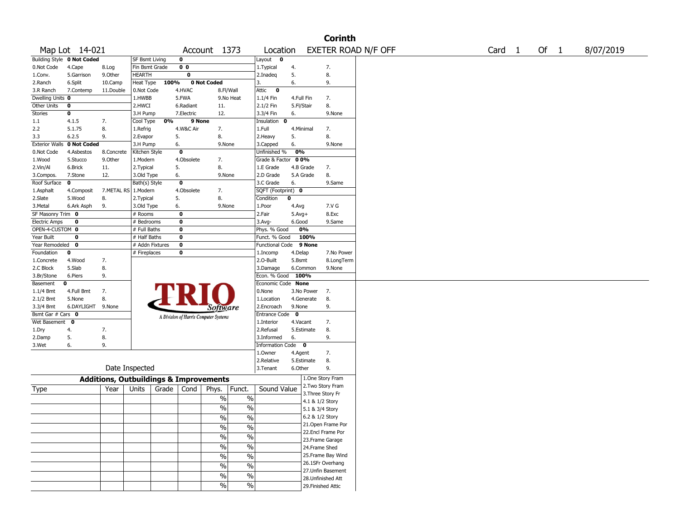|                       |                            |                                                   |                 |       |                         |                                       |                          |                       |             |                 | <b>Corinth</b>     |                     |                   |      |           |
|-----------------------|----------------------------|---------------------------------------------------|-----------------|-------|-------------------------|---------------------------------------|--------------------------|-----------------------|-------------|-----------------|--------------------|---------------------|-------------------|------|-----------|
|                       | Map Lot 14-021             |                                                   |                 |       |                         | Account 1373                          |                          | Location              |             |                 |                    | EXETER ROAD N/F OFF | Card <sub>1</sub> | Of 1 | 8/07/2019 |
|                       | Building Style 0 Not Coded |                                                   | SF Bsmt Living  |       | 0                       |                                       |                          | Layout<br>0           |             |                 |                    |                     |                   |      |           |
| 0.Not Code            | 4.Cape                     | 8.Log                                             | Fin Bsmt Grade  |       | 0 <sub>0</sub>          |                                       |                          | 1. Typical            | 4.          |                 | 7.                 |                     |                   |      |           |
| 1.Conv.               | 5.Garrison                 | 9.Other                                           | <b>HEARTH</b>   |       | $\overline{\mathbf{0}}$ |                                       |                          | 2.Inadeq              | 5.          |                 | 8.                 |                     |                   |      |           |
| 2.Ranch               | 6.Split                    | 10.Camp                                           | Heat Type       | 100%  |                         | 0 Not Coded                           |                          | 3.                    | 6.          |                 | 9.                 |                     |                   |      |           |
| 3.R Ranch             | 7.Contemp                  | 11.Double                                         | 0.Not Code      |       | 4.HVAC                  | 8.Fl/Wall                             |                          | Attic<br>$\mathbf{o}$ |             |                 |                    |                     |                   |      |           |
| Dwelling Units 0      |                            |                                                   | 1.HWBB          |       | 5.FWA                   |                                       | 9.No Heat                | $1.1/4$ Fin           | 4.Full Fin  |                 | 7.                 |                     |                   |      |           |
| Other Units           | 0                          |                                                   | 2.HWCI          |       | 6.Radiant               | 11.                                   |                          | 2.1/2 Fin             | 5.Fl/Stair  |                 | 8.                 |                     |                   |      |           |
| Stories               | 0                          |                                                   | 3.H Pump        |       | 7.Electric              | 12.                                   |                          | 3.3/4 Fin             | 6.          |                 | 9.None             |                     |                   |      |           |
| 1.1                   | 4.1.5                      | 7.                                                | Cool Type       | 0%    | 9 None                  |                                       |                          | Insulation<br>0       |             |                 |                    |                     |                   |      |           |
| 2.2                   | 5.1.75                     | 8.                                                | 1.Refrig        |       | 4.W&C Air               | 7.                                    |                          | 1.Full                | 4.Minimal   |                 | 7.                 |                     |                   |      |           |
| 3.3                   | 6.2.5                      | 9.                                                | 2.Evapor        | 5.    |                         | 8.                                    |                          | 2.Heavy               | 5.          |                 | 8.                 |                     |                   |      |           |
| <b>Exterior Walls</b> | 0 Not Coded                |                                                   | 3.H Pump        | 6.    |                         | 9.None                                |                          | 3.Capped              | 6.          |                 | 9.None             |                     |                   |      |           |
| 0.Not Code            | 4.Asbestos                 | 8.Concrete                                        | Kitchen Style   |       | $\mathbf 0$             |                                       |                          | Unfinished %          | 0%          |                 |                    |                     |                   |      |           |
| 1.Wood                | 5.Stucco                   | 9.0ther                                           | 1.Modern        |       | 4.Obsolete              | 7.                                    |                          | Grade & Factor        | 00%         |                 |                    |                     |                   |      |           |
| 2.Vin/Al              | 6.Brick                    | 11.                                               | 2. Typical      | 5.    |                         | 8.                                    |                          | 1.E Grade             | 4.B Grade   |                 | 7.                 |                     |                   |      |           |
| 3.Compos.             | 7.Stone                    | 12.                                               | 3.Old Type      | 6.    |                         | 9.None                                |                          | 2.D Grade             |             | 5.A Grade       | 8.                 |                     |                   |      |           |
| Roof Surface          | $\mathbf 0$                |                                                   | Bath(s) Style   |       | $\mathbf 0$             |                                       |                          | 3.C Grade             | 6.          |                 | 9.Same             |                     |                   |      |           |
| 1.Asphalt             | 4.Composit                 | 7.METAL RS                                        | 1.Modern        |       | 4.Obsolete              | 7.                                    |                          | SQFT (Footprint) 0    |             |                 |                    |                     |                   |      |           |
| 2.Slate               | 5.Wood                     | 8.                                                | 2. Typical      | 5.    |                         | 8.                                    |                          | Condition             | $\mathbf 0$ |                 |                    |                     |                   |      |           |
| 3.Metal               | 6.Ark Asph                 | 9.                                                | 3.Old Type      | 6.    |                         | 9.None                                |                          | 1.Poor                | 4.Avg       |                 | 7.V G              |                     |                   |      |           |
| SF Masonry Trim 0     |                            |                                                   | # Rooms         |       | $\mathbf 0$             |                                       |                          | 2.Fair                | $5.Avg+$    |                 | 8.Exc              |                     |                   |      |           |
| <b>Electric Amps</b>  | 0                          |                                                   | # Bedrooms      |       | 0                       |                                       |                          | 3.Avg-                | 6.Good      |                 | 9.Same             |                     |                   |      |           |
| OPEN-4-CUSTOM 0       |                            |                                                   | # Full Baths    |       | $\mathbf 0$             |                                       |                          | Phys. % Good          |             | 0%              |                    |                     |                   |      |           |
| Year Built            | 0                          |                                                   | # Half Baths    |       | $\pmb{0}$               |                                       |                          | Funct. % Good         |             | 100%            |                    |                     |                   |      |           |
| Year Remodeled        | 0                          |                                                   | # Addn Fixtures |       | $\pmb{0}$               |                                       |                          | Functional Code       |             | 9 None          |                    |                     |                   |      |           |
| Foundation            | 0                          |                                                   | # Fireplaces    |       | $\pmb{0}$               |                                       |                          |                       | 4.Delap     |                 | 7.No Power         |                     |                   |      |           |
| 1.Concrete            | 4.Wood                     | 7.                                                |                 |       |                         |                                       |                          | 1.Incomp<br>2.0-Built | 5.Bsmt      |                 | 8.LongTerm         |                     |                   |      |           |
|                       |                            |                                                   |                 |       |                         |                                       |                          |                       |             | 6.Common        |                    |                     |                   |      |           |
| 2.C Block             | 5.Slab                     | 8.                                                |                 |       |                         |                                       |                          | 3.Damage              |             |                 | 9.None             |                     |                   |      |           |
| 3.Br/Stone            | 6.Piers                    | 9.                                                |                 |       |                         |                                       |                          | Econ. % Good 100%     |             |                 |                    |                     |                   |      |           |
| Basement              | 0                          |                                                   |                 |       |                         |                                       |                          | Economic Code None    |             |                 |                    |                     |                   |      |           |
| $1.1/4$ Bmt           | 4.Full Bmt                 | 7.                                                |                 |       |                         |                                       |                          | 0.None                |             | 3.No Power      | 7.                 |                     |                   |      |           |
| 2.1/2 Bmt             | 5.None                     | 8.                                                |                 |       |                         |                                       |                          | 1.Location            |             | 4.Generate      | 8.                 |                     |                   |      |           |
| 3.3/4 Bmt             | 6.DAYLIGHT                 | 9.None                                            |                 |       |                         | <i>Software</i>                       |                          | 2.Encroach            | 9.None      |                 | 9.                 |                     |                   |      |           |
| Bsmt Gar # Cars 0     |                            |                                                   |                 |       |                         | A Division of Harris Computer Systems |                          | <b>Entrance Code</b>  | $\mathbf 0$ |                 |                    |                     |                   |      |           |
| Wet Basement          | 0                          |                                                   |                 |       |                         |                                       |                          | 1.Interior            | 4.Vacant    |                 | 7.                 |                     |                   |      |           |
| 1.Dry                 | 4.                         | 7.                                                |                 |       |                         |                                       |                          | 2.Refusal             |             | 5.Estimate      | 8.                 |                     |                   |      |           |
| 2.Damp                | 5.                         | 8.                                                |                 |       |                         |                                       |                          | 3.Informed            | 6.          |                 | 9.                 |                     |                   |      |           |
| 3.Wet                 | 6.                         | 9.                                                |                 |       |                         |                                       |                          | Information Code 0    |             |                 |                    |                     |                   |      |           |
|                       |                            |                                                   |                 |       |                         |                                       |                          | 1.Owner               | 4.Agent     |                 | 7.                 |                     |                   |      |           |
|                       |                            |                                                   |                 |       |                         |                                       |                          | 2.Relative            |             | 5.Estimate      | 8.                 |                     |                   |      |           |
|                       |                            |                                                   | Date Inspected  |       |                         |                                       |                          | 3. Tenant             | 6.Other     |                 | 9.                 |                     |                   |      |           |
|                       |                            | <b>Additions, Outbuildings &amp; Improvements</b> |                 |       |                         |                                       |                          |                       |             |                 | 1.One Story Fram   |                     |                   |      |           |
| Type                  |                            | Year                                              | Units           | Grade | Cond                    | Phys.                                 | Funct.                   | Sound Value           |             |                 | 2. Two Story Fram  |                     |                   |      |           |
|                       |                            |                                                   |                 |       |                         | $\%$                                  | $\%$                     |                       |             |                 | 3. Three Story Fr  |                     |                   |      |           |
|                       |                            |                                                   |                 |       |                         |                                       |                          |                       |             | 4.1 & 1/2 Story |                    |                     |                   |      |           |
|                       |                            |                                                   |                 |       |                         | $\%$                                  | $\%$                     |                       |             | 5.1 & 3/4 Story |                    |                     |                   |      |           |
|                       |                            |                                                   |                 |       |                         | $\frac{0}{0}$                         | $\%$                     |                       |             | 6.2 & 1/2 Story |                    |                     |                   |      |           |
|                       |                            |                                                   |                 |       |                         | $\sqrt{6}$                            | $\frac{0}{0}$            |                       |             |                 | 21.Open Frame Por  |                     |                   |      |           |
|                       |                            |                                                   |                 |       |                         | $\frac{0}{6}$                         | $\overline{\frac{0}{0}}$ |                       |             |                 | 22.Encl Frame Por  |                     |                   |      |           |
|                       |                            |                                                   |                 |       |                         |                                       |                          |                       |             |                 | 23.Frame Garage    |                     |                   |      |           |
|                       |                            |                                                   |                 |       |                         | $\frac{0}{6}$                         | $\overline{\frac{0}{0}}$ |                       |             | 24.Frame Shed   |                    |                     |                   |      |           |
|                       |                            |                                                   |                 |       |                         | $\frac{0}{6}$                         | $\overline{\frac{0}{0}}$ |                       |             |                 | 25. Frame Bay Wind |                     |                   |      |           |
|                       |                            |                                                   |                 |       |                         | $\sqrt{6}$                            | $\%$                     |                       |             |                 | 26.1SFr Overhang   |                     |                   |      |           |
|                       |                            |                                                   |                 |       |                         |                                       |                          |                       |             |                 | 27.Unfin Basement  |                     |                   |      |           |
|                       |                            |                                                   |                 |       |                         | $\%$                                  | $\%$                     |                       |             |                 | 28. Unfinished Att |                     |                   |      |           |
|                       |                            |                                                   |                 |       |                         | $\sqrt{6}$                            | $\%$                     |                       |             |                 | 29. Finished Attic |                     |                   |      |           |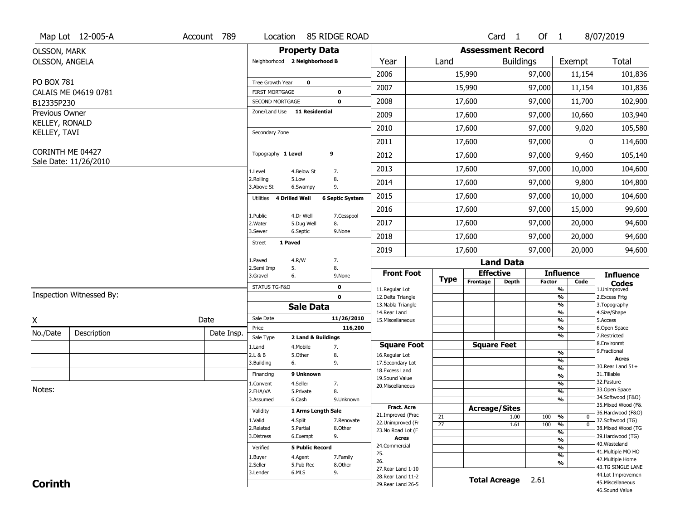|                                  | Map Lot 12-005-A         | Account 789 | Location                           |                        | 85 RIDGE ROAD          |                                         |                 |                          | Card 1           | Of $1$        |                                | 8/07/2019                               |
|----------------------------------|--------------------------|-------------|------------------------------------|------------------------|------------------------|-----------------------------------------|-----------------|--------------------------|------------------|---------------|--------------------------------|-----------------------------------------|
| <b>OLSSON, MARK</b>              |                          |             |                                    | <b>Property Data</b>   |                        |                                         |                 | <b>Assessment Record</b> |                  |               |                                |                                         |
| OLSSON, ANGELA                   |                          |             | Neighborhood 2 Neighborhood B      |                        |                        | Year                                    | Land            |                          | <b>Buildings</b> |               | Exempt                         | <b>Total</b>                            |
|                                  |                          |             |                                    |                        |                        | 2006                                    |                 | 15,990                   |                  | 97,000        | 11,154                         | 101,836                                 |
| PO BOX 781                       |                          |             | Tree Growth Year                   | $\mathbf 0$            |                        | 2007                                    |                 | 15,990                   |                  | 97,000        | 11,154                         | 101,836                                 |
|                                  | CALAIS ME 04619 0781     |             | <b>FIRST MORTGAGE</b>              |                        | $\mathbf 0$            |                                         |                 |                          |                  |               |                                |                                         |
| B12335P230                       |                          |             | SECOND MORTGAGE                    |                        | $\mathbf 0$            | 2008                                    |                 | 17,600                   |                  | 97,000        | 11,700                         | 102,900                                 |
| Previous Owner<br>KELLEY, RONALD |                          |             | Zone/Land Use 11 Residential       |                        |                        | 2009                                    |                 | 17,600                   |                  | 97,000        | 10,660                         | 103,940                                 |
| KELLEY, TAVI                     |                          |             | Secondary Zone                     |                        |                        | 2010                                    |                 | 17,600                   |                  | 97,000        | 9,020                          | 105,580                                 |
|                                  |                          |             |                                    |                        |                        | 2011                                    |                 | 17,600                   |                  | 97,000        | 0                              | 114,600                                 |
| CORINTH ME 04427                 | Sale Date: 11/26/2010    |             | Topography 1 Level                 |                        | 9                      | 2012                                    |                 | 17,600                   |                  | 97,000        | 9,460                          | 105,140                                 |
|                                  |                          |             | 1.Level                            | 4.Below St             | 7.                     | 2013                                    |                 | 17,600                   |                  | 97,000        | 10,000                         | 104,600                                 |
|                                  |                          |             | 2.Rolling<br>3.Above St            | 5.Low<br>6.Swampy      | 8.<br>9.               | 2014                                    |                 | 17,600                   |                  | 97,000        | 9,800                          | 104,800                                 |
|                                  |                          |             | <b>4 Drilled Well</b><br>Utilities |                        | <b>6 Septic System</b> | 2015                                    |                 | 17,600                   |                  | 97,000        | 10,000                         | 104,600                                 |
|                                  |                          |             | 1.Public                           | 4.Dr Well              | 7.Cesspool             | 2016                                    |                 | 17,600                   |                  | 97,000        | 15,000                         | 99,600                                  |
|                                  |                          |             | 2. Water                           | 5.Dug Well             | 8.                     | 2017                                    |                 | 17,600                   |                  | 97,000        | 20,000                         | 94,600                                  |
|                                  |                          |             | 3.Sewer                            | 6.Septic               | 9.None                 | 2018                                    |                 | 17,600                   |                  | 97,000        | 20,000                         | 94,600                                  |
|                                  |                          |             | 1 Paved<br><b>Street</b>           |                        |                        | 2019                                    |                 | 17,600                   |                  | 97,000        | 20,000                         | 94,600                                  |
|                                  |                          |             | 1.Paved                            | 4.R/W                  | 7.                     |                                         |                 |                          | <b>Land Data</b> |               |                                |                                         |
|                                  |                          |             | 2.Semi Imp<br>5.<br>3.Gravel<br>6. |                        | 8.<br>9.None           | <b>Front Foot</b>                       |                 | <b>Effective</b>         |                  |               | <b>Influence</b>               | <b>Influence</b>                        |
|                                  |                          |             | STATUS TG-F&O                      |                        | $\mathbf 0$            |                                         | <b>Type</b>     | Frontage                 | <b>Depth</b>     | <b>Factor</b> | Code                           | <b>Codes</b>                            |
|                                  | Inspection Witnessed By: |             |                                    |                        | $\mathbf 0$            | 11.Regular Lot<br>12.Delta Triangle     |                 |                          |                  |               | %<br>$\frac{9}{6}$             | 1.Unimproved<br>2. Excess Frtg          |
|                                  |                          |             |                                    | <b>Sale Data</b>       |                        | 13. Nabla Triangle                      |                 |                          |                  |               | %                              | 3. Topography                           |
| X                                |                          | Date        | Sale Date                          |                        | 11/26/2010             | 14. Rear Land<br>15. Miscellaneous      |                 |                          |                  |               | %<br>%                         | 4.Size/Shape<br>5.Access                |
|                                  |                          |             | Price                              |                        | 116,200                |                                         |                 |                          |                  |               | %                              | 6.Open Space                            |
| No./Date                         | Description              | Date Insp.  | Sale Type                          | 2 Land & Buildings     |                        |                                         |                 |                          |                  |               | %                              | 7.Restricted                            |
|                                  |                          |             | 1.Land                             | 4. Mobile              | 7.                     | <b>Square Foot</b>                      |                 | <b>Square Feet</b>       |                  |               | $\frac{9}{6}$                  | 8.Environmt<br>9. Fractional            |
|                                  |                          |             | 2.L & B<br>3.Building<br>6.        | 5.Other                | 8.<br>9.               | 16.Regular Lot<br>17.Secondary Lot      |                 |                          |                  |               | $\frac{9}{6}$                  | <b>Acres</b>                            |
|                                  |                          |             |                                    |                        |                        | 18.Excess Land                          |                 |                          |                  |               | $\frac{9}{6}$                  | 30. Rear Land 51+                       |
|                                  |                          |             | Financing                          | 9 Unknown              |                        | 19.Sound Value                          |                 |                          |                  |               | $\frac{9}{6}$                  | 31.Tillable<br>32.Pasture               |
| Notes:                           |                          |             | 1.Convent                          | 4.Seller               | 7.<br>8.               | 20.Miscellaneous                        |                 |                          |                  |               | $\frac{9}{6}$                  | 33.Open Space                           |
|                                  |                          |             |                                    |                        |                        |                                         |                 |                          |                  |               | $\frac{9}{6}$                  | 34.Softwood (F&O)                       |
|                                  |                          |             | 2.FHA/VA                           | 5.Private              |                        |                                         |                 |                          |                  |               |                                |                                         |
|                                  |                          |             | 3.Assumed                          | 6.Cash                 | 9.Unknown              |                                         |                 |                          |                  |               | $\frac{9}{6}$                  | 35. Mixed Wood (F&                      |
|                                  |                          |             | Validity                           | 1 Arms Length Sale     |                        | <b>Fract. Acre</b><br>21.Improved (Frac |                 | <b>Acreage/Sites</b>     |                  |               |                                | 36.Hardwood (F&O)                       |
|                                  |                          |             | 1.Valid                            | 4.Split                | 7.Renovate             | 22.Unimproved (Fr                       | 21              |                          | 1.00             | 100           | %<br>0<br>$\overline{0}$       | 37.Softwood (TG)                        |
|                                  |                          |             | 2.Related                          | 5.Partial              | 8.0ther                | 23.No Road Lot (F                       | $\overline{27}$ |                          | 1.61             | 100           | $\frac{9}{6}$<br>$\frac{9}{6}$ | 38. Mixed Wood (TG                      |
|                                  |                          |             | 3.Distress                         | 6.Exempt               | 9.                     | <b>Acres</b>                            |                 |                          |                  |               | $\frac{9}{6}$                  | 39.Hardwood (TG)                        |
|                                  |                          |             | Verified                           | <b>5 Public Record</b> |                        | 24.Commercial                           |                 |                          |                  |               | $\frac{9}{6}$                  | 40. Wasteland                           |
|                                  |                          |             | 1.Buyer                            | 4.Agent                | 7.Family               | 25.                                     |                 |                          |                  |               | $\frac{9}{6}$                  | 41. Multiple MO HO<br>42. Multiple Home |
|                                  |                          |             | 2.Seller                           | 5.Pub Rec              | 8.Other                | 26.<br>27. Rear Land 1-10               |                 |                          |                  |               | %                              | 43.TG SINGLE LANE                       |
| <b>Corinth</b>                   |                          |             | 3.Lender                           | 6.MLS                  | 9.                     | 28. Rear Land 11-2                      |                 | <b>Total Acreage</b>     |                  | 2.61          |                                | 44.Lot Improvemen<br>45. Miscellaneous  |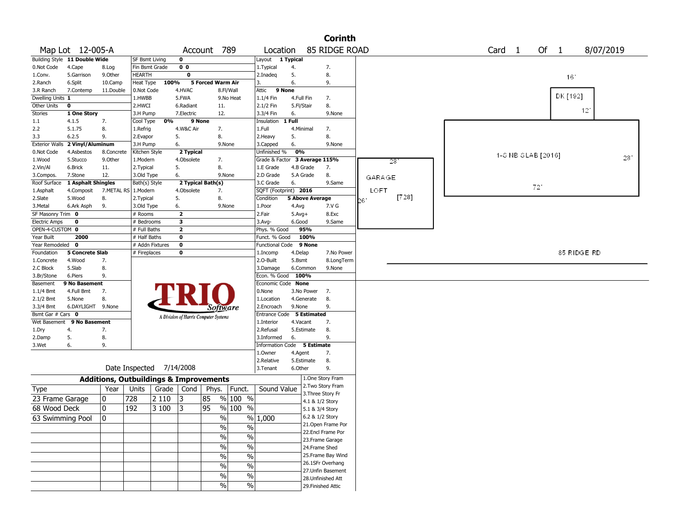|                       |                               |                                                   |                       |                          |                |                                       |                          |                               |                        |                   | <b>Corinth</b>     |        |       |  |                    |        |          |             |    |
|-----------------------|-------------------------------|---------------------------------------------------|-----------------------|--------------------------|----------------|---------------------------------------|--------------------------|-------------------------------|------------------------|-------------------|--------------------|--------|-------|--|--------------------|--------|----------|-------------|----|
|                       | Map Lot 12-005-A              |                                                   |                       |                          |                | Account 789                           |                          | Location                      |                        |                   | 85 RIDGE ROAD      |        |       |  | Card <sub>1</sub>  | Of $1$ |          | 8/07/2019   |    |
|                       | Building Style 11 Double Wide |                                                   | <b>SF Bsmt Living</b> |                          | 0              |                                       |                          | Layout 1 Typical              |                        |                   |                    |        |       |  |                    |        |          |             |    |
| 0.Not Code            | 4.Cape                        | 8.Log                                             | Fin Bsmt Grade        |                          | 0 <sub>0</sub> |                                       |                          | 1. Typical                    | 4.                     |                   | 7.                 |        |       |  |                    |        |          |             |    |
| 1.Conv.               | 5.Garrison                    | 9.0ther                                           | HEARTH                |                          | 0              |                                       |                          | 2.Inadeg                      | 5.                     |                   | 8.                 |        |       |  |                    |        | 16'      |             |    |
| 2.Ranch               | 6.Split                       | 10.Camp                                           | Heat Type             | 100%                     |                | 5 Forced Warm Air                     |                          | 3.                            | 6.                     |                   | 9.                 |        |       |  |                    |        |          |             |    |
| 3.R Ranch             | 7.Contemp                     | 11.Double                                         | 0.Not Code            |                          | 4.HVAC         |                                       | 8.Fl/Wall                | Attic 9 None                  |                        |                   |                    |        |       |  |                    |        |          |             |    |
| Dwelling Units 1      |                               |                                                   | 1.HWBB                |                          | 5.FWA          |                                       | 9.No Heat                | 1.1/4 Fin                     | 4.Full Fin             |                   | 7.                 |        |       |  |                    |        | DK [192] |             |    |
| Other Units           | $\pmb{0}$                     |                                                   | 2.HWCI                |                          | 6.Radiant      | 11.                                   |                          | 2.1/2 Fin                     | 5.Fl/Stair             |                   | 8.                 |        |       |  |                    |        |          | 12'         |    |
| Stories               | 1 One Story                   |                                                   | 3.H Pump              |                          | 7.Electric     | 12.                                   |                          | 3.3/4 Fin                     | 6.                     |                   | 9.None             |        |       |  |                    |        |          |             |    |
| 1.1                   | 4.1.5                         | 7.                                                | Cool Type             | 0%                       |                | 9 None                                |                          | Insulation                    | 1 Full                 |                   |                    |        |       |  |                    |        |          |             |    |
| 2.2                   | 5.1.75                        | 8.                                                | 1.Refrig              |                          | 4.W&C Air      | 7.                                    |                          | 1.Full                        | 4.Minimal              |                   | 7.                 |        |       |  |                    |        |          |             |    |
| 3.3                   | 6.2.5                         | 9.                                                | 2.Evapor              |                          | 5.             | 8.                                    |                          | 2.Heavy                       | 5.                     |                   | 8.                 |        |       |  |                    |        |          |             |    |
| <b>Exterior Walls</b> | 2 Vinyl/Aluminum              |                                                   | 3.H Pump              |                          | 6.             |                                       | 9.None                   | 3.Capped                      | 6.                     |                   | 9.None             |        |       |  |                    |        |          |             |    |
| 0.Not Code            | 4.Asbestos                    | 8.Concrete                                        | Kitchen Style         |                          | 2 Typical      |                                       |                          | Unfinished %                  | 0%                     |                   |                    |        |       |  | 1-S NB SLAB [2016] |        |          |             |    |
| 1.Wood                | 5.Stucco                      | 9.Other                                           | 1.Modern              |                          | 4.Obsolete     | 7.                                    |                          | Grade & Factor 3 Average 115% |                        |                   |                    |        | 23    |  |                    |        |          |             | 28 |
| 2.Vin/Al              | 6.Brick                       | 11.                                               | 2. Typical            |                          | 5.             | 8.                                    |                          | 1.E Grade                     | 4.B Grade              |                   | 7.                 |        |       |  |                    |        |          |             |    |
| 3.Compos.             | 7.Stone                       | 12.                                               | 3.Old Type            |                          | 6.             |                                       | 9.None                   | 2.D Grade                     | 5.A Grade              |                   | 8.                 | GARAGE |       |  |                    |        |          |             |    |
| Roof Surface          | 1 Asphalt Shingles            |                                                   | Bath(s) Style         |                          |                | 2 Typical Bath(s)                     |                          | 3.C Grade                     | 6.                     |                   | 9.Same             |        |       |  |                    | 72'    |          |             |    |
| 1.Asphalt             | 4.Composit                    | 7.METAL RS                                        | 1.Modern              |                          | 4.Obsolete     | 7.                                    |                          | SQFT (Footprint) 2016         |                        |                   |                    | LOFT   |       |  |                    |        |          |             |    |
| 2.Slate               | 5.Wood                        | 8.                                                | 2. Typical            |                          | 5.             | 8.                                    |                          | Condition                     | <b>5 Above Average</b> |                   |                    | 561    | [728] |  |                    |        |          |             |    |
| 3.Metal               | 6.Ark Asph                    | 9.                                                | 3.Old Type            |                          | 6.             |                                       | 9.None                   | 1.Poor                        | 4.Avg                  |                   | 7.V G              |        |       |  |                    |        |          |             |    |
| SF Masonry Trim 0     |                               |                                                   | # Rooms               |                          | $\mathbf{2}$   |                                       |                          | 2.Fair                        | $5.Avg+$               |                   | 8.Exc              |        |       |  |                    |        |          |             |    |
| <b>Electric Amps</b>  | 0                             |                                                   | # Bedrooms            |                          | 3              |                                       |                          | $3.$ Avg-                     | 6.Good                 |                   | 9.Same             |        |       |  |                    |        |          |             |    |
| OPEN-4-CUSTOM 0       |                               |                                                   | # Full Baths          |                          | $\mathbf{2}$   |                                       |                          | Phys. % Good                  | 95%                    |                   |                    |        |       |  |                    |        |          |             |    |
| Year Built            | 2000                          |                                                   | # Half Baths          |                          | 0              |                                       |                          | Funct. % Good                 |                        | 100%              |                    |        |       |  |                    |        |          |             |    |
| Year Remodeled 0      |                               |                                                   |                       | # Addn Fixtures          | 0              |                                       |                          | Functional Code 9 None        |                        |                   |                    |        |       |  |                    |        |          |             |    |
| Foundation            | <b>5 Concrete Slab</b>        |                                                   | # Fireplaces          |                          | 0              |                                       |                          | 1.Incomp                      | 4.Delap                |                   | 7.No Power         |        |       |  |                    |        |          | 85 RIDGE RD |    |
| 1.Concrete            | 4.Wood                        | 7.                                                |                       |                          |                |                                       |                          | 2.0-Built                     | 5.Bsmt                 |                   | 8.LongTerm         |        |       |  |                    |        |          |             |    |
| 2.C Block             | 5.Slab                        | 8.                                                |                       |                          |                |                                       |                          | 3.Damage                      | 6.Common               |                   | 9.None             |        |       |  |                    |        |          |             |    |
| 3.Br/Stone            | 6.Piers                       | 9.                                                |                       |                          |                |                                       |                          | Econ. % Good 100%             |                        |                   |                    |        |       |  |                    |        |          |             |    |
| Basement              | 9 No Basement                 |                                                   |                       |                          |                |                                       |                          | Economic Code None            |                        |                   |                    |        |       |  |                    |        |          |             |    |
| 1.1/4 Bmt             | 4.Full Bmt                    | 7.                                                |                       |                          |                |                                       |                          | 0.None                        | 3.No Power             |                   | - 7.               |        |       |  |                    |        |          |             |    |
| $2.1/2$ Bmt           | 5.None                        | 8.                                                |                       |                          |                |                                       |                          | 1.Location                    | 4.Generate             |                   | 8.                 |        |       |  |                    |        |          |             |    |
| 3.3/4 Bmt             | 6.DAYLIGHT 9.None             |                                                   |                       |                          |                | Software                              |                          | 2.Encroach                    | 9.None                 |                   | 9.                 |        |       |  |                    |        |          |             |    |
| Bsmt Gar # Cars 0     |                               |                                                   |                       |                          |                | A Division of Harris Computer Systems |                          | Entrance Code 5 Estimated     |                        |                   |                    |        |       |  |                    |        |          |             |    |
|                       | Wet Basement 9 No Basement    |                                                   |                       |                          |                |                                       |                          | 1.Interior                    | 4.Vacant               |                   | 7.                 |        |       |  |                    |        |          |             |    |
| 1.Dry                 | 4.                            | 7.                                                |                       |                          |                |                                       |                          | 2.Refusal                     | 5.Estimate             |                   | 8.                 |        |       |  |                    |        |          |             |    |
| 2.Damp                | 5.                            | 8.                                                |                       |                          |                |                                       |                          | 3.Informed                    | 6.                     |                   | 9.                 |        |       |  |                    |        |          |             |    |
| 3.Wet                 | 6.                            | 9.                                                |                       |                          |                |                                       |                          | Information Code              |                        | <b>5 Estimate</b> |                    |        |       |  |                    |        |          |             |    |
|                       |                               |                                                   |                       |                          |                |                                       |                          | 1.0wner                       | 4.Agent                |                   | 7.                 |        |       |  |                    |        |          |             |    |
|                       |                               |                                                   |                       |                          |                |                                       |                          | 2.Relative                    | 5.Estimate             |                   | 8.                 |        |       |  |                    |        |          |             |    |
|                       |                               |                                                   |                       | Date Inspected 7/14/2008 |                |                                       |                          | 3. Tenant                     | 6.Other                |                   | 9.                 |        |       |  |                    |        |          |             |    |
|                       |                               |                                                   |                       |                          |                |                                       |                          |                               |                        |                   |                    |        |       |  |                    |        |          |             |    |
|                       |                               | <b>Additions, Outbuildings &amp; Improvements</b> |                       |                          |                |                                       |                          |                               |                        |                   | 1.One Story Fram   |        |       |  |                    |        |          |             |    |
| Type                  |                               | Year                                              | Units                 | Grade   Cond             |                | Phys.                                 | Funct.                   | Sound Value                   |                        |                   | 2. Two Story Fram  |        |       |  |                    |        |          |             |    |
| 23 Frame Garage       |                               | 0                                                 | 728                   | 2 1 1 0                  | 3              | 85                                    | % 100 %                  |                               |                        | 3. Three Story Fr |                    |        |       |  |                    |        |          |             |    |
|                       |                               |                                                   |                       |                          |                | 95                                    | % 100 %                  |                               |                        | 4.1 & 1/2 Story   |                    |        |       |  |                    |        |          |             |    |
| 68 Wood Deck          |                               | 10                                                | 192                   | 3 100                    | 3              |                                       |                          |                               |                        | 5.1 & 3/4 Story   |                    |        |       |  |                    |        |          |             |    |
| 63 Swimming Pool      |                               | 0                                                 |                       |                          |                | $\sqrt{6}$                            |                          | $\frac{9}{6}$ 1,000           |                        | 6.2 & 1/2 Story   |                    |        |       |  |                    |        |          |             |    |
|                       |                               |                                                   |                       |                          |                | $\sqrt{6}$                            | $\%$                     |                               |                        |                   | 21. Open Frame Por |        |       |  |                    |        |          |             |    |
|                       |                               |                                                   |                       |                          |                | $\sqrt{6}$                            | $\%$                     |                               |                        |                   | 22.Encl Frame Por  |        |       |  |                    |        |          |             |    |
|                       |                               |                                                   |                       |                          |                |                                       |                          |                               |                        |                   | 23. Frame Garage   |        |       |  |                    |        |          |             |    |
|                       |                               |                                                   |                       |                          |                | $\sqrt{6}$                            | $\%$                     |                               |                        | 24.Frame Shed     |                    |        |       |  |                    |        |          |             |    |
|                       |                               |                                                   |                       |                          |                | $\%$                                  | $\%$                     |                               |                        |                   | 25. Frame Bay Wind |        |       |  |                    |        |          |             |    |
|                       |                               |                                                   |                       |                          |                | $\sqrt{6}$                            | $\%$                     |                               |                        |                   | 26.1SFr Overhang   |        |       |  |                    |        |          |             |    |
|                       |                               |                                                   |                       |                          |                | $\sqrt{6}$                            |                          |                               |                        |                   | 27.Unfin Basement  |        |       |  |                    |        |          |             |    |
|                       |                               |                                                   |                       |                          |                |                                       | $\%$                     |                               |                        |                   | 28.Unfinished Att  |        |       |  |                    |        |          |             |    |
|                       |                               |                                                   |                       |                          |                | $\sqrt{6}$                            | $\overline{\frac{0}{0}}$ |                               |                        |                   | 29. Finished Attic |        |       |  |                    |        |          |             |    |
|                       |                               |                                                   |                       |                          |                |                                       |                          |                               |                        |                   |                    |        |       |  |                    |        |          |             |    |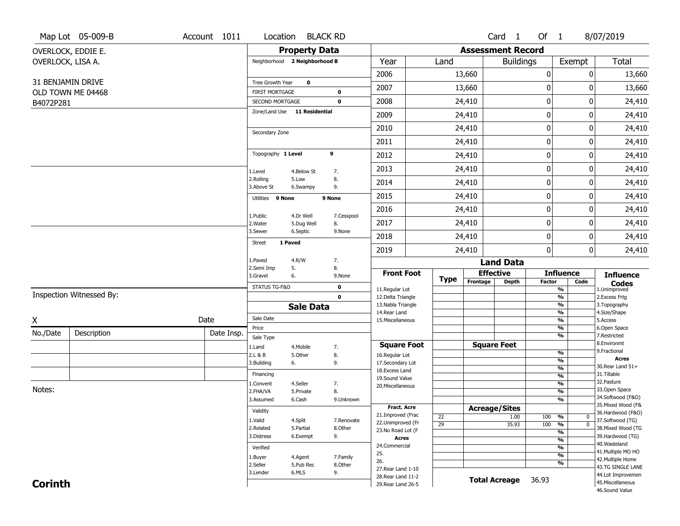|                   | Map Lot 05-009-B         | Account 1011 | Location                                 |                               | <b>BLACK RD</b>            |                                          |             |                          | Card <sub>1</sub>    | Of 1          |                                           | 8/07/2019                              |
|-------------------|--------------------------|--------------|------------------------------------------|-------------------------------|----------------------------|------------------------------------------|-------------|--------------------------|----------------------|---------------|-------------------------------------------|----------------------------------------|
|                   | OVERLOCK, EDDIE E.       |              |                                          | <b>Property Data</b>          |                            |                                          |             | <b>Assessment Record</b> |                      |               |                                           |                                        |
| OVERLOCK, LISA A. |                          |              |                                          | Neighborhood 2 Neighborhood B |                            | Year                                     | Land        |                          | <b>Buildings</b>     |               | Exempt                                    | <b>Total</b>                           |
|                   |                          |              |                                          |                               |                            | 2006                                     |             | 13,660                   |                      | 0             | 0                                         | 13,660                                 |
|                   | 31 BENJAMIN DRIVE        |              | Tree Growth Year                         | $\mathbf 0$                   |                            | 2007                                     |             | 13,660                   |                      | 0             | 0                                         | 13,660                                 |
|                   | OLD TOWN ME 04468        |              | <b>FIRST MORTGAGE</b><br>SECOND MORTGAGE |                               | $\mathbf 0$<br>$\mathbf 0$ | 2008                                     |             | 24,410                   |                      | $\pmb{0}$     | 0                                         | 24,410                                 |
| B4072P281         |                          |              |                                          | Zone/Land Use 11 Residential  |                            | 2009                                     |             |                          |                      | $\mathbf 0$   | 0                                         | 24,410                                 |
|                   |                          |              |                                          |                               |                            |                                          |             | 24,410                   |                      | $\pmb{0}$     |                                           |                                        |
|                   |                          |              | Secondary Zone                           |                               |                            | 2010                                     |             | 24,410                   |                      |               | 0                                         | 24,410                                 |
|                   |                          |              |                                          |                               |                            | 2011                                     |             | 24,410                   |                      | 0             | 0                                         | 24,410                                 |
|                   |                          |              | Topography 1 Level                       |                               | 9                          | 2012                                     |             | 24,410                   |                      | $\bf{0}$      | 0                                         | 24,410                                 |
|                   |                          |              | 1.Level                                  | 4.Below St                    | 7.                         | 2013                                     |             | 24,410                   |                      | $\pmb{0}$     | 0                                         | 24,410                                 |
|                   |                          |              | 2.Rolling<br>3.Above St                  | 5.Low<br>6.Swampy             | 8.<br>9.                   | 2014                                     |             | 24,410                   |                      | $\bf{0}$      | 0                                         | 24,410                                 |
|                   |                          |              | Utilities 9 None                         |                               | 9 None                     | 2015                                     |             | 24,410                   |                      | $\mathbf 0$   | 0                                         | 24,410                                 |
|                   |                          |              | 1.Public                                 | 4.Dr Well                     | 7.Cesspool                 | 2016                                     |             | 24,410                   |                      | $\pmb{0}$     | 0                                         | 24,410                                 |
|                   |                          |              | 2. Water                                 | 5.Dug Well                    | 8.                         | 2017                                     |             | 24,410                   |                      | $\mathbf 0$   | 0                                         | 24,410                                 |
|                   |                          |              | 3.Sewer                                  | 6.Septic                      | 9.None                     | 2018                                     |             | 24,410                   |                      | $\pmb{0}$     | 0                                         | 24,410                                 |
|                   |                          |              | <b>Street</b>                            | 1 Paved                       |                            | 2019                                     |             | 24,410                   |                      | $\mathbf{0}$  | 0                                         | 24,410                                 |
|                   |                          |              | 1.Paved<br>2.Semi Imp                    | 4.R/W                         | 7.<br>8.                   |                                          |             |                          | <b>Land Data</b>     |               |                                           |                                        |
|                   |                          |              | 3.Gravel                                 | 5.<br>6.                      | 9.None                     | <b>Front Foot</b>                        | <b>Type</b> | <b>Effective</b>         |                      |               | <b>Influence</b>                          | <b>Influence</b>                       |
|                   |                          |              | STATUS TG-F&O                            |                               | $\pmb{0}$                  | 11.Regular Lot                           |             | Frontage                 | <b>Depth</b>         | <b>Factor</b> | Code<br>%                                 | <b>Codes</b><br>1.Unimproved           |
|                   | Inspection Witnessed By: |              |                                          |                               | $\mathbf 0$                | 12.Delta Triangle                        |             |                          |                      |               | $\frac{9}{6}$                             | 2. Excess Frtg                         |
|                   |                          |              |                                          | <b>Sale Data</b>              |                            | 13. Nabla Triangle<br>14. Rear Land      |             |                          |                      |               | $\frac{9}{6}$<br>$\frac{9}{6}$            | 3. Topography<br>4.Size/Shape          |
| Χ                 |                          | Date         | Sale Date                                |                               |                            | 15. Miscellaneous                        |             |                          |                      |               | %                                         | 5.Access                               |
| No./Date          | Description              | Date Insp.   | Price<br>Sale Type                       |                               |                            |                                          |             |                          |                      |               | %<br>%                                    | 6.Open Space<br>7.Restricted           |
|                   |                          |              | 1.Land                                   | 4. Mobile                     | 7.                         | <b>Square Foot</b>                       |             | <b>Square Feet</b>       |                      |               |                                           | 8.Environmt                            |
|                   |                          |              | 2.L & B                                  | 5.Other                       | 8.                         | 16.Regular Lot                           |             |                          |                      |               | $\frac{9}{6}$                             | 9. Fractional<br><b>Acres</b>          |
|                   |                          |              | 3.Building                               | 6.                            | 9.                         | 17.Secondary Lot<br>18.Excess Land       |             |                          |                      |               | $\frac{9}{6}$<br>$\frac{9}{6}$            | 30. Rear Land 51+                      |
|                   |                          |              | Financing                                |                               |                            | 19.Sound Value                           |             |                          |                      |               | $\frac{9}{6}$                             | 31.Tillable                            |
| Notes:            |                          |              | 1.Convent                                | 4.Seller                      | 7.                         | 20.Miscellaneous                         |             |                          |                      |               | $\overline{\frac{9}{6}}$                  | 32. Pasture<br>33.Open Space           |
|                   |                          |              | 2.FHA/VA<br>3.Assumed                    | 5.Private                     | 8.                         |                                          |             |                          |                      |               | $\frac{9}{6}$<br>$\overline{\frac{9}{6}}$ | 34.Softwood (F&O)                      |
|                   |                          |              |                                          | 6.Cash                        | 9.Unknown                  | <b>Fract. Acre</b>                       |             | <b>Acreage/Sites</b>     |                      |               |                                           | 35. Mixed Wood (F&                     |
|                   |                          |              | Validity                                 |                               |                            | 21.Improved (Frac                        | 22          |                          | 1.00                 | 100 %         | $\bf{0}$                                  | 36.Hardwood (F&O)                      |
|                   |                          |              | 1.Valid<br>2.Related                     | 4.Split                       | 7.Renovate                 | 22.Unimproved (Fr                        | 29          |                          | 35.93                | 100           | %<br>$\mathbf 0$                          | 37.Softwood (TG)                       |
|                   |                          |              |                                          | 5.Partial                     | 8.Other                    | 23. No Road Lot (F                       |             |                          |                      |               |                                           | 38. Mixed Wood (TG                     |
|                   |                          |              |                                          |                               |                            |                                          |             |                          |                      |               | %                                         |                                        |
|                   |                          |              | 3.Distress                               | 6.Exempt                      | 9.                         | Acres                                    |             |                          |                      |               | $\frac{9}{6}$                             | 39.Hardwood (TG)                       |
|                   |                          |              | Verified                                 |                               |                            | 24.Commercial                            |             |                          |                      |               | $\frac{9}{6}$                             | 40. Wasteland<br>41. Multiple MO HO    |
|                   |                          |              | 1.Buyer                                  | 4.Agent                       | 7.Family                   | 25.<br>26.                               |             |                          |                      |               | %                                         | 42. Multiple Home                      |
|                   |                          |              | 2.Seller                                 | 5.Pub Rec                     | 8.Other                    | 27. Rear Land 1-10                       |             |                          |                      |               | %                                         | 43.TG SINGLE LANE                      |
| <b>Corinth</b>    |                          |              | 3.Lender                                 | 6.MLS                         | 9.                         | 28. Rear Land 11-2<br>29. Rear Land 26-5 |             |                          | <b>Total Acreage</b> | 36.93         |                                           | 44.Lot Improvemen<br>45. Miscellaneous |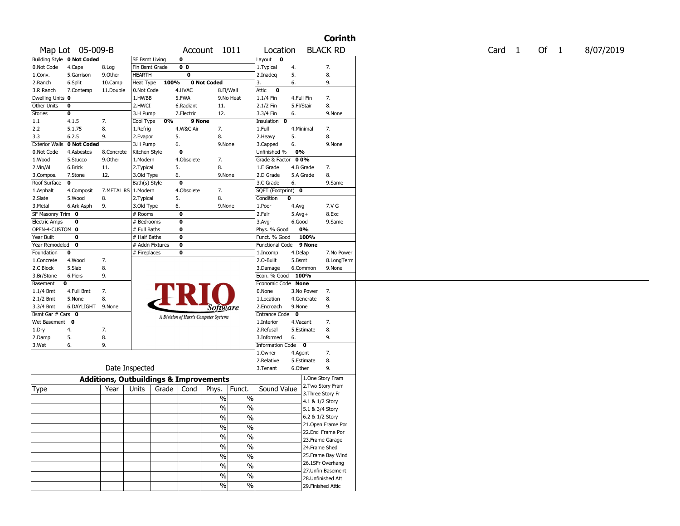|                       |                            |                                                   |                 |           |                                       |                 |               |                    |            |                 | <b>Corinth</b>     |        |        |           |
|-----------------------|----------------------------|---------------------------------------------------|-----------------|-----------|---------------------------------------|-----------------|---------------|--------------------|------------|-----------------|--------------------|--------|--------|-----------|
|                       | Map Lot 05-009-B           |                                                   |                 |           |                                       | Account 1011    |               | Location           |            |                 | <b>BLACK RD</b>    | Card 1 | Of $1$ | 8/07/2019 |
|                       | Building Style 0 Not Coded |                                                   | SF Bsmt Living  |           | 0                                     |                 |               | Layout <b>0</b>    |            |                 |                    |        |        |           |
| 0.Not Code            | 4.Cape                     | 8.Log                                             | Fin Bsmt Grade  |           | 0 <sub>0</sub>                        |                 |               | 1. Typical         | 4.         |                 | 7.                 |        |        |           |
| 1.Conv.               | 5.Garrison                 | 9.0ther                                           | <b>HEARTH</b>   |           | 0                                     |                 |               | 2.Inadeq           | 5.         |                 | 8.                 |        |        |           |
| 2.Ranch               | 6.Split                    | 10.Camp                                           | Heat Type       | 100%      |                                       | 0 Not Coded     |               | 3.                 | 6.         |                 | 9.                 |        |        |           |
| 3.R Ranch             | 7.Contemp                  | 11.Double                                         | 0.Not Code      |           | 4.HVAC                                |                 | 8.Fl/Wall     | Attic 0            |            |                 |                    |        |        |           |
| Dwelling Units 0      |                            |                                                   | 1.HWBB          |           | 5.FWA                                 |                 | 9.No Heat     | $1.1/4$ Fin        | 4.Full Fin |                 | 7.                 |        |        |           |
| <b>Other Units</b>    | 0                          |                                                   | 2.HWCI          |           | 6.Radiant                             | 11.             |               | 2.1/2 Fin          | 5.Fl/Stair |                 | 8.                 |        |        |           |
| Stories               | 0                          |                                                   | 3.H Pump        |           | 7.Electric                            | 12.             |               | 3.3/4 Fin          | 6.         |                 | 9.None             |        |        |           |
| 1.1                   | 4.1.5                      | 7.                                                | Cool Type       | 0%        | 9 None                                |                 |               | Insulation 0       |            |                 |                    |        |        |           |
| 2.2                   | 5.1.75                     | 8.                                                | 1.Refrig        |           | 4.W&C Air                             | 7.              |               | 1.Full             | 4.Minimal  |                 | 7.                 |        |        |           |
| 3.3                   | 6.2.5                      | 9.                                                | 2.Evapor        |           | 5.                                    | 8.              |               | 2.Heavy            | 5.         |                 | 8.                 |        |        |           |
| <b>Exterior Walls</b> | 0 Not Coded                |                                                   | 3.H Pump        |           | 6.                                    | 9.None          |               | 3.Capped           | 6.         |                 | 9.None             |        |        |           |
| 0.Not Code            | 4.Asbestos                 | 8.Concrete                                        | Kitchen Style   |           | 0                                     |                 |               | Unfinished %       | 0%         |                 |                    |        |        |           |
| 1.Wood                | 5.Stucco                   | 9.0ther                                           | 1.Modern        |           | 4.Obsolete                            | 7.              |               | Grade & Factor     | 0 0%       |                 |                    |        |        |           |
| 2.Vin/Al              | 6.Brick                    | 11.                                               | 2. Typical      |           | 5.                                    | 8.              |               | 1.E Grade          | 4.B Grade  |                 | 7.                 |        |        |           |
| 3.Compos.             | 7.Stone                    | 12.                                               | 3.Old Type      |           | 6.                                    | 9.None          |               | 2.D Grade          | 5.A Grade  |                 | 8.                 |        |        |           |
| Roof Surface          | 0                          |                                                   | Bath(s) Style   |           | 0                                     |                 |               | 3.C Grade          | 6.         |                 | 9.Same             |        |        |           |
| 1.Asphalt             | 4.Composit                 | 7.METAL RS                                        | 1.Modern        |           | 4.Obsolete                            | 7.              |               | SQFT (Footprint) 0 |            |                 |                    |        |        |           |
| 2.Slate               | 5.Wood                     | 8.                                                | 2.Typical       |           | 5.                                    | 8.              |               | Condition          | 0          |                 |                    |        |        |           |
| 3.Metal               | 6.Ark Asph                 | 9.                                                | 3.Old Type      |           | 6.                                    | 9.None          |               | 1.Poor             | 4.Avg      |                 | 7.V G              |        |        |           |
| SF Masonry Trim 0     |                            |                                                   | # Rooms         |           | 0                                     |                 |               | 2.Fair             | $5.Avg+$   |                 | 8.Exc              |        |        |           |
| <b>Electric Amps</b>  | 0                          |                                                   | # Bedrooms      |           | $\mathbf 0$                           |                 |               | $3.$ Avg-          | 6.Good     |                 | 9.Same             |        |        |           |
| OPEN-4-CUSTOM 0       |                            |                                                   | # Full Baths    |           | 0                                     |                 |               | Phys. % Good       |            | 0%              |                    |        |        |           |
| Year Built            | 0                          |                                                   | # Half Baths    |           | $\mathbf 0$                           |                 |               | Funct. % Good      |            | 100%            |                    |        |        |           |
| Year Remodeled        | 0                          |                                                   | # Addn Fixtures |           | $\bf{0}$                              |                 |               | Functional Code    |            | 9 None          |                    |        |        |           |
| Foundation            | 0                          |                                                   | # Fireplaces    |           | $\mathbf 0$                           |                 |               | 1.Incomp           | 4.Delap    |                 | 7.No Power         |        |        |           |
| 1.Concrete            | 4.Wood                     | 7.                                                |                 |           |                                       |                 |               | 2.O-Built          | 5.Bsmt     |                 | 8.LongTerm         |        |        |           |
| 2.C Block             | 5.Slab                     | 8.                                                |                 |           |                                       |                 |               | 3.Damage           | 6.Common   |                 | 9.None             |        |        |           |
| 3.Br/Stone            | 6.Piers                    | 9.                                                |                 |           |                                       |                 |               | Econ. % Good 100%  |            |                 |                    |        |        |           |
| Basement              | 0                          |                                                   |                 |           |                                       |                 |               | Economic Code None |            |                 |                    |        |        |           |
| 1.1/4 Bmt             | 4.Full Bmt                 | 7.                                                |                 |           |                                       |                 |               | 0.None             |            | 3.No Power      | 7.                 |        |        |           |
| $2.1/2$ Bmt           | 5.None                     | 8.                                                |                 |           |                                       |                 |               | 1.Location         |            | 4.Generate      | 8.                 |        |        |           |
| 3.3/4 Bmt             | 6.DAYLIGHT 9.None          |                                                   |                 |           |                                       | <i>Software</i> |               | 2.Encroach         | 9.None     |                 | 9.                 |        |        |           |
| Bsmt Gar # Cars 0     |                            |                                                   |                 |           | A Division of Harris Computer Systems |                 |               | Entrance Code      | 0          |                 |                    |        |        |           |
| Wet Basement 0        |                            |                                                   |                 |           |                                       |                 |               | 1.Interior         | 4.Vacant   |                 | 7.                 |        |        |           |
| 1.Dry                 | 4.                         | 7.                                                |                 |           |                                       |                 |               | 2.Refusal          | 5.Estimate |                 | 8.                 |        |        |           |
| 2.Damp                | 5.                         | 8.                                                |                 |           |                                       |                 |               | 3.Informed         | 6.         |                 | 9.                 |        |        |           |
| 3.Wet                 | 6.                         | 9.                                                |                 |           |                                       |                 |               | Information Code 0 |            |                 |                    |        |        |           |
|                       |                            |                                                   |                 |           |                                       |                 |               | 1.0wner            | 4.Agent    |                 | 7.                 |        |        |           |
|                       |                            |                                                   |                 |           |                                       |                 |               | 2.Relative         | 5.Estimate |                 | 8.                 |        |        |           |
|                       |                            | Date Inspected                                    |                 |           |                                       |                 |               | 3.Tenant           | 6.Other    |                 | 9.                 |        |        |           |
|                       |                            |                                                   |                 |           |                                       |                 |               |                    |            |                 | 1.One Story Fram   |        |        |           |
|                       |                            | <b>Additions, Outbuildings &amp; Improvements</b> |                 |           |                                       |                 |               |                    |            |                 |                    |        |        |           |
| Type                  |                            | Year                                              | Units           | Grade $ $ | Cond                                  | Phys.           | Funct.        | Sound Value        |            |                 | 2. Two Story Fram  |        |        |           |
|                       |                            |                                                   |                 |           |                                       | %               | $\%$          |                    |            |                 | 3. Three Story Fr  |        |        |           |
|                       |                            |                                                   |                 |           |                                       | %               | %             |                    |            | 4.1 & 1/2 Story |                    |        |        |           |
|                       |                            |                                                   |                 |           |                                       |                 |               |                    |            | 5.1 & 3/4 Story |                    |        |        |           |
|                       |                            |                                                   |                 |           |                                       | $\%$            | $\sqrt{6}$    |                    |            | 6.2 & 1/2 Story |                    |        |        |           |
|                       |                            |                                                   |                 |           |                                       | $\sqrt{6}$      | $\sqrt{6}$    |                    |            |                 | 21. Open Frame Por |        |        |           |
|                       |                            |                                                   |                 |           |                                       | $\sqrt{6}$      | $\sqrt{6}$    |                    |            |                 | 22.Encl Frame Por  |        |        |           |
|                       |                            |                                                   |                 |           |                                       |                 |               |                    |            |                 | 23. Frame Garage   |        |        |           |
|                       |                            |                                                   |                 |           |                                       | $\sqrt{6}$      | $\sqrt{6}$    |                    |            | 24.Frame Shed   |                    |        |        |           |
|                       |                            |                                                   |                 |           |                                       | $\sqrt{6}$      | $\sqrt{20}$   |                    |            |                 | 25.Frame Bay Wind  |        |        |           |
|                       |                            |                                                   |                 |           |                                       | $\sqrt{6}$      | $\sqrt{20}$   |                    |            |                 | 26.1SFr Overhang   |        |        |           |
|                       |                            |                                                   |                 |           |                                       |                 |               |                    |            |                 | 27.Unfin Basement  |        |        |           |
|                       |                            |                                                   |                 |           |                                       | $\sqrt{6}$      | $\sqrt{20}$   |                    |            |                 | 28. Unfinished Att |        |        |           |
|                       |                            |                                                   |                 |           |                                       | $\sqrt{6}$      | $\frac{0}{6}$ |                    |            |                 | 29. Finished Attic |        |        |           |
|                       |                            |                                                   |                 |           |                                       |                 |               |                    |            |                 |                    |        |        |           |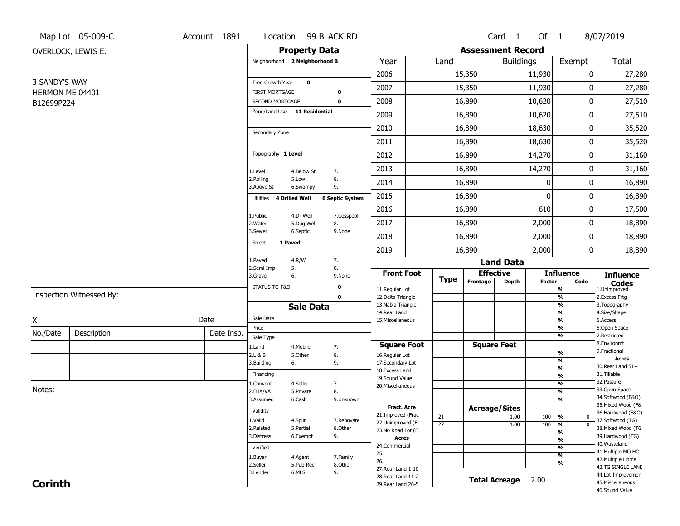|                               | Map Lot 05-009-C         | Account 1891 | Location                                 |                         | 99 BLACK RD            |                                          |                 |                          | Card <sub>1</sub>    | Of 1         |                                            | 8/07/2019                               |
|-------------------------------|--------------------------|--------------|------------------------------------------|-------------------------|------------------------|------------------------------------------|-----------------|--------------------------|----------------------|--------------|--------------------------------------------|-----------------------------------------|
|                               | OVERLOCK, LEWIS E.       |              |                                          | <b>Property Data</b>    |                        |                                          |                 | <b>Assessment Record</b> |                      |              |                                            |                                         |
|                               |                          |              | Neighborhood 2 Neighborhood B            |                         |                        | Year                                     | Land            |                          | <b>Buildings</b>     |              | Exempt                                     | Total                                   |
|                               |                          |              |                                          |                         |                        | 2006                                     |                 | 15,350                   |                      | 11,930       | 0                                          | 27,280                                  |
| 3 SANDY'S WAY                 |                          |              | Tree Growth Year                         | $\mathbf 0$             |                        | 2007                                     |                 | 15,350                   |                      | 11,930       | 0                                          | 27,280                                  |
| HERMON ME 04401<br>B12699P224 |                          |              | <b>FIRST MORTGAGE</b><br>SECOND MORTGAGE |                         | 0<br>$\mathbf 0$       | 2008                                     |                 | 16,890                   |                      | 10,620       | 0                                          | 27,510                                  |
|                               |                          |              | Zone/Land Use 11 Residential             |                         |                        | 2009                                     |                 | 16,890                   |                      | 10,620       | 0                                          | 27,510                                  |
|                               |                          |              |                                          |                         |                        | 2010                                     |                 | 16,890                   |                      | 18,630       | 0                                          | 35,520                                  |
|                               |                          |              | Secondary Zone                           |                         |                        | 2011                                     |                 | 16,890                   |                      | 18,630       | 0                                          | 35,520                                  |
|                               |                          |              | Topography 1 Level                       |                         |                        | 2012                                     |                 | 16,890                   |                      | 14,270       | 0                                          | 31,160                                  |
|                               |                          |              |                                          |                         |                        | 2013                                     |                 | 16,890                   |                      | 14,270       | 0                                          | 31,160                                  |
|                               |                          |              | 1.Level<br>2.Rolling                     | 4.Below St<br>5.Low     | 7.<br>8.               | 2014                                     |                 | 16,890                   |                      | $\mathbf{0}$ | 0                                          | 16,890                                  |
|                               |                          |              | 3.Above St                               | 6.Swampy                | 9.                     | 2015                                     |                 | 16,890                   |                      | $\mathbf{0}$ | 0                                          | 16,890                                  |
|                               |                          |              | Utilities                                | 4 Drilled Well          | <b>6 Septic System</b> | 2016                                     |                 | 16,890                   |                      | 610          | 0                                          | 17,500                                  |
|                               |                          |              | 1.Public<br>2. Water                     | 4.Dr Well<br>5.Dug Well | 7.Cesspool<br>8.       | 2017                                     |                 | 16,890                   |                      | 2,000        | 0                                          | 18,890                                  |
|                               |                          |              | 3.Sewer                                  | 6.Septic                | 9.None                 | 2018                                     |                 | 16,890                   |                      | 2,000        | 0                                          | 18,890                                  |
|                               |                          |              | <b>Street</b>                            | 1 Paved                 |                        | 2019                                     |                 | 16,890                   |                      | 2,000        | 0                                          | 18,890                                  |
|                               |                          |              | 1.Paved                                  | 4.R/W                   | 7.                     |                                          |                 |                          | <b>Land Data</b>     |              |                                            |                                         |
|                               |                          |              | 2.Semi Imp<br>3.Gravel                   | 5.<br>6.                | 8.<br>9.None           | <b>Front Foot</b>                        |                 |                          | <b>Effective</b>     |              | <b>Influence</b>                           | <b>Influence</b>                        |
|                               |                          |              | STATUS TG-F&O                            |                         | 0                      | 11.Regular Lot                           | <b>Type</b>     | Frontage                 | <b>Depth</b>         | Factor       | Code<br>$\overline{\frac{9}{6}}$           | <b>Codes</b><br>1.Unimproved            |
|                               | Inspection Witnessed By: |              |                                          |                         | $\mathbf 0$            | 12.Delta Triangle                        |                 |                          |                      |              | $\frac{9}{6}$                              | 2.Excess Frtg                           |
|                               |                          |              |                                          | <b>Sale Data</b>        |                        | 13. Nabla Triangle<br>14. Rear Land      |                 |                          |                      |              | $\overline{\frac{9}{6}}$<br>$\frac{9}{6}$  | 3. Topography<br>4.Size/Shape           |
| X                             |                          | Date         | Sale Date                                |                         |                        | 15. Miscellaneous                        |                 |                          |                      |              | $\frac{9}{6}$                              | 5.Access                                |
| No./Date                      | Description              | Date Insp.   | Price                                    |                         |                        |                                          |                 |                          |                      |              | $\frac{9}{6}$<br>$\overline{\frac{9}{6}}$  | 6.Open Space<br>7.Restricted            |
|                               |                          |              | Sale Type<br>1.Land                      | 4. Mobile               | 7.                     | <b>Square Foot</b>                       |                 |                          | <b>Square Feet</b>   |              |                                            | 8.Environmt                             |
|                               |                          |              | 2.L & B                                  | 5.Other                 | 8.                     | 16.Regular Lot                           |                 |                          |                      |              | $\frac{9}{6}$                              | 9. Fractional                           |
|                               |                          |              | 3.Building                               | 6.                      | 9.                     | 17.Secondary Lot                         |                 |                          |                      |              | $\frac{9}{6}$<br>$\frac{9}{6}$             | <b>Acres</b><br>30. Rear Land 51+       |
|                               |                          |              | Financing                                |                         |                        | 18.Excess Land<br>19.Sound Value         |                 |                          |                      |              | $\frac{9}{6}$                              | 31.Tillable                             |
|                               |                          |              | 1.Convent                                | 4.Seller                | 7.                     | 20.Miscellaneous                         |                 |                          |                      |              | $\frac{9}{6}$                              | 32.Pasture                              |
| Notes:                        |                          |              | 2.FHA/VA                                 | 5.Private               | 8.                     |                                          |                 |                          |                      |              | $\frac{9}{6}$                              | 33.Open Space                           |
|                               |                          |              | 3.Assumed                                | 6.Cash                  | 9.Unknown              |                                          |                 |                          |                      |              | $\frac{9}{6}$                              | 34.Softwood (F&O)<br>35. Mixed Wood (F& |
|                               |                          |              | Validity                                 |                         |                        | Fract. Acre                              |                 |                          | <b>Acreage/Sites</b> |              |                                            | 36.Hardwood (F&O)                       |
|                               |                          |              | 1.Valid                                  | 4.Split                 | 7.Renovate             | 21.Improved (Frac<br>22.Unimproved (Fr   | 21              |                          | 1.00                 | 100 %        | $\bf{0}$                                   | 37.Softwood (TG)                        |
|                               |                          |              | 2.Related                                | 5.Partial               | 8.Other                | 23.No Road Lot (F                        | $\overline{27}$ |                          | 1.00                 | 100 %        | $\overline{\mathfrak{o}}$<br>$\frac{9}{6}$ | 38. Mixed Wood (TG                      |
|                               |                          |              | 3.Distress                               | 6.Exempt                | 9.                     | <b>Acres</b>                             |                 |                          |                      |              | $\frac{9}{6}$                              | 39.Hardwood (TG)                        |
|                               |                          |              | Verified                                 |                         |                        | 24.Commercial                            |                 |                          |                      |              | %                                          | 40. Wasteland                           |
|                               |                          |              | 1.Buyer                                  | 4.Agent                 | 7.Family               | 25.                                      |                 |                          |                      |              | $\overline{\frac{9}{6}}$                   | 41. Multiple MO HO<br>42. Multiple Home |
|                               |                          |              | 2.Seller                                 | 5.Pub Rec               | 8.Other                | 26.                                      |                 |                          |                      |              | %                                          | 43.TG SINGLE LANE                       |
|                               |                          |              |                                          |                         |                        |                                          |                 |                          |                      |              |                                            |                                         |
|                               |                          |              | 3.Lender                                 | 6.MLS                   | 9.                     | 27. Rear Land 1-10                       |                 |                          |                      |              |                                            | 44.Lot Improvemen                       |
| <b>Corinth</b>                |                          |              |                                          |                         |                        | 28. Rear Land 11-2<br>29. Rear Land 26-5 |                 |                          | <b>Total Acreage</b> | 2.00         |                                            | 45. Miscellaneous<br>46.Sound Value     |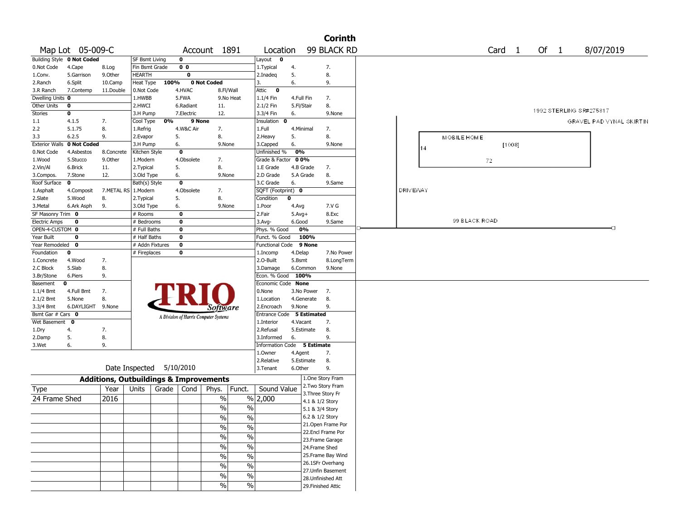|                       |                                   |            |                                                   |                                       |               |                          |                         |             |                                       | <b>Corinth</b> |          |             |               |        |        |      |                         |           |                          |
|-----------------------|-----------------------------------|------------|---------------------------------------------------|---------------------------------------|---------------|--------------------------|-------------------------|-------------|---------------------------------------|----------------|----------|-------------|---------------|--------|--------|------|-------------------------|-----------|--------------------------|
|                       | Map Lot 05-009-C                  |            |                                                   |                                       | Account 1891  |                          | Location                |             |                                       | 99 BLACK RD    |          |             |               | Card 1 |        | Of 1 |                         | 8/07/2019 |                          |
|                       | <b>Building Style 0 Not Coded</b> |            | SF Bsmt Living                                    | $\mathbf 0$                           |               |                          | Layout<br>$\mathbf 0$   |             |                                       |                |          |             |               |        |        |      |                         |           |                          |
| 0.Not Code            | 4.Cape                            | 8.Log      | Fin Bsmt Grade                                    | 0 <sub>0</sub>                        |               |                          | 1. Typical              | 4.          | 7.                                    |                |          |             |               |        |        |      |                         |           |                          |
| 1.Conv.               | 5.Garrison                        | 9.0ther    | HEARTH                                            | $\overline{\mathbf{0}}$               |               |                          | 2.Inadeq                | 5.          | 8.                                    |                |          |             |               |        |        |      |                         |           |                          |
| 2.Ranch               | 6.Split                           | 10.Camp    | Heat Type                                         | 100%                                  | 0 Not Coded   |                          | 3.                      | 6.          | 9.                                    |                |          |             |               |        |        |      |                         |           |                          |
| 3.R Ranch             | 7.Contemp                         | 11.Double  | 0.Not Code                                        | 4.HVAC                                | 8.Fl/Wall     |                          | Attic<br>$\mathbf 0$    |             |                                       |                |          |             |               |        |        |      |                         |           |                          |
| Dwelling Units 0      |                                   |            | 1.HWBB                                            | 5.FWA                                 |               | 9.No Heat                | 1.1/4 Fin               | 4.Full Fin  |                                       | 7.             |          |             |               |        |        |      |                         |           |                          |
| Other Units           | 0                                 |            | 2.HWCI                                            | 6.Radiant                             | 11.           |                          | 2.1/2 Fin               | 5.Fl/Stair  | 8.                                    |                |          |             |               |        |        |      |                         |           |                          |
| <b>Stories</b>        | 0                                 |            | 3.H Pump                                          | 7.Electric                            | 12.           |                          | 3.3/4 Fin               | 6.          |                                       | 9.None         |          |             |               |        |        |      | 1992 STERLING SR#275817 |           |                          |
| 1.1                   | 4.1.5                             | 7.         | Cool Type                                         | 0%                                    | 9 None        |                          | Insulation<br>0         |             |                                       |                |          |             |               |        |        |      |                         |           | GRAVEL PAD VYNAL SKIRTIN |
| 2.2                   | 5.1.75                            | 8.         | 1.Refrig                                          | 4.W&C Air                             | 7.            |                          | 1.Full                  | 4.Minimal   | 7.                                    |                |          |             |               |        |        |      |                         |           |                          |
| 3.3                   | 6.2.5                             | 9.         | 2.Evapor                                          | 5.                                    | 8.            |                          | 2.Heavy                 | 5.          | 8.                                    |                |          | MOBILE HOME |               |        |        |      |                         |           |                          |
| <b>Exterior Walls</b> | 0 Not Coded                       |            | 3.H Pump                                          | 6.                                    | 9.None        |                          | 3.Capped                | 6.          |                                       | 9.None         |          |             |               |        | [1008] |      |                         |           |                          |
| 0.Not Code            | 4.Asbestos                        | 8.Concrete | Kitchen Style                                     | $\overline{\mathbf{0}}$               |               |                          | Unfinished %            | 0%          |                                       |                | 14       |             |               |        |        |      |                         |           |                          |
| 1.Wood                | 5.Stucco                          | 9.0ther    | 1.Modern                                          | 4.Obsolete                            | 7.            |                          | Grade & Factor          | 00%         |                                       |                |          |             |               | 72     |        |      |                         |           |                          |
| 2.Vin/Al              | 6.Brick                           | 11.        | 2. Typical                                        | 5.                                    | 8.            |                          | 1.E Grade               | 4.B Grade   |                                       | 7.             |          |             |               |        |        |      |                         |           |                          |
| 3.Compos.             | 7.Stone                           | 12.        | 3.Old Type                                        | 6.                                    | 9.None        |                          | 2.D Grade               | 5.A Grade   | 8.                                    |                |          |             |               |        |        |      |                         |           |                          |
| Roof Surface          | $\mathbf 0$                       |            | Bath(s) Style                                     | $\overline{\mathbf{0}}$               |               |                          | 3.C Grade               | 6.          |                                       | 9.Same         |          |             |               |        |        |      |                         |           |                          |
| 1.Asphalt             | 4.Composit                        | 7.METAL RS | 1.Modern                                          | 4.Obsolete                            | 7.            |                          | SQFT (Footprint) 0      |             |                                       |                | DRIVEWAY |             |               |        |        |      |                         |           |                          |
| 2.Slate               | 5.Wood                            | 8.         | 2. Typical                                        | 5.                                    | 8.            |                          | Condition               | $\mathbf 0$ |                                       |                |          |             |               |        |        |      |                         |           |                          |
| 3.Metal               | 6.Ark Asph                        | 9.         | 3.Old Type                                        | 6.                                    | 9.None        |                          | 1.Poor                  | 4.Avg       |                                       | 7.V G          |          |             |               |        |        |      |                         |           |                          |
| SF Masonry Trim 0     |                                   |            | # Rooms                                           | $\mathbf 0$                           |               |                          | 2.Fair                  | $5.Avg+$    |                                       | 8.Exc          |          |             |               |        |        |      |                         |           |                          |
| <b>Electric Amps</b>  | 0                                 |            | # Bedrooms                                        | $\bf{0}$                              |               |                          | 3.Avg-                  | 6.Good      |                                       | 9.Same         |          |             | 99 BLACK ROAD |        |        |      |                         |           |                          |
| OPEN-4-CUSTOM 0       |                                   |            | # Full Baths                                      | $\mathbf 0$                           |               |                          | Phys. % Good            | 0%          |                                       |                |          |             |               |        |        |      |                         |           |                          |
| Year Built            | 0                                 |            | # Half Baths                                      | $\bf{0}$                              |               |                          | Funct. % Good           |             | 100%                                  |                |          |             |               |        |        |      |                         |           |                          |
| Year Remodeled        | $\mathbf 0$                       |            | # Addn Fixtures                                   | $\bf{0}$                              |               |                          | <b>Functional Code</b>  |             | 9 None                                |                |          |             |               |        |        |      |                         |           |                          |
| Foundation            | 0                                 |            | # Fireplaces                                      | $\bf{0}$                              |               |                          | 1.Incomp                | 4.Delap     |                                       | 7.No Power     |          |             |               |        |        |      |                         |           |                          |
| 1.Concrete            | 4.Wood                            | 7.         |                                                   |                                       |               |                          | 2.0-Built               | 5.Bsmt      |                                       | 8.LongTerm     |          |             |               |        |        |      |                         |           |                          |
| 2.C Block             | 5.Slab                            | 8.         |                                                   |                                       |               |                          | 3.Damage                | 6.Common    |                                       | 9.None         |          |             |               |        |        |      |                         |           |                          |
| 3.Br/Stone            | 6.Piers                           | 9.         |                                                   |                                       |               |                          | Econ. % Good 100%       |             |                                       |                |          |             |               |        |        |      |                         |           |                          |
| Basement              | 0                                 |            |                                                   |                                       |               |                          | Economic Code None      |             |                                       |                |          |             |               |        |        |      |                         |           |                          |
| $1.1/4$ Bmt           | 4.Full Bmt                        | 7.         |                                                   |                                       |               |                          | 0.None                  | 3.No Power  | 7.                                    |                |          |             |               |        |        |      |                         |           |                          |
| 2.1/2 Bmt             | 5.None                            | 8.         |                                                   |                                       |               |                          | 1.Location              | 4.Generate  | 8.                                    |                |          |             |               |        |        |      |                         |           |                          |
| 3.3/4 Bmt             | 6.DAYLIGHT 9.None                 |            |                                                   |                                       |               |                          | 2.Encroach              | 9.None      | 9.                                    |                |          |             |               |        |        |      |                         |           |                          |
| Bsmt Gar # Cars 0     |                                   |            |                                                   |                                       | Software      |                          | Entrance Code           |             | 5 Estimated                           |                |          |             |               |        |        |      |                         |           |                          |
| Wet Basement          | $\mathbf 0$                       |            |                                                   | A Division of Harris Computer Systems |               |                          | 1.Interior              | 4.Vacant    | 7.                                    |                |          |             |               |        |        |      |                         |           |                          |
| 1.Dry                 | 4.                                | 7.         |                                                   |                                       |               |                          | 2.Refusal               | 5.Estimate  | 8.                                    |                |          |             |               |        |        |      |                         |           |                          |
|                       | 5.                                |            |                                                   |                                       |               |                          | 3.Informed              | 6.          | 9.                                    |                |          |             |               |        |        |      |                         |           |                          |
| 2.Damp<br>3.Wet       | 6.                                | 8.         |                                                   |                                       |               |                          | <b>Information Code</b> |             | 5 Estimate                            |                |          |             |               |        |        |      |                         |           |                          |
|                       |                                   | 9.         |                                                   |                                       |               |                          |                         |             |                                       |                |          |             |               |        |        |      |                         |           |                          |
|                       |                                   |            |                                                   |                                       |               |                          | 1.0wner                 | 4.Agent     | 7.                                    |                |          |             |               |        |        |      |                         |           |                          |
|                       |                                   |            | Date Inspected 5/10/2010                          |                                       |               |                          | 2.Relative              | 5.Estimate  | 8.                                    |                |          |             |               |        |        |      |                         |           |                          |
|                       |                                   |            |                                                   |                                       |               |                          | 3.Tenant                | 6.Other     | 9.                                    |                |          |             |               |        |        |      |                         |           |                          |
|                       |                                   |            | <b>Additions, Outbuildings &amp; Improvements</b> |                                       |               |                          |                         |             | 1.One Story Fram<br>2. Two Story Fram |                |          |             |               |        |        |      |                         |           |                          |
| Type                  |                                   | Year       | Units<br>Grade                                    | Cond                                  | Phys.         | Funct.                   | Sound Value             |             | 3. Three Story Fr                     |                |          |             |               |        |        |      |                         |           |                          |
| 24 Frame Shed         |                                   | 2016       |                                                   |                                       | %             |                          | $\sqrt[3]{2,000}$       |             | 4.1 & 1/2 Story                       |                |          |             |               |        |        |      |                         |           |                          |
|                       |                                   |            |                                                   |                                       | %             | %                        |                         |             |                                       |                |          |             |               |        |        |      |                         |           |                          |
|                       |                                   |            |                                                   |                                       |               |                          |                         |             | 5.1 & 3/4 Story                       |                |          |             |               |        |        |      |                         |           |                          |
|                       |                                   |            |                                                   |                                       | $\frac{9}{0}$ | $\frac{9}{0}$            |                         |             | 6.2 & 1/2 Story                       |                |          |             |               |        |        |      |                         |           |                          |
|                       |                                   |            |                                                   |                                       | $\frac{0}{0}$ | $\%$                     |                         |             | 21.Open Frame Por                     |                |          |             |               |        |        |      |                         |           |                          |
|                       |                                   |            |                                                   |                                       | %             | $\overline{\frac{0}{6}}$ |                         |             | 22.Encl Frame Por                     |                |          |             |               |        |        |      |                         |           |                          |
|                       |                                   |            |                                                   |                                       |               |                          |                         |             | 23. Frame Garage                      |                |          |             |               |        |        |      |                         |           |                          |
|                       |                                   |            |                                                   |                                       | $\sqrt{6}$    | $\overline{\frac{0}{6}}$ |                         |             | 24.Frame Shed                         |                |          |             |               |        |        |      |                         |           |                          |
|                       |                                   |            |                                                   |                                       | %             | $\overline{\frac{0}{6}}$ |                         |             | 25. Frame Bay Wind                    |                |          |             |               |        |        |      |                         |           |                          |
|                       |                                   |            |                                                   |                                       | $\frac{0}{0}$ | $\%$                     |                         |             | 26.1SFr Overhang                      |                |          |             |               |        |        |      |                         |           |                          |
|                       |                                   |            |                                                   |                                       |               |                          |                         |             | 27.Unfin Basement                     |                |          |             |               |        |        |      |                         |           |                          |
|                       |                                   |            |                                                   |                                       | $\%$          | $\%$                     |                         |             | 28.Unfinished Att                     |                |          |             |               |        |        |      |                         |           |                          |
|                       |                                   |            |                                                   |                                       | $\sqrt{6}$    | $\%$                     |                         |             | 29. Finished Attic                    |                |          |             |               |        |        |      |                         |           |                          |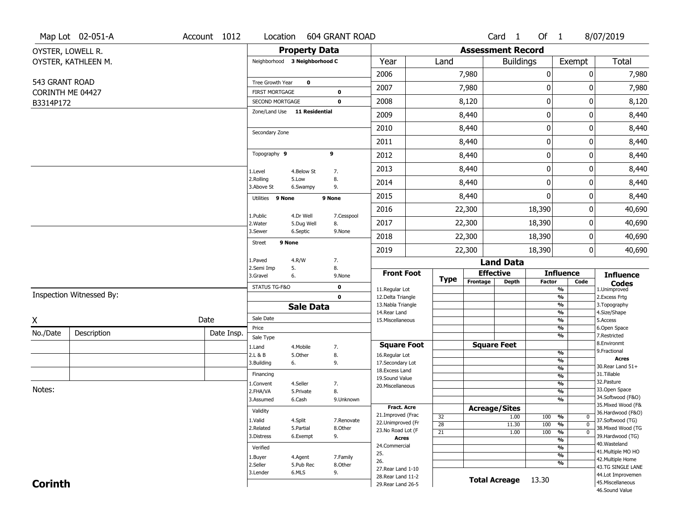| <b>Property Data</b><br><b>Assessment Record</b><br>OYSTER, LOWELL R.<br>Total<br>OYSTER, KATHLEEN M.<br>Neighborhood 3 Neighborhood C<br>Year<br><b>Buildings</b><br>Exempt<br>Land<br>2006<br>7,980<br>$\pmb{0}$<br>0<br>543 GRANT ROAD<br>Tree Growth Year<br>0<br>2007<br>0<br>7,980<br>7,980<br>0<br>CORINTH ME 04427<br><b>FIRST MORTGAGE</b><br>0<br>$\boldsymbol{0}$<br>2008<br>8,120<br>0<br>8,120<br>SECOND MORTGAGE<br>$\mathbf 0$<br>B3314P172<br>Zone/Land Use 11 Residential<br>$\mathbf 0$<br>8,440<br>2009<br>8,440<br>0<br>$\mathbf 0$<br>8,440<br>2010<br>8,440<br>0<br>Secondary Zone<br>$\mathbf 0$<br>8,440<br>0<br>2011<br>Topography 9<br>9<br>$\boldsymbol{0}$<br>2012<br>8,440<br>0<br>$\mathbf 0$<br>0<br>2013<br>8,440<br>4.Below St<br>1.Level<br>7.<br>2.Rolling<br>5.Low<br>8.<br>2014<br>8,440<br>0<br>0<br>3.Above St<br>9.<br>6.Swampy<br>$\Omega$<br>2015<br>8,440<br>0<br>Utilities 9 None<br>9 None<br>2016<br>22,300<br>18,390<br>0<br>1.Public<br>4.Dr Well<br>7.Cesspool<br>2017<br>18,390<br>22,300<br>0<br>2. Water<br>5.Dug Well<br>8.<br>3.Sewer<br>6.Septic<br>9.None<br>2018<br>22,300<br>18,390<br>0<br>9 None<br><b>Street</b><br>2019<br>22,300<br>18,390<br>0<br>1.Paved<br>4.R/W<br>7.<br><b>Land Data</b><br>2.Semi Imp<br>8.<br>5.<br><b>Effective</b><br><b>Influence</b><br><b>Front Foot</b><br><b>Influence</b><br>3.Gravel<br>6.<br>9.None<br><b>Type</b><br>Frontage<br><b>Depth</b><br>Factor<br>Code | Map Lot 02-051-A | Account 1012 | Location | <b>604 GRANT ROAD</b> |  |  | Card <sub>1</sub> | Of $1$ | 8/07/2019    |
|------------------------------------------------------------------------------------------------------------------------------------------------------------------------------------------------------------------------------------------------------------------------------------------------------------------------------------------------------------------------------------------------------------------------------------------------------------------------------------------------------------------------------------------------------------------------------------------------------------------------------------------------------------------------------------------------------------------------------------------------------------------------------------------------------------------------------------------------------------------------------------------------------------------------------------------------------------------------------------------------------------------------------------------------------------------------------------------------------------------------------------------------------------------------------------------------------------------------------------------------------------------------------------------------------------------------------------------------------------------------------------------------------------------------------------------------------------------|------------------|--------------|----------|-----------------------|--|--|-------------------|--------|--------------|
|                                                                                                                                                                                                                                                                                                                                                                                                                                                                                                                                                                                                                                                                                                                                                                                                                                                                                                                                                                                                                                                                                                                                                                                                                                                                                                                                                                                                                                                                  |                  |              |          |                       |  |  |                   |        |              |
|                                                                                                                                                                                                                                                                                                                                                                                                                                                                                                                                                                                                                                                                                                                                                                                                                                                                                                                                                                                                                                                                                                                                                                                                                                                                                                                                                                                                                                                                  |                  |              |          |                       |  |  |                   |        |              |
|                                                                                                                                                                                                                                                                                                                                                                                                                                                                                                                                                                                                                                                                                                                                                                                                                                                                                                                                                                                                                                                                                                                                                                                                                                                                                                                                                                                                                                                                  |                  |              |          |                       |  |  |                   |        | 7,980        |
|                                                                                                                                                                                                                                                                                                                                                                                                                                                                                                                                                                                                                                                                                                                                                                                                                                                                                                                                                                                                                                                                                                                                                                                                                                                                                                                                                                                                                                                                  |                  |              |          |                       |  |  |                   |        |              |
|                                                                                                                                                                                                                                                                                                                                                                                                                                                                                                                                                                                                                                                                                                                                                                                                                                                                                                                                                                                                                                                                                                                                                                                                                                                                                                                                                                                                                                                                  |                  |              |          |                       |  |  |                   |        |              |
|                                                                                                                                                                                                                                                                                                                                                                                                                                                                                                                                                                                                                                                                                                                                                                                                                                                                                                                                                                                                                                                                                                                                                                                                                                                                                                                                                                                                                                                                  |                  |              |          |                       |  |  |                   |        |              |
|                                                                                                                                                                                                                                                                                                                                                                                                                                                                                                                                                                                                                                                                                                                                                                                                                                                                                                                                                                                                                                                                                                                                                                                                                                                                                                                                                                                                                                                                  |                  |              |          |                       |  |  |                   |        |              |
|                                                                                                                                                                                                                                                                                                                                                                                                                                                                                                                                                                                                                                                                                                                                                                                                                                                                                                                                                                                                                                                                                                                                                                                                                                                                                                                                                                                                                                                                  |                  |              |          |                       |  |  |                   |        |              |
|                                                                                                                                                                                                                                                                                                                                                                                                                                                                                                                                                                                                                                                                                                                                                                                                                                                                                                                                                                                                                                                                                                                                                                                                                                                                                                                                                                                                                                                                  |                  |              |          |                       |  |  |                   |        | 8,440        |
|                                                                                                                                                                                                                                                                                                                                                                                                                                                                                                                                                                                                                                                                                                                                                                                                                                                                                                                                                                                                                                                                                                                                                                                                                                                                                                                                                                                                                                                                  |                  |              |          |                       |  |  |                   |        | 8,440        |
|                                                                                                                                                                                                                                                                                                                                                                                                                                                                                                                                                                                                                                                                                                                                                                                                                                                                                                                                                                                                                                                                                                                                                                                                                                                                                                                                                                                                                                                                  |                  |              |          |                       |  |  |                   |        | 8,440        |
|                                                                                                                                                                                                                                                                                                                                                                                                                                                                                                                                                                                                                                                                                                                                                                                                                                                                                                                                                                                                                                                                                                                                                                                                                                                                                                                                                                                                                                                                  |                  |              |          |                       |  |  |                   |        | 8,440        |
|                                                                                                                                                                                                                                                                                                                                                                                                                                                                                                                                                                                                                                                                                                                                                                                                                                                                                                                                                                                                                                                                                                                                                                                                                                                                                                                                                                                                                                                                  |                  |              |          |                       |  |  |                   |        | 8,440        |
|                                                                                                                                                                                                                                                                                                                                                                                                                                                                                                                                                                                                                                                                                                                                                                                                                                                                                                                                                                                                                                                                                                                                                                                                                                                                                                                                                                                                                                                                  |                  |              |          |                       |  |  |                   |        | 40,690       |
|                                                                                                                                                                                                                                                                                                                                                                                                                                                                                                                                                                                                                                                                                                                                                                                                                                                                                                                                                                                                                                                                                                                                                                                                                                                                                                                                                                                                                                                                  |                  |              |          |                       |  |  |                   |        | 40,690       |
|                                                                                                                                                                                                                                                                                                                                                                                                                                                                                                                                                                                                                                                                                                                                                                                                                                                                                                                                                                                                                                                                                                                                                                                                                                                                                                                                                                                                                                                                  |                  |              |          |                       |  |  |                   |        | 40,690       |
|                                                                                                                                                                                                                                                                                                                                                                                                                                                                                                                                                                                                                                                                                                                                                                                                                                                                                                                                                                                                                                                                                                                                                                                                                                                                                                                                                                                                                                                                  |                  |              |          |                       |  |  |                   |        | 40,690       |
|                                                                                                                                                                                                                                                                                                                                                                                                                                                                                                                                                                                                                                                                                                                                                                                                                                                                                                                                                                                                                                                                                                                                                                                                                                                                                                                                                                                                                                                                  |                  |              |          |                       |  |  |                   |        |              |
|                                                                                                                                                                                                                                                                                                                                                                                                                                                                                                                                                                                                                                                                                                                                                                                                                                                                                                                                                                                                                                                                                                                                                                                                                                                                                                                                                                                                                                                                  |                  |              |          |                       |  |  |                   |        |              |
| STATUS TG-F&O<br>0<br>$\overline{\frac{9}{6}}$<br>11.Regular Lot<br>1.Unimproved                                                                                                                                                                                                                                                                                                                                                                                                                                                                                                                                                                                                                                                                                                                                                                                                                                                                                                                                                                                                                                                                                                                                                                                                                                                                                                                                                                                 |                  |              |          |                       |  |  |                   |        | <b>Codes</b> |
| Inspection Witnessed By:<br>$\mathbf 0$<br>12.Delta Triangle<br>$\frac{9}{6}$<br>2.Excess Frtg                                                                                                                                                                                                                                                                                                                                                                                                                                                                                                                                                                                                                                                                                                                                                                                                                                                                                                                                                                                                                                                                                                                                                                                                                                                                                                                                                                   |                  |              |          |                       |  |  |                   |        |              |
| 13. Nabla Triangle<br>$\overline{\frac{9}{6}}$<br>3. Topography<br><b>Sale Data</b><br>14. Rear Land<br>$\frac{9}{6}$<br>4.Size/Shape                                                                                                                                                                                                                                                                                                                                                                                                                                                                                                                                                                                                                                                                                                                                                                                                                                                                                                                                                                                                                                                                                                                                                                                                                                                                                                                            |                  |              |          |                       |  |  |                   |        |              |
| Sale Date<br>Date<br>X<br>$\overline{\frac{9}{6}}$<br>5.Access<br>15. Miscellaneous                                                                                                                                                                                                                                                                                                                                                                                                                                                                                                                                                                                                                                                                                                                                                                                                                                                                                                                                                                                                                                                                                                                                                                                                                                                                                                                                                                              |                  |              |          |                       |  |  |                   |        |              |
| $\frac{9}{6}$<br>Price<br>6.Open Space<br>No./Date<br>Description<br>Date Insp.<br>$\overline{\frac{9}{6}}$<br>7.Restricted<br>Sale Type                                                                                                                                                                                                                                                                                                                                                                                                                                                                                                                                                                                                                                                                                                                                                                                                                                                                                                                                                                                                                                                                                                                                                                                                                                                                                                                         |                  |              |          |                       |  |  |                   |        |              |
| 8.Environmt<br><b>Square Feet</b><br><b>Square Foot</b><br>7.<br>1.Land<br>4. Mobile                                                                                                                                                                                                                                                                                                                                                                                                                                                                                                                                                                                                                                                                                                                                                                                                                                                                                                                                                                                                                                                                                                                                                                                                                                                                                                                                                                             |                  |              |          |                       |  |  |                   |        |              |
| 9. Fractional<br>$\frac{9}{6}$<br>8.<br>16.Regular Lot<br>2.L & B<br>5.Other<br><b>Acres</b><br>%                                                                                                                                                                                                                                                                                                                                                                                                                                                                                                                                                                                                                                                                                                                                                                                                                                                                                                                                                                                                                                                                                                                                                                                                                                                                                                                                                                |                  |              |          |                       |  |  |                   |        |              |
| 3.Building<br>9.<br>17.Secondary Lot<br>6.<br>30. Rear Land 51+<br>%<br>18. Excess Land                                                                                                                                                                                                                                                                                                                                                                                                                                                                                                                                                                                                                                                                                                                                                                                                                                                                                                                                                                                                                                                                                                                                                                                                                                                                                                                                                                          |                  |              |          |                       |  |  |                   |        |              |
| 31.Tillable<br>Financing<br>$\frac{9}{6}$<br>19.Sound Value                                                                                                                                                                                                                                                                                                                                                                                                                                                                                                                                                                                                                                                                                                                                                                                                                                                                                                                                                                                                                                                                                                                                                                                                                                                                                                                                                                                                      |                  |              |          |                       |  |  |                   |        |              |
| 32.Pasture<br>$\frac{9}{6}$<br>1.Convent<br>4.Seller<br>7.<br>20.Miscellaneous<br>Notes:<br>33.Open Space                                                                                                                                                                                                                                                                                                                                                                                                                                                                                                                                                                                                                                                                                                                                                                                                                                                                                                                                                                                                                                                                                                                                                                                                                                                                                                                                                        |                  |              |          |                       |  |  |                   |        |              |
| $\overline{\frac{9}{6}}$<br>2.FHA/VA<br>5.Private<br>8.<br>34.Softwood (F&O)                                                                                                                                                                                                                                                                                                                                                                                                                                                                                                                                                                                                                                                                                                                                                                                                                                                                                                                                                                                                                                                                                                                                                                                                                                                                                                                                                                                     |                  |              |          |                       |  |  |                   |        |              |
| 3.Assumed<br>%<br>6.Cash<br>9.Unknown<br>35. Mixed Wood (F&<br><b>Fract. Acre</b>                                                                                                                                                                                                                                                                                                                                                                                                                                                                                                                                                                                                                                                                                                                                                                                                                                                                                                                                                                                                                                                                                                                                                                                                                                                                                                                                                                                |                  |              |          |                       |  |  |                   |        |              |
| <b>Acreage/Sites</b><br>Validity<br>36.Hardwood (F&O)<br>21.Improved (Frac                                                                                                                                                                                                                                                                                                                                                                                                                                                                                                                                                                                                                                                                                                                                                                                                                                                                                                                                                                                                                                                                                                                                                                                                                                                                                                                                                                                       |                  |              |          |                       |  |  |                   |        |              |
| 32<br>1.00<br>100<br>%<br>$\mathbf{0}$<br>1.Valid<br>37.Softwood (TG)<br>4.Split<br>7.Renovate<br>22.Unimproved (Fr<br>$\overline{28}$<br>$\overline{0}$<br>11.30<br>100<br>%                                                                                                                                                                                                                                                                                                                                                                                                                                                                                                                                                                                                                                                                                                                                                                                                                                                                                                                                                                                                                                                                                                                                                                                                                                                                                    |                  |              |          |                       |  |  |                   |        |              |
| 2.Related<br>38. Mixed Wood (TG<br>5.Partial<br>8.Other<br>23.No Road Lot (F<br>21<br>100<br>$\frac{9}{6}$<br>$\overline{0}$<br>1.00                                                                                                                                                                                                                                                                                                                                                                                                                                                                                                                                                                                                                                                                                                                                                                                                                                                                                                                                                                                                                                                                                                                                                                                                                                                                                                                             |                  |              |          |                       |  |  |                   |        |              |
| 39.Hardwood (TG)<br>9.<br>3.Distress<br>6.Exempt<br><b>Acres</b><br>$\overline{\frac{9}{6}}$<br>40. Wasteland                                                                                                                                                                                                                                                                                                                                                                                                                                                                                                                                                                                                                                                                                                                                                                                                                                                                                                                                                                                                                                                                                                                                                                                                                                                                                                                                                    |                  |              |          |                       |  |  |                   |        |              |
| 24.Commercial<br>%<br>Verified<br>41. Multiple MO HO                                                                                                                                                                                                                                                                                                                                                                                                                                                                                                                                                                                                                                                                                                                                                                                                                                                                                                                                                                                                                                                                                                                                                                                                                                                                                                                                                                                                             |                  |              |          |                       |  |  |                   |        |              |
| 25.<br>$\overline{\frac{9}{6}}$<br>4.Agent<br>7.Family<br>1.Buyer<br>42. Multiple Home<br>26.                                                                                                                                                                                                                                                                                                                                                                                                                                                                                                                                                                                                                                                                                                                                                                                                                                                                                                                                                                                                                                                                                                                                                                                                                                                                                                                                                                    |                  |              |          |                       |  |  |                   |        |              |
| %<br>2.Seller<br>5.Pub Rec<br>8.Other<br>43.TG SINGLE LANE<br>27. Rear Land 1-10                                                                                                                                                                                                                                                                                                                                                                                                                                                                                                                                                                                                                                                                                                                                                                                                                                                                                                                                                                                                                                                                                                                                                                                                                                                                                                                                                                                 |                  |              |          |                       |  |  |                   |        |              |
| 3.Lender<br>6.MLS<br>44.Lot Improvemen<br>28. Rear Land 11-2<br><b>Total Acreage</b>                                                                                                                                                                                                                                                                                                                                                                                                                                                                                                                                                                                                                                                                                                                                                                                                                                                                                                                                                                                                                                                                                                                                                                                                                                                                                                                                                                             |                  |              |          |                       |  |  |                   |        |              |
| <b>Corinth</b><br>45. Miscellaneous<br>29. Rear Land 26-5<br>46.Sound Value                                                                                                                                                                                                                                                                                                                                                                                                                                                                                                                                                                                                                                                                                                                                                                                                                                                                                                                                                                                                                                                                                                                                                                                                                                                                                                                                                                                      |                  |              |          | 9.                    |  |  |                   | 13.30  |              |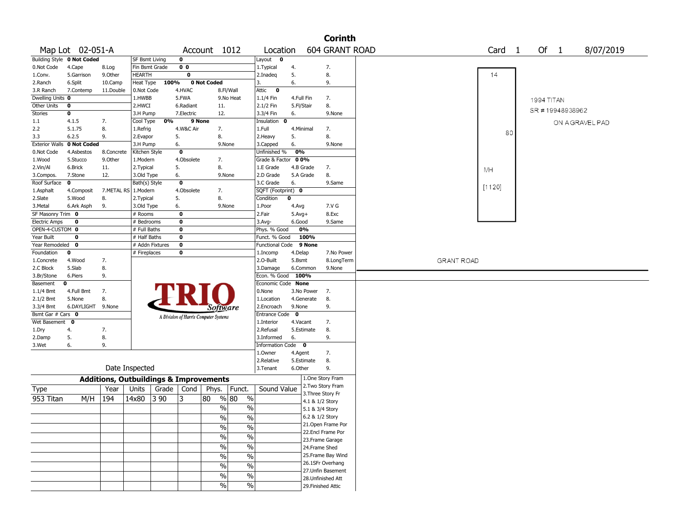|                       |                                   |                                                   |                 |       |                                       |                    |               |                             |              |            | <b>Corinth</b>                        |                                        |
|-----------------------|-----------------------------------|---------------------------------------------------|-----------------|-------|---------------------------------------|--------------------|---------------|-----------------------------|--------------|------------|---------------------------------------|----------------------------------------|
|                       | Map Lot 02-051-A                  |                                                   |                 |       |                                       | Account 1012       |               | Location                    |              |            | <b>604 GRANT ROAD</b>                 | Card <sub>1</sub><br>Of 1<br>8/07/2019 |
|                       | <b>Building Style 0 Not Coded</b> |                                                   | SF Bsmt Living  |       | $\overline{\mathbf{0}}$               |                    |               | Layout<br>0                 |              |            |                                       |                                        |
| 0.Not Code            | 4.Cape                            | 8.Log                                             | Fin Bsmt Grade  |       | 0 <sub>0</sub>                        |                    |               | 1. Typical                  | 4.           |            | 7.                                    |                                        |
| 1.Conv.               | 5.Garrison                        | 9.0ther                                           | <b>HEARTH</b>   |       | $\overline{\mathbf{0}}$               |                    |               | 2.Inadeq                    | 5.           |            | 8.                                    | 14                                     |
| 2.Ranch               | 6.Split                           | 10.Camp                                           | Heat Type       | 100%  |                                       | <b>0 Not Coded</b> |               | 3.                          | 6.           |            | 9.                                    |                                        |
| 3.R Ranch             | 7.Contemp                         | 11.Double                                         | 0.Not Code      |       | 4.HVAC                                |                    | 8.Fl/Wall     | Attic<br>$\mathbf{0}$       |              |            |                                       |                                        |
| Dwelling Units 0      |                                   |                                                   | 1.HWBB          |       | 5.FWA                                 |                    | 9.No Heat     | 1.1/4 Fin                   | 4.Full Fin   |            | 7.                                    | <b>1994 TITAN</b>                      |
| Other Units           | 0                                 |                                                   | 2.HWCI          |       | 6.Radiant                             | 11.                |               | 2.1/2 Fin                   | 5.Fl/Stair   |            | 8.                                    |                                        |
| Stories               | 0                                 |                                                   | 3.H Pump        |       | 7.Electric                            | 12.                |               | 3.3/4 Fin                   | 6.           |            | 9.None                                | SR#19948938962                         |
| 1.1                   | 4.1.5                             | 7.                                                | Cool Type       | 0%    | 9 None                                |                    |               | Insulation<br>0             |              |            |                                       | ON A GRAVEL PAD                        |
| 2.2                   | 5.1.75                            | 8.                                                | 1.Refrig        |       | 4.W&C Air                             | 7.                 |               | 1.Full                      |              | 4.Minimal  | 7.                                    |                                        |
| 3.3                   | 6.2.5                             | 9.                                                | 2.Evapor        |       | 5.                                    | 8.                 |               | 2.Heavy                     | 5.           |            | 8.                                    | 80                                     |
| <b>Exterior Walls</b> | 0 Not Coded                       |                                                   | 3.H Pump        |       | 6.                                    |                    | 9.None        | 3.Capped                    | 6.           |            | 9.None                                |                                        |
| 0.Not Code            | 4.Asbestos                        | 8.Concrete                                        | Kitchen Style   |       | $\overline{\mathbf{0}}$               |                    |               | Unfinished %                | 0%           |            |                                       |                                        |
| 1.Wood                | 5.Stucco                          | 9.0ther                                           | 1.Modern        |       | 4.Obsolete                            | 7.                 |               | Grade & Factor              |              | 00%        |                                       |                                        |
| 2.Vin/Al              | 6.Brick                           | 11.                                               | 2. Typical      |       | 5.                                    | 8.                 |               | 1.E Grade                   |              | 4.B Grade  | 7.                                    | MH                                     |
| 3.Compos.             | 7.Stone                           | 12.                                               | 3.Old Type      |       | 6.                                    |                    | 9.None        | 2.D Grade                   |              | 5.A Grade  | 8.                                    |                                        |
| Roof Surface          | $\mathbf{o}$                      |                                                   | Bath(s) Style   |       | $\overline{\mathbf{0}}$               |                    |               | 3.C Grade                   | 6.           |            | 9.Same                                |                                        |
| 1.Asphalt             | 4.Composit                        | 7.METAL RS                                        | 1.Modern        |       | 4.Obsolete                            | 7.                 |               | SQFT (Footprint) 0          |              |            |                                       | [1120]                                 |
| 2.Slate               | 5.Wood                            | 8.                                                | 2. Typical      |       | 5.                                    | 8.                 |               | Condition                   | 0            |            |                                       |                                        |
| 3.Metal               | 6.Ark Asph                        | 9.                                                | 3.Old Type      |       | 6.                                    |                    | 9.None        | 1.Poor                      | 4.Avg        |            | 7.V G                                 |                                        |
| SF Masonry Trim 0     |                                   |                                                   | # Rooms         |       | $\bf{0}$                              |                    |               | 2.Fair                      | $5.$ Avg $+$ |            | 8.Exc                                 |                                        |
| <b>Electric Amps</b>  | 0                                 |                                                   | # Bedrooms      |       | $\mathbf 0$                           |                    |               | 3.Avg-                      | 6.Good       |            | 9.Same                                |                                        |
| OPEN-4-CUSTOM 0       |                                   |                                                   | # Full Baths    |       | $\mathbf 0$                           |                    |               | Phys. % Good                |              | 0%         |                                       |                                        |
| Year Built            | 0                                 |                                                   | # Half Baths    |       | $\mathbf 0$                           |                    |               | Funct. % Good               |              | 100%       |                                       |                                        |
| Year Remodeled        | 0                                 |                                                   | # Addn Fixtures |       | $\mathbf 0$                           |                    |               | <b>Functional Code</b>      |              | 9 None     |                                       |                                        |
| Foundation            | 0                                 |                                                   | # Fireplaces    |       | $\mathbf 0$                           |                    |               | 1.Incomp                    | 4.Delap      |            | 7.No Power                            |                                        |
| 1.Concrete            | 4.Wood                            | 7.                                                |                 |       |                                       |                    |               | 2.O-Built                   | 5.Bsmt       |            | 8.LongTerm                            | <b>GRANT ROAD</b>                      |
| 2.C Block             | 5.Slab                            | 8.                                                |                 |       |                                       |                    |               | 3.Damage                    |              | 6.Common   | 9.None                                |                                        |
| 3.Br/Stone            | 6.Piers                           | 9.                                                |                 |       |                                       |                    |               | Econ. % Good                |              | 100%       |                                       |                                        |
| Basement              | 0                                 |                                                   |                 |       |                                       |                    |               | Economic Code None          |              |            |                                       |                                        |
| 1.1/4 Bmt             | 4.Full Bmt                        | 7.                                                |                 |       |                                       |                    |               | 0.None                      |              | 3.No Power | 7.                                    |                                        |
| 2.1/2 Bmt             | 5.None                            | 8.                                                |                 |       |                                       |                    |               | 1.Location                  |              | 4.Generate | 8.                                    |                                        |
| 3.3/4 Bmt             | 6.DAYLIGHT 9.None                 |                                                   |                 |       |                                       |                    |               | 2.Encroach                  | 9.None       |            | 9.                                    |                                        |
| Bsmt Gar # Cars 0     |                                   |                                                   |                 |       |                                       | Software           |               |                             | $\mathbf 0$  |            |                                       |                                        |
| Wet Basement          | 0                                 |                                                   |                 |       | A Division of Harris Computer Systems |                    |               | Entrance Code<br>1.Interior | 4.Vacant     |            | 7.                                    |                                        |
|                       |                                   |                                                   |                 |       |                                       |                    |               |                             |              |            |                                       |                                        |
| 1.Dry                 | 4.                                | 7.                                                |                 |       |                                       |                    |               | 2.Refusal                   |              | 5.Estimate | 8.                                    |                                        |
| 2.Damp                | 5.                                | 8.                                                |                 |       |                                       |                    |               | 3.Informed                  | 6.           |            | 9.                                    |                                        |
| 3.Wet                 | 6.                                | 9.                                                |                 |       |                                       |                    |               | Information Code 0          |              |            |                                       |                                        |
|                       |                                   |                                                   |                 |       |                                       |                    |               | 1.0wner                     | 4.Agent      |            | 7.                                    |                                        |
|                       |                                   |                                                   |                 |       |                                       |                    |               | 2.Relative                  |              | 5.Estimate | 8.                                    |                                        |
|                       |                                   |                                                   | Date Inspected  |       |                                       |                    |               | 3. Tenant                   | 6.Other      |            | 9.                                    |                                        |
|                       |                                   | <b>Additions, Outbuildings &amp; Improvements</b> |                 |       |                                       |                    |               |                             |              |            | 1.One Story Fram<br>2. Two Story Fram |                                        |
| Type                  |                                   | Year                                              | Units           | Grade | Cond                                  | Phys.              | Funct.        | Sound Value                 |              |            | 3. Three Story Fr                     |                                        |
| 953 Titan             | M/H                               | 194                                               | 14x80           | 3 9 0 | 3                                     | 80                 | % 80<br>$\%$  |                             |              |            |                                       |                                        |
|                       |                                   |                                                   |                 |       |                                       | $\frac{0}{0}$      | $\%$          |                             |              |            | 4.1 & 1/2 Story                       |                                        |
|                       |                                   |                                                   |                 |       |                                       |                    |               |                             |              |            | 5.1 & 3/4 Story                       |                                        |
|                       |                                   |                                                   |                 |       |                                       | $\frac{1}{2}$      | $\%$          |                             |              |            | 6.2 & 1/2 Story                       |                                        |
|                       |                                   |                                                   |                 |       |                                       | $\frac{1}{2}$      | $\frac{0}{0}$ |                             |              |            | 21. Open Frame Por                    |                                        |
|                       |                                   |                                                   |                 |       |                                       | $\frac{1}{2}$      | $\%$          |                             |              |            | 22.Encl Frame Por                     |                                        |
|                       |                                   |                                                   |                 |       |                                       |                    |               |                             |              |            | 23. Frame Garage                      |                                        |
|                       |                                   |                                                   |                 |       |                                       | $\frac{1}{2}$      | $\%$          |                             |              |            | 24.Frame Shed                         |                                        |
|                       |                                   |                                                   |                 |       |                                       | $\frac{0}{0}$      | $\%$          |                             |              |            | 25. Frame Bay Wind                    |                                        |
|                       |                                   |                                                   |                 |       |                                       | $\frac{0}{0}$      | $\%$          |                             |              |            | 26.1SFr Overhang                      |                                        |
|                       |                                   |                                                   |                 |       |                                       |                    |               |                             |              |            | 27. Unfin Basement                    |                                        |
|                       |                                   |                                                   |                 |       |                                       | $\%$               | $\%$          |                             |              |            | 28. Unfinished Att                    |                                        |
|                       |                                   |                                                   |                 |       |                                       | $\frac{0}{0}$      | $\%$          |                             |              |            | 29. Finished Attic                    |                                        |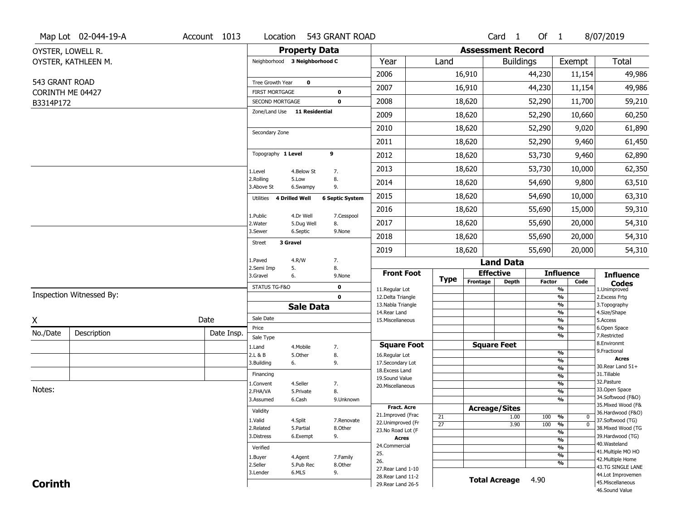|                  | Map Lot 02-044-19-A      | Account 1013 | Location                                        |                         | 543 GRANT ROAD         |                                          |                 |                          | Card <sub>1</sub>    | Of $1$ |                                           | 8/07/2019                               |
|------------------|--------------------------|--------------|-------------------------------------------------|-------------------------|------------------------|------------------------------------------|-----------------|--------------------------|----------------------|--------|-------------------------------------------|-----------------------------------------|
|                  | OYSTER, LOWELL R.        |              |                                                 | <b>Property Data</b>    |                        |                                          |                 | <b>Assessment Record</b> |                      |        |                                           |                                         |
|                  | OYSTER, KATHLEEN M.      |              | Neighborhood 3 Neighborhood C                   |                         |                        | Year                                     | Land            |                          | <b>Buildings</b>     |        | Exempt                                    | <b>Total</b>                            |
|                  |                          |              |                                                 |                         |                        | 2006                                     |                 | 16,910                   |                      | 44,230 | 11,154                                    | 49,986                                  |
| 543 GRANT ROAD   |                          |              | Tree Growth Year                                | 0                       |                        | 2007                                     |                 | 16,910                   |                      | 44,230 | 11,154                                    | 49,986                                  |
| CORINTH ME 04427 |                          |              | <b>FIRST MORTGAGE</b>                           |                         | 0                      | 2008                                     |                 | 18,620                   |                      | 52,290 | 11,700                                    |                                         |
| B3314P172        |                          |              | SECOND MORTGAGE<br>Zone/Land Use 11 Residential |                         | 0                      |                                          |                 |                          |                      |        |                                           | 59,210                                  |
|                  |                          |              |                                                 |                         |                        | 2009                                     |                 | 18,620                   |                      | 52,290 | 10,660                                    | 60,250                                  |
|                  |                          |              | Secondary Zone                                  |                         |                        | 2010                                     |                 | 18,620                   |                      | 52,290 | 9,020                                     | 61,890                                  |
|                  |                          |              |                                                 |                         |                        | 2011                                     |                 | 18,620                   |                      | 52,290 | 9,460                                     | 61,450                                  |
|                  |                          |              | Topography 1 Level                              |                         | 9                      | 2012                                     |                 | 18,620                   |                      | 53,730 | 9,460                                     | 62,890                                  |
|                  |                          |              | 1.Level                                         | 4.Below St              | 7.                     | 2013                                     |                 | 18,620                   |                      | 53,730 | 10,000                                    | 62,350                                  |
|                  |                          |              | 2.Rolling<br>3.Above St                         | 5.Low<br>6.Swampy       | 8.<br>9.               | 2014                                     |                 | 18,620                   |                      | 54,690 | 9,800                                     | 63,510                                  |
|                  |                          |              | 4 Drilled Well<br>Utilities                     |                         | <b>6 Septic System</b> | 2015                                     |                 | 18,620                   |                      | 54,690 | 10,000                                    | 63,310                                  |
|                  |                          |              |                                                 |                         |                        | 2016                                     |                 | 18,620                   |                      | 55,690 | 15,000                                    | 59,310                                  |
|                  |                          |              | 1.Public<br>2. Water                            | 4.Dr Well<br>5.Dug Well | 7.Cesspool<br>8.       | 2017                                     |                 | 18,620                   |                      | 55,690 | 20,000                                    | 54,310                                  |
|                  |                          |              | 3.Sewer                                         | 6.Septic                | 9.None                 | 2018                                     |                 | 18,620                   |                      | 55,690 | 20,000                                    | 54,310                                  |
|                  |                          |              | 3 Gravel<br><b>Street</b>                       |                         |                        | 2019                                     |                 | 18,620                   |                      | 55,690 | 20,000                                    | 54,310                                  |
|                  |                          |              | 1.Paved                                         | 4.R/W                   | 7.                     |                                          |                 |                          | <b>Land Data</b>     |        |                                           |                                         |
|                  |                          |              | 2.Semi Imp<br>5.<br>3.Gravel                    | 6.                      | 8.<br>9.None           | <b>Front Foot</b>                        |                 | <b>Effective</b>         |                      |        | <b>Influence</b>                          | <b>Influence</b>                        |
|                  |                          |              | STATUS TG-F&O                                   |                         | 0                      | 11.Regular Lot                           | <b>Type</b>     | Frontage                 | <b>Depth</b>         | Factor | Code<br>%                                 | <b>Codes</b><br>1.Unimproved            |
|                  | Inspection Witnessed By: |              |                                                 |                         | $\mathbf{0}$           | 12.Delta Triangle                        |                 |                          |                      |        | $\frac{9}{6}$                             | 2.Excess Frtg                           |
|                  |                          |              |                                                 | <b>Sale Data</b>        |                        | 13. Nabla Triangle<br>14. Rear Land      |                 |                          |                      |        | %                                         | 3. Topography                           |
| X                |                          | Date         | Sale Date                                       |                         |                        | 15. Miscellaneous                        |                 |                          |                      |        | %<br>%                                    | 4.Size/Shape<br>5.Access                |
| No./Date         | Description              | Date Insp.   | Price                                           |                         |                        |                                          |                 |                          |                      |        | %                                         | 6.Open Space                            |
|                  |                          |              | Sale Type                                       |                         |                        | <b>Square Foot</b>                       |                 | <b>Square Feet</b>       |                      |        | %                                         | 7.Restricted<br>8.Environmt             |
|                  |                          |              | 1.Land<br>2.L & B                               | 4. Mobile<br>5.Other    | 7.<br>8.               | 16.Regular Lot                           |                 |                          |                      |        | $\frac{9}{6}$                             | 9. Fractional                           |
|                  |                          |              | 3.Building                                      | 6.                      | 9.                     | 17.Secondary Lot                         |                 |                          |                      |        | %                                         | <b>Acres</b>                            |
|                  |                          |              | Financing                                       |                         |                        | 18.Excess Land                           |                 |                          |                      |        | $\frac{9}{6}$                             | 30. Rear Land 51+<br>31.Tillable        |
|                  |                          |              | 1.Convent                                       | 4.Seller                | 7.                     | 19.Sound Value                           |                 |                          |                      |        | $\overline{\frac{9}{6}}$<br>$\frac{9}{6}$ | 32. Pasture                             |
| Notes:           |                          |              | 2.FHA/VA                                        | 5.Private               | 8.                     | 20.Miscellaneous                         |                 |                          |                      |        | $\overline{\frac{9}{6}}$                  | 33.Open Space                           |
|                  |                          |              | 3.Assumed                                       | 6.Cash                  | 9.Unknown              |                                          |                 |                          |                      |        | %                                         | 34.Softwood (F&O)                       |
|                  |                          |              | Validity                                        |                         |                        | Fract. Acre                              |                 | <b>Acreage/Sites</b>     |                      |        |                                           | 35. Mixed Wood (F&<br>36.Hardwood (F&O) |
|                  |                          |              | 1.Valid                                         | 4.Split                 | 7.Renovate             | 21.Improved (Frac<br>22.Unimproved (Fr   | 21              |                          | 1.00                 | 100    | %<br>$\bm{0}$                             | 37.Softwood (TG)                        |
|                  |                          |              | 2.Related                                       | 5.Partial               | 8.Other                | 23.No Road Lot (F                        | $\overline{27}$ |                          | 3.90                 | 100    | $\overline{0}$<br>%                       | 38. Mixed Wood (TG                      |
|                  |                          |              | 3.Distress                                      | 6.Exempt                | 9.                     | <b>Acres</b>                             |                 |                          |                      |        | $\overline{\frac{9}{6}}$<br>$\frac{9}{6}$ | 39.Hardwood (TG)                        |
|                  |                          |              | Verified                                        |                         |                        | 24.Commercial                            |                 |                          |                      |        | %                                         | 40. Wasteland                           |
|                  |                          |              | 1.Buyer                                         | 4.Agent                 | 7.Family               | 25.                                      |                 |                          |                      |        | $\frac{9}{6}$                             | 41. Multiple MO HO<br>42. Multiple Home |
|                  |                          |              | 2.Seller                                        | 5.Pub Rec               | 8.Other                | 26.                                      |                 |                          |                      |        | %                                         | 43.TG SINGLE LANE                       |
|                  |                          |              | 3.Lender                                        | 6.MLS                   | 9.                     | 27. Rear Land 1-10                       |                 |                          |                      |        |                                           |                                         |
|                  |                          |              |                                                 |                         |                        |                                          |                 |                          |                      |        |                                           | 44.Lot Improvemen                       |
| <b>Corinth</b>   |                          |              |                                                 |                         |                        | 28. Rear Land 11-2<br>29. Rear Land 26-5 |                 |                          | <b>Total Acreage</b> | 4.90   |                                           | 45. Miscellaneous<br>46.Sound Value     |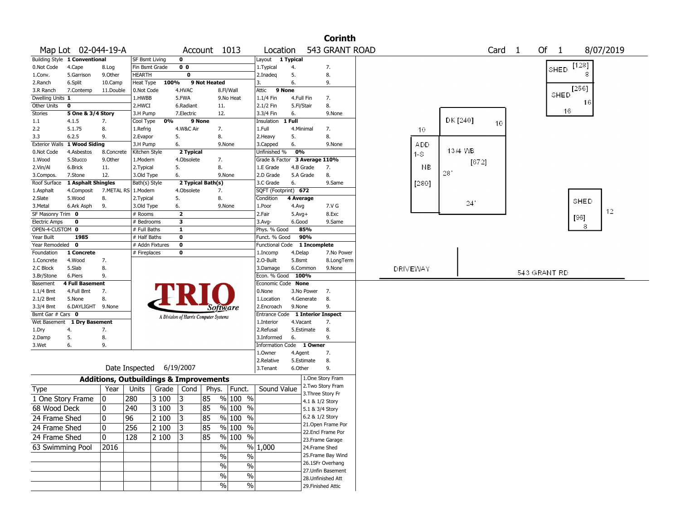|                              |                                      |                                                   |                          |                     |                               |                                       |                     |                                  |                        |                    | <b>Corinth</b>    |          |       |            |              |                   |              |             |             |           |  |
|------------------------------|--------------------------------------|---------------------------------------------------|--------------------------|---------------------|-------------------------------|---------------------------------------|---------------------|----------------------------------|------------------------|--------------------|-------------------|----------|-------|------------|--------------|-------------------|--------------|-------------|-------------|-----------|--|
|                              | Map Lot 02-044-19-A                  |                                                   |                          |                     |                               | Account 1013                          |                     | Location                         |                        |                    | 543 GRANT ROAD    |          |       |            |              | Card <sub>1</sub> | Of 1         |             |             | 8/07/2019 |  |
|                              | <b>Building Style 1 Conventional</b> |                                                   | SF Bsmt Living           |                     | $\mathbf 0$                   |                                       |                     | Layout                           | 1 Typical              |                    |                   |          |       |            |              |                   |              |             |             |           |  |
| 0.Not Code                   | 4.Cape                               | 8.Log                                             | Fin Bsmt Grade           |                     | 0 <sub>0</sub>                |                                       |                     | 1. Typical                       | 4.                     |                    | 7.                |          |       |            |              |                   |              | <b>SHED</b> | [128]       |           |  |
| 1.Conv.                      | 5.Garrison                           | 9.0ther                                           | HEARTH                   |                     | 0                             |                                       |                     | 2.Inadeg                         | 5.                     |                    | 8.                |          |       |            |              |                   |              |             | 8           |           |  |
| 2.Ranch                      | 6.Split                              | 10.Camp                                           | Heat Type                | 100%                |                               | 9 Not Heated                          |                     | 3.                               | 6.                     |                    | 9.                |          |       |            |              |                   |              |             |             |           |  |
| 3.R Ranch                    | 7.Contemp                            | 11.Double                                         | 0.Not Code               |                     | 4.HVAC                        |                                       | 8.Fl/Wall           | Attic<br>9 None                  |                        |                    |                   |          |       |            |              |                   |              | SHED        | [256]       |           |  |
| Dwelling Units 1             |                                      |                                                   | 1.HWBB                   |                     | 5.FWA                         |                                       | 9.No Heat           | 1.1/4 Fin                        | 4.Full Fin             |                    | 7.                |          |       |            |              |                   |              |             | 16          |           |  |
| Other Units                  | $\mathbf 0$                          |                                                   | 2.HWCI                   |                     | 6.Radiant                     | 11.                                   |                     | 2.1/2 Fin                        | 5.Fl/Stair             |                    | 8.                |          |       |            |              |                   |              |             |             |           |  |
| Stories                      | 5 One & 3/4 Story                    |                                                   | 3.H Pump                 |                     | 7.Electric                    | 12.                                   |                     | 3.3/4 Fin                        | 6.                     |                    | 9.None            |          |       |            |              |                   |              | 16          |             |           |  |
| 1.1                          | 4.1.5                                | 7.                                                | Cool Type                | 0%                  |                               | 9 None                                |                     | Insulation                       | 1 Full                 |                    |                   |          |       | DK [240]   |              | 10                |              |             |             |           |  |
| 2.2                          | 5.1.75                               | 8.                                                | 1.Refrig                 |                     | 4.W&C Air                     | 7.                                    |                     | 1.Full                           | 4.Minimal              |                    | 7.                |          | 10    |            |              |                   |              |             |             |           |  |
| 3.3                          | 6.2.5                                | 9.                                                | 2.Evapor                 |                     | 5.                            | 8.                                    |                     | 2. Heavy                         | 5.                     |                    | 8.                |          |       |            |              |                   |              |             |             |           |  |
| <b>Exterior Walls</b>        | 1 Wood Siding                        |                                                   | 3.H Pump                 |                     | 6.                            |                                       | 9.None              | 3.Capped                         | 6.                     |                    | 9.None            |          | ADD   |            |              |                   |              |             |             |           |  |
| 0.Not Code                   | 4.Asbestos                           | 8.Concrete                                        | Kitchen Style            |                     | 2 Typical                     |                                       |                     | Unfinished %                     | 0%                     |                    |                   |          | $1-S$ | 13/4 WB    |              |                   |              |             |             |           |  |
| 1.Wood                       | 5.Stucco                             | 9.0ther                                           | 1.Modern                 |                     | 4.Obsolete                    | 7.                                    |                     | Grade & Factor 3 Average 110%    |                        |                    |                   |          |       |            | [672]        |                   |              |             |             |           |  |
| 2.Vin/Al                     | 6.Brick                              | 11.                                               | 2. Typical               |                     | 5.                            | 8.                                    |                     | 1.E Grade                        | 4.B Grade              |                    | 7.                |          | ΝB    | $28^\circ$ |              |                   |              |             |             |           |  |
| 3.Compos.                    | 7.Stone                              | 12.                                               | 3.Old Type               |                     | 6.                            |                                       | 9.None              | 2.D Grade                        | 5.A Grade              |                    | 8.                |          |       |            |              |                   |              |             |             |           |  |
| Roof Surface                 | 1 Asphalt Shingles                   |                                                   | Bath(s) Style            |                     |                               | 2 Typical Bath(s)                     |                     | 3.C Grade                        | 6.                     |                    | 9.Same            |          | [280] |            |              |                   |              |             |             |           |  |
| 1.Asphalt                    | 4.Composit                           | 7.METAL RS                                        | 1.Modern                 |                     | 4.Obsolete                    | 7.                                    |                     | SQFT (Footprint) 672             |                        |                    |                   |          |       |            |              |                   |              |             |             |           |  |
| 2.Slate                      | 5.Wood                               | 8.                                                | 2. Typical               |                     | 5.                            | 8.                                    |                     | Condition                        | 4 Average              |                    |                   |          |       |            | $24^{\circ}$ |                   |              |             | <b>SHED</b> |           |  |
| 3.Metal<br>SF Masonry Trim 0 | 6.Ark Asph                           | 9.                                                | 3.Old Type<br># Rooms    |                     | 6.<br>$\overline{\mathbf{2}}$ |                                       | 9.None              | 1.Poor<br>2.Fair                 | 4.Avg                  |                    | 7.V G<br>8.Exc    |          |       |            |              |                   |              |             |             | 12        |  |
| <b>Electric Amps</b>         | 0                                    |                                                   | # Bedrooms               |                     | 3                             |                                       |                     | $3.$ Avg-                        | $5.$ Avg $+$<br>6.Good |                    | 9.Same            |          |       |            |              |                   |              |             | [96]        |           |  |
| OPEN-4-CUSTOM 0              |                                      |                                                   | # Full Baths             |                     | $\mathbf{1}$                  |                                       |                     | Phys. % Good                     | 85%                    |                    |                   |          |       |            |              |                   |              |             | 8           |           |  |
| Year Built                   | 1985                                 |                                                   | # Half Baths             |                     | $\mathbf 0$                   |                                       |                     | Funct. % Good                    | 90%                    |                    |                   |          |       |            |              |                   |              |             |             |           |  |
| Year Remodeled 0             |                                      |                                                   |                          | # Addn Fixtures     | $\mathbf 0$                   |                                       |                     | Functional Code 1 Incomplete     |                        |                    |                   |          |       |            |              |                   |              |             |             |           |  |
| Foundation                   | 1 Concrete                           |                                                   | # Fireplaces             |                     | $\mathbf 0$                   |                                       |                     | 1.Incomp                         | 4.Delap                |                    | 7.No Power        |          |       |            |              |                   |              |             |             |           |  |
| 1.Concrete                   | 4.Wood                               | 7.                                                |                          |                     |                               |                                       |                     | 2.O-Built                        | 5.Bsmt                 |                    | 8.LongTerm        |          |       |            |              |                   |              |             |             |           |  |
| 2.C Block                    | 5.Slab                               | 8.                                                |                          |                     |                               |                                       |                     | 3.Damage                         | 6.Common               |                    | 9.None            | DRIVEWAY |       |            |              |                   |              |             |             |           |  |
| 3.Br/Stone                   | 6.Piers                              | 9.                                                |                          |                     |                               |                                       |                     | Econ. % Good                     | 100%                   |                    |                   |          |       |            |              |                   | 543 GRANT RD |             |             |           |  |
| Basement                     | <b>4 Full Basement</b>               |                                                   |                          |                     |                               |                                       |                     | Economic Code None               |                        |                    |                   |          |       |            |              |                   |              |             |             |           |  |
| 1.1/4 Bmt                    | 4.Full Bmt                           | 7.                                                |                          |                     |                               |                                       |                     | 0.None                           | 3.No Power             |                    | 7.                |          |       |            |              |                   |              |             |             |           |  |
| $2.1/2$ Bmt                  | 5.None                               | 8.                                                |                          |                     |                               |                                       |                     | 1.Location                       | 4.Generate             |                    | 8.                |          |       |            |              |                   |              |             |             |           |  |
| 3.3/4 Bmt                    | 6.DAYLIGHT 9.None                    |                                                   |                          |                     |                               | <i>Software</i>                       |                     | 2.Encroach                       | 9.None                 |                    | 9.                |          |       |            |              |                   |              |             |             |           |  |
| Bsmt Gar # Cars 0            |                                      |                                                   |                          |                     |                               | A Division of Harris Computer Systems |                     | Entrance Code 1 Interior Inspect |                        |                    |                   |          |       |            |              |                   |              |             |             |           |  |
|                              | Wet Basement 1 Dry Basement          |                                                   |                          |                     |                               |                                       |                     | 1.Interior                       | 4.Vacant               |                    | 7.                |          |       |            |              |                   |              |             |             |           |  |
| 1.Dry                        | 4.                                   | 7.                                                |                          |                     |                               |                                       |                     | 2.Refusal                        | 5.Estimate             |                    | 8.                |          |       |            |              |                   |              |             |             |           |  |
| 2.Damp                       | 5.                                   | 8.                                                |                          |                     |                               |                                       |                     | 3.Informed                       | 6.                     |                    | 9.                |          |       |            |              |                   |              |             |             |           |  |
| 3.Wet                        | 6.                                   | 9.                                                |                          |                     |                               |                                       |                     | <b>Information Code</b>          |                        | 1 Owner            |                   |          |       |            |              |                   |              |             |             |           |  |
|                              |                                      |                                                   |                          |                     |                               |                                       |                     | 1.0wner                          | 4.Agent                |                    | 7.                |          |       |            |              |                   |              |             |             |           |  |
|                              |                                      |                                                   |                          |                     |                               |                                       |                     | 2.Relative                       | 5.Estimate             |                    | 8.                |          |       |            |              |                   |              |             |             |           |  |
|                              |                                      |                                                   | Date Inspected 6/19/2007 |                     |                               |                                       |                     | 3.Tenant                         | 6.Other                |                    | 9.                |          |       |            |              |                   |              |             |             |           |  |
|                              |                                      | <b>Additions, Outbuildings &amp; Improvements</b> |                          |                     |                               |                                       |                     |                                  |                        | 1.One Story Fram   |                   |          |       |            |              |                   |              |             |             |           |  |
| <b>Type</b>                  |                                      | Year                                              | Units                    | Grade               | Cond                          | Phys.                                 | Funct.              | Sound Value                      |                        | 2. Two Story Fram  |                   |          |       |            |              |                   |              |             |             |           |  |
| 1 One Story Frame            |                                      | 0                                                 | 280                      | 3 100               | 3                             | 85                                    | $%100$ %            |                                  |                        | 3. Three Story Fr  |                   |          |       |            |              |                   |              |             |             |           |  |
|                              |                                      |                                                   |                          |                     |                               |                                       |                     |                                  |                        | 4.1 & 1/2 Story    |                   |          |       |            |              |                   |              |             |             |           |  |
| 68 Wood Deck                 |                                      | 0                                                 | 240                      | 3 1 0 0             | 3                             | 85<br>$\sim$                          | % 100 %             |                                  |                        | 5.1 & 3/4 Story    |                   |          |       |            |              |                   |              |             |             |           |  |
| 24 Frame Shed                |                                      | 0                                                 | $\overline{96}$          | $\overline{2\,100}$ | 3                             | 85                                    | $\frac{9}{6}$ 100 % |                                  |                        | 6.2 & 1/2 Story    |                   |          |       |            |              |                   |              |             |             |           |  |
| 24 Frame Shed                |                                      | 10                                                | 256                      | $\sqrt{2}$ 100      | 3                             | 85                                    | % 100 %             |                                  |                        |                    | 21.Open Frame Por |          |       |            |              |                   |              |             |             |           |  |
| 24 Frame Shed                |                                      | 10                                                | 128                      | 2 100               | 13                            | 85                                    | % 100 %             |                                  |                        | 22.Encl Frame Por  |                   |          |       |            |              |                   |              |             |             |           |  |
| 63 Swimming Pool             |                                      | 2016                                              |                          |                     |                               | $\%$                                  |                     | % 1,000                          |                        | 23. Frame Garage   |                   |          |       |            |              |                   |              |             |             |           |  |
|                              |                                      |                                                   |                          |                     |                               |                                       |                     |                                  |                        | 24.Frame Shed      | 25.Frame Bay Wind |          |       |            |              |                   |              |             |             |           |  |
|                              |                                      |                                                   |                          |                     |                               | $\%$                                  | $\frac{0}{0}$       |                                  |                        | 26.1SFr Overhang   |                   |          |       |            |              |                   |              |             |             |           |  |
|                              |                                      |                                                   |                          |                     |                               | $\%$                                  | $\%$                |                                  |                        | 27. Unfin Basement |                   |          |       |            |              |                   |              |             |             |           |  |
|                              |                                      |                                                   |                          |                     |                               | $\sqrt{6}$                            | $\%$                |                                  |                        | 28.Unfinished Att  |                   |          |       |            |              |                   |              |             |             |           |  |
|                              |                                      |                                                   |                          |                     |                               | $\sqrt{6}$                            | $\%$                |                                  |                        | 29. Finished Attic |                   |          |       |            |              |                   |              |             |             |           |  |
|                              |                                      |                                                   |                          |                     |                               |                                       |                     |                                  |                        |                    |                   |          |       |            |              |                   |              |             |             |           |  |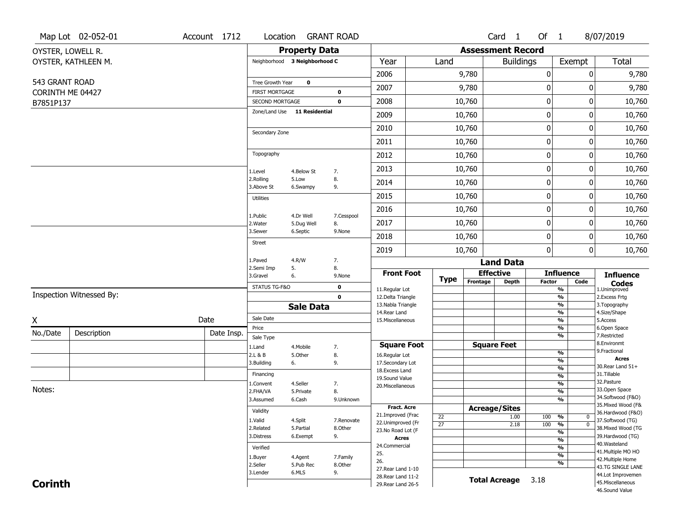|                  | Map Lot 02-052-01        | Account 1712 | Location                                 |                               | <b>GRANT ROAD</b> |                                         |                       |                          | Card <sub>1</sub>    | Of $1$           |                                            | 8/07/2019                           |
|------------------|--------------------------|--------------|------------------------------------------|-------------------------------|-------------------|-----------------------------------------|-----------------------|--------------------------|----------------------|------------------|--------------------------------------------|-------------------------------------|
|                  | OYSTER, LOWELL R.        |              |                                          | <b>Property Data</b>          |                   |                                         |                       | <b>Assessment Record</b> |                      |                  |                                            |                                     |
|                  | OYSTER, KATHLEEN M.      |              |                                          | Neighborhood 3 Neighborhood C |                   | Year                                    | Land                  |                          | <b>Buildings</b>     |                  | Exempt                                     | Total                               |
|                  |                          |              |                                          |                               |                   | 2006                                    |                       | 9,780                    |                      | $\boldsymbol{0}$ | 0                                          | 9,780                               |
| 543 GRANT ROAD   |                          |              | Tree Growth Year                         | 0                             |                   | 2007                                    |                       | 9,780                    |                      | 0                | 0                                          | 9,780                               |
| CORINTH ME 04427 |                          |              | <b>FIRST MORTGAGE</b><br>SECOND MORTGAGE |                               | 0<br>$\mathbf 0$  | 2008                                    |                       | 10,760                   |                      | $\boldsymbol{0}$ | 0                                          | 10,760                              |
| B7851P137        |                          |              |                                          | Zone/Land Use 11 Residential  |                   |                                         |                       |                          |                      |                  |                                            |                                     |
|                  |                          |              |                                          |                               |                   | 2009                                    |                       | 10,760                   |                      | $\mathbf 0$      | 0                                          | 10,760                              |
|                  |                          |              | Secondary Zone                           |                               |                   | 2010                                    |                       | 10,760                   |                      | $\boldsymbol{0}$ | 0                                          | 10,760                              |
|                  |                          |              |                                          |                               |                   | 2011                                    |                       | 10,760                   |                      | $\mathbf 0$      | 0                                          | 10,760                              |
|                  |                          |              | Topography                               |                               |                   | 2012                                    |                       | 10,760                   |                      | $\boldsymbol{0}$ | 0                                          | 10,760                              |
|                  |                          |              | 1.Level                                  | 4.Below St                    | 7.                | 2013                                    |                       | 10,760                   |                      | $\mathbf 0$      | 0                                          | 10,760                              |
|                  |                          |              | 2.Rolling<br>3.Above St                  | 5.Low<br>6.Swampy             | 8.<br>9.          | 2014                                    |                       | 10,760                   |                      | 0                | 0                                          | 10,760                              |
|                  |                          |              | <b>Utilities</b>                         |                               |                   | 2015                                    |                       | 10,760                   |                      | $\mathbf 0$      | 0                                          | 10,760                              |
|                  |                          |              |                                          |                               |                   | 2016                                    |                       | 10,760                   |                      | $\boldsymbol{0}$ | 0                                          | 10,760                              |
|                  |                          |              | 1.Public<br>2. Water                     | 4.Dr Well<br>5.Dug Well       | 7.Cesspool<br>8.  | 2017                                    |                       | 10,760                   |                      | $\mathbf 0$      | 0                                          | 10,760                              |
|                  |                          |              | 3.Sewer                                  | 6.Septic                      | 9.None            | 2018                                    |                       | 10,760                   |                      | $\boldsymbol{0}$ | 0                                          | 10,760                              |
|                  |                          |              | <b>Street</b>                            |                               |                   | 2019                                    |                       | 10,760                   |                      | $\boldsymbol{0}$ | 0                                          | 10,760                              |
|                  |                          |              | 1.Paved                                  | 4.R/W                         | 7.                |                                         |                       |                          | <b>Land Data</b>     |                  |                                            |                                     |
|                  |                          |              | 2.Semi Imp<br>3.Gravel                   | 5.<br>6.                      | 8.<br>9.None      | <b>Front Foot</b>                       |                       | <b>Effective</b>         |                      |                  | <b>Influence</b>                           | <b>Influence</b>                    |
|                  |                          |              | STATUS TG-F&O                            |                               | 0                 | 11.Regular Lot                          | <b>Type</b>           | Frontage                 | <b>Depth</b>         | Factor           | Code<br>$\frac{9}{6}$                      | <b>Codes</b><br>1.Unimproved        |
|                  | Inspection Witnessed By: |              |                                          |                               | $\mathbf 0$       | 12.Delta Triangle                       |                       |                          |                      |                  | $\frac{9}{6}$                              | 2.Excess Frtg                       |
|                  |                          |              |                                          | <b>Sale Data</b>              |                   | 13. Nabla Triangle<br>14. Rear Land     |                       |                          |                      |                  | $\overline{\frac{9}{6}}$<br>$\frac{9}{6}$  | 3. Topography<br>4.Size/Shape       |
| Χ                |                          | Date         | Sale Date                                |                               |                   | 15. Miscellaneous                       |                       |                          |                      |                  | $\overline{\frac{9}{6}}$                   | 5.Access                            |
| No./Date         | Description              | Date Insp.   | Price                                    |                               |                   |                                         |                       |                          |                      |                  | $\frac{9}{6}$<br>$\overline{\frac{9}{6}}$  | 6.Open Space<br>7.Restricted        |
|                  |                          |              | Sale Type<br>1.Land                      | 4. Mobile                     | 7.                | <b>Square Foot</b>                      |                       | <b>Square Feet</b>       |                      |                  |                                            | 8.Environmt                         |
|                  |                          |              | 2.L & B                                  | 5.Other                       | 8.                | 16.Regular Lot                          |                       |                          |                      |                  | $\frac{9}{6}$                              | 9. Fractional<br><b>Acres</b>       |
|                  |                          |              | 3.Building                               | 6.                            | 9.                | 17.Secondary Lot                        |                       |                          |                      |                  | %<br>%                                     | 30. Rear Land 51+                   |
|                  |                          |              | Financing                                |                               |                   | 18. Excess Land<br>19.Sound Value       |                       |                          |                      |                  | $\frac{9}{6}$                              | 31.Tillable                         |
|                  |                          |              | 1.Convent                                | 4.Seller                      | 7.                | 20.Miscellaneous                        |                       |                          |                      |                  | $\frac{9}{6}$                              | 32.Pasture                          |
| Notes:           |                          |              | 2.FHA/VA                                 | 5.Private                     | 8.                |                                         |                       |                          |                      |                  | $\frac{9}{6}$                              | 33.Open Space<br>34.Softwood (F&O)  |
|                  |                          |              | 3.Assumed                                | 6.Cash                        | 9.Unknown         |                                         |                       |                          |                      |                  | %                                          | 35. Mixed Wood (F&                  |
|                  |                          |              | Validity                                 |                               |                   | <b>Fract. Acre</b><br>21.Improved (Frac |                       | <b>Acreage/Sites</b>     |                      |                  |                                            | 36.Hardwood (F&O)                   |
|                  |                          |              | 1.Valid                                  | 4.Split                       | 7.Renovate        | 22.Unimproved (Fr                       | 22<br>$\overline{27}$ |                          | 1.00<br>2.18         | 100<br>100 %     | %<br>$\bf{0}$<br>$\overline{\mathfrak{o}}$ | 37.Softwood (TG)                    |
|                  |                          |              | 2.Related                                | 5.Partial                     | 8.Other           | 23.No Road Lot (F                       |                       |                          |                      |                  | $\frac{9}{6}$                              | 38. Mixed Wood (TG                  |
|                  |                          |              | 3.Distress                               | 6.Exempt                      | 9.                | <b>Acres</b>                            |                       |                          |                      |                  | $\frac{9}{6}$                              | 39.Hardwood (TG)                    |
|                  |                          |              | Verified                                 |                               |                   | 24.Commercial                           |                       |                          |                      |                  | %                                          | 40. Wasteland<br>41. Multiple MO HO |
|                  |                          |              | 1.Buyer                                  | 4.Agent                       | 7.Family          | 25.                                     |                       |                          |                      |                  | $\overline{\frac{9}{6}}$                   | 42. Multiple Home                   |
|                  |                          |              | 2.Seller                                 | 5.Pub Rec                     | 8.Other           | 26.<br>27. Rear Land 1-10               |                       |                          |                      |                  | %                                          | 43.TG SINGLE LANE                   |
|                  |                          |              | 3.Lender                                 | 6.MLS                         | 9.                | 28. Rear Land 11-2                      |                       |                          |                      |                  |                                            | 44.Lot Improvemen                   |
| <b>Corinth</b>   |                          |              |                                          |                               |                   | 29. Rear Land 26-5                      |                       |                          | <b>Total Acreage</b> | 3.18             |                                            | 45. Miscellaneous                   |
|                  |                          |              |                                          |                               |                   |                                         |                       |                          |                      |                  |                                            | 46.Sound Value                      |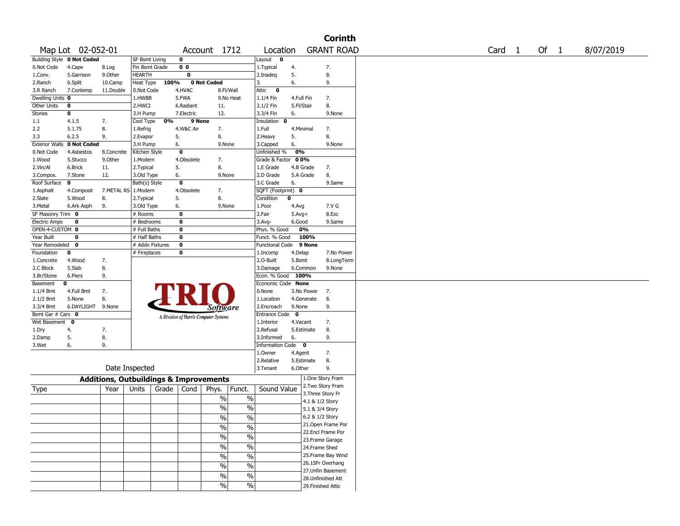|                       |                                   |                                                   |                 |       |                |                                       |                          |                        |            |                 | <b>Corinth</b>     |
|-----------------------|-----------------------------------|---------------------------------------------------|-----------------|-------|----------------|---------------------------------------|--------------------------|------------------------|------------|-----------------|--------------------|
|                       | Map Lot 02-052-01                 |                                                   |                 |       |                | Account 1712                          |                          | Location               |            |                 | <b>GRANT ROAD</b>  |
|                       | <b>Building Style 0 Not Coded</b> |                                                   | SF Bsmt Living  |       | 0              |                                       |                          | Layout 0               |            |                 |                    |
| 0.Not Code            | 4.Cape                            | 8.Log                                             | Fin Bsmt Grade  |       | 0 <sub>0</sub> |                                       |                          | 1. Typical             | 4.         |                 | 7.                 |
| 1.Conv.               | 5.Garrison                        | 9.0ther                                           | <b>HEARTH</b>   |       | 0              |                                       |                          | 2.Inadeq               | 5.         |                 | 8.                 |
| 2.Ranch               | 6.Split                           | 10.Camp                                           | Heat Type       | 100%  |                | 0 Not Coded                           |                          | 3.                     | 6.         |                 | 9.                 |
| 3.R Ranch             | 7.Contemp                         | 11.Double                                         | 0.Not Code      |       | 4.HVAC         |                                       | 8.Fl/Wall                | Attic<br>$\mathbf 0$   |            |                 |                    |
| Dwelling Units 0      |                                   |                                                   | 1.HWBB          |       | 5.FWA          |                                       | 9.No Heat                | 1.1/4 Fin              | 4.Full Fin |                 | 7.                 |
| <b>Other Units</b>    | 0                                 |                                                   | 2.HWCI          |       | 6.Radiant      | 11.                                   |                          | 2.1/2 Fin              | 5.Fl/Stair |                 | 8.                 |
| <b>Stories</b>        | 0                                 |                                                   | 3.H Pump        |       | 7.Electric     | 12.                                   |                          | 3.3/4 Fin              | 6.         |                 | 9.None             |
| 1.1                   | 4.1.5                             | 7.                                                | Cool Type       | 0%    | 9 None         |                                       |                          | Insulation<br>0        |            |                 |                    |
| 2.2                   | 5.1.75                            | 8.                                                | 1.Refrig        |       | 4.W&C Air      | 7.                                    |                          | 1.Full                 | 4.Minimal  |                 | 7.                 |
| 3.3                   | 6.2.5                             | 9.                                                | 2.Evapor        |       | 5.             | 8.                                    |                          | 2.Heavy                | 5.         |                 | 8.                 |
| <b>Exterior Walls</b> | 0 Not Coded                       |                                                   | 3.H Pump        |       | 6.             | 9.None                                |                          | 3.Capped               | 6.         |                 | 9.None             |
| 0.Not Code            | 4.Asbestos                        | 8.Concrete                                        | Kitchen Style   |       | $\mathbf 0$    |                                       |                          | Unfinished %           | 0%         |                 |                    |
|                       |                                   | 9.0ther                                           |                 |       |                |                                       |                          | Grade & Factor         | 00%        |                 |                    |
| 1.Wood                | 5.Stucco                          |                                                   | 1.Modern        |       | 4.Obsolete     | 7.                                    |                          |                        |            |                 |                    |
| 2.Vin/Al              | 6.Brick                           | 11.                                               | 2. Typical      |       | 5.             | 8.                                    |                          | 1.E Grade              | 4.B Grade  |                 | 7.                 |
| 3.Compos.             | 7.Stone                           | 12.                                               | 3.Old Type      |       | 6.             | 9.None                                |                          | 2.D Grade              | 5.A Grade  |                 | 8.                 |
| Roof Surface          | $\mathbf 0$                       |                                                   | Bath(s) Style   |       | $\mathbf 0$    |                                       |                          | 3.C Grade              | 6.         |                 | 9.Same             |
| 1.Asphalt             | 4.Composit                        | 7.METAL RS   1.Modern                             |                 |       | 4.Obsolete     | 7.                                    |                          | SQFT (Footprint) 0     |            |                 |                    |
| 2.Slate               | 5.Wood                            | 8.                                                | 2. Typical      |       | 5.             | 8.                                    |                          | Condition              | 0          |                 |                    |
| 3. Metal              | 6.Ark Asph                        | 9.                                                | 3.Old Type      |       | 6.             | 9.None                                |                          | 1.Poor                 | 4.Avg      |                 | 7.V G              |
| SF Masonry Trim 0     |                                   |                                                   | # Rooms         |       | 0              |                                       |                          | 2.Fair                 | $5.Avg+$   |                 | 8.Exc              |
| <b>Electric Amps</b>  | 0                                 |                                                   | # Bedrooms      |       | 0              |                                       |                          | $3.$ Avg-              | 6.Good     |                 | 9.Same             |
| OPEN-4-CUSTOM 0       |                                   |                                                   | # Full Baths    |       | $\bf{0}$       |                                       |                          | Phys. % Good           | 0%         |                 |                    |
| Year Built            | 0                                 |                                                   | # Half Baths    |       | 0              |                                       |                          | Funct. % Good          |            | 100%            |                    |
| Year Remodeled        | $\mathbf{o}$                      |                                                   | # Addn Fixtures |       | $\mathbf 0$    |                                       |                          | <b>Functional Code</b> |            | 9 None          |                    |
| Foundation            | 0                                 |                                                   | # Fireplaces    |       | 0              |                                       |                          | 1.Incomp               | 4.Delap    |                 | 7.No Power         |
| 1.Concrete            | 4.Wood                            | 7.                                                |                 |       |                |                                       |                          | 2.0-Built              | 5.Bsmt     |                 | 8.LongTerm         |
| 2.C Block             | 5.Slab                            | 8.                                                |                 |       |                |                                       |                          | 3.Damage               | 6.Common   |                 | 9.None             |
| 3.Br/Stone            | 6.Piers                           | 9.                                                |                 |       |                |                                       |                          | Econ. % Good           | 100%       |                 |                    |
| Basement              | 0                                 |                                                   |                 |       |                |                                       |                          | Economic Code None     |            |                 |                    |
| $1.1/4$ Bmt           | 4.Full Bmt                        | 7.                                                |                 |       |                |                                       |                          | 0.None                 | 3.No Power |                 | 7.                 |
| 2.1/2 Bmt             | 5.None                            | 8.                                                |                 |       |                |                                       |                          | 1.Location             | 4.Generate |                 | 8.                 |
| 3.3/4 Bmt             | 6.DAYLIGHT                        | 9.None                                            |                 |       |                | Software                              |                          | 2.Encroach             | 9.None     |                 | 9.                 |
| Bsmt Gar # Cars 0     |                                   |                                                   |                 |       |                | A Division of Harris Computer Systems |                          | Entrance Code 0        |            |                 |                    |
| Wet Basement 0        |                                   |                                                   |                 |       |                |                                       |                          | 1.Interior             | 4.Vacant   |                 | 7.                 |
| 1.Dry                 | 4.                                | 7.                                                |                 |       |                |                                       |                          | 2.Refusal              | 5.Estimate |                 | 8.                 |
| 2.Damp                | 5.                                | 8.                                                |                 |       |                |                                       |                          | 3.Informed             | 6.         |                 | 9.                 |
| 3.Wet                 | 6.                                | 9.                                                |                 |       |                |                                       |                          | Information Code 0     |            |                 |                    |
|                       |                                   |                                                   |                 |       |                |                                       |                          | 1.0wner                | 4.Agent    |                 | 7.                 |
|                       |                                   |                                                   |                 |       |                |                                       |                          | 2.Relative             | 5.Estimate |                 | 8.                 |
|                       |                                   |                                                   | Date Inspected  |       |                |                                       |                          | 3.Tenant               | 6.Other    |                 | 9.                 |
|                       |                                   |                                                   |                 |       |                |                                       |                          |                        |            |                 |                    |
|                       |                                   | <b>Additions, Outbuildings &amp; Improvements</b> |                 |       |                |                                       |                          |                        |            |                 | 1.One Story Fram   |
| Type                  |                                   | Year                                              | Units           | Grade | Cond           | Phys.                                 | Funct.                   | Sound Value            |            |                 | 2. Two Story Fram  |
|                       |                                   |                                                   |                 |       |                | $\%$                                  | $\%$                     |                        |            |                 | 3. Three Story Fr  |
|                       |                                   |                                                   |                 |       |                |                                       |                          |                        |            | 4.1 & 1/2 Story |                    |
|                       |                                   |                                                   |                 |       |                | $\%$                                  | %                        |                        |            | 5.1 & 3/4 Story |                    |
|                       |                                   |                                                   |                 |       |                | %                                     | %                        |                        |            | 6.2 & 1/2 Story |                    |
|                       |                                   |                                                   |                 |       |                | $\frac{1}{2}$                         | $\overline{\frac{9}{6}}$ |                        |            |                 | 21.Open Frame Por  |
|                       |                                   |                                                   |                 |       |                |                                       |                          |                        |            |                 | 22.Encl Frame Por  |
|                       |                                   |                                                   |                 |       |                | $\frac{1}{2}$                         | $\overline{\frac{0}{6}}$ |                        |            |                 | 23. Frame Garage   |
|                       |                                   |                                                   |                 |       |                | %                                     | $\frac{9}{6}$            |                        |            | 24.Frame Shed   |                    |
|                       |                                   |                                                   |                 |       |                | $\frac{1}{2}$                         | $\overline{\frac{0}{6}}$ |                        |            |                 | 25. Frame Bay Wind |
|                       |                                   |                                                   |                 |       |                |                                       |                          |                        |            |                 | 26.1SFr Overhang   |
|                       |                                   |                                                   |                 |       |                | $\%$                                  | $\frac{1}{2}$            |                        |            |                 | 27.Unfin Basement  |
|                       |                                   |                                                   |                 |       |                | $\%$                                  | $\frac{1}{2}$            |                        |            |                 | 28.Unfinished Att  |
|                       |                                   |                                                   |                 |       |                | %                                     | $\frac{0}{6}$            |                        |            |                 | 29. Finished Attic |
|                       |                                   |                                                   |                 |       |                |                                       |                          |                        |            |                 |                    |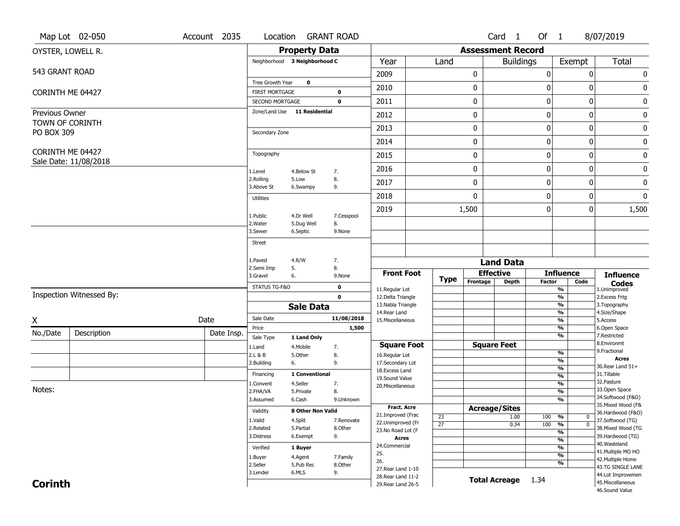|                        | Map Lot 02-050           | Account 2035 |                                          | Location GRANT ROAD           |                         |                                          |                 |             | Card 1                           | Of 1          |                                |                  | 8/07/2019                              |
|------------------------|--------------------------|--------------|------------------------------------------|-------------------------------|-------------------------|------------------------------------------|-----------------|-------------|----------------------------------|---------------|--------------------------------|------------------|----------------------------------------|
| OYSTER, LOWELL R.      |                          |              |                                          | <b>Property Data</b>          |                         |                                          |                 |             | <b>Assessment Record</b>         |               |                                |                  |                                        |
|                        |                          |              |                                          | Neighborhood 3 Neighborhood C |                         | Year                                     | Land            |             | <b>Buildings</b>                 |               | Exempt                         |                  | Total                                  |
| 543 GRANT ROAD         |                          |              |                                          |                               |                         | 2009                                     |                 | 0           |                                  | 0             |                                | $\boldsymbol{0}$ | 0                                      |
|                        |                          |              | Tree Growth Year                         | $\mathbf 0$                   |                         | 2010                                     |                 | $\bf{0}$    |                                  | 0             |                                | 0                | $\bf{0}$                               |
| CORINTH ME 04427       |                          |              | <b>FIRST MORTGAGE</b><br>SECOND MORTGAGE |                               | $\bf{0}$<br>$\mathbf 0$ | 2011                                     |                 | 0           |                                  | 0             |                                | $\mathbf 0$      | $\boldsymbol{0}$                       |
| Previous Owner         |                          |              | Zone/Land Use                            | 11 Residential                |                         |                                          |                 |             |                                  |               |                                |                  |                                        |
| <b>TOWN OF CORINTH</b> |                          |              |                                          |                               |                         | 2012                                     |                 | $\bf{0}$    |                                  | 0             |                                | $\mathbf 0$      | $\pmb{0}$                              |
| PO BOX 309             |                          |              | Secondary Zone                           |                               |                         | 2013                                     |                 | 0           |                                  | 0             |                                | $\mathbf 0$      | 0                                      |
|                        |                          |              |                                          |                               |                         | 2014                                     |                 | $\bf{0}$    |                                  | 0             |                                | $\mathbf{0}$     | $\pmb{0}$                              |
| CORINTH ME 04427       |                          |              | Topography                               |                               |                         | 2015                                     |                 | 0           |                                  | 0             |                                | 0                | $\pmb{0}$                              |
|                        | Sale Date: 11/08/2018    |              | 1.Level                                  | 4.Below St                    | 7.                      | 2016                                     |                 | $\bf{0}$    |                                  | 0             |                                | $\mathbf 0$      | $\pmb{0}$                              |
|                        |                          |              | 2.Rolling<br>3.Above St                  | 5.Low<br>6.Swampy             | 8.<br>9.                | 2017                                     |                 | 0           |                                  | 0             |                                | 0                | 0                                      |
|                        |                          |              | <b>Utilities</b>                         |                               |                         | 2018                                     |                 | $\mathbf 0$ |                                  | 0             |                                | 0                | $\bf{0}$                               |
|                        |                          |              |                                          |                               |                         | 2019                                     |                 | 1,500       |                                  | 0             |                                | 0                | 1,500                                  |
|                        |                          |              | 1.Public<br>2. Water                     | 4.Dr Well<br>5.Dug Well       | 7.Cesspool<br>8.        |                                          |                 |             |                                  |               |                                |                  |                                        |
|                        |                          |              | 3.Sewer                                  | 6.Septic                      | 9.None                  |                                          |                 |             |                                  |               |                                |                  |                                        |
|                        |                          |              | <b>Street</b>                            |                               |                         |                                          |                 |             |                                  |               |                                |                  |                                        |
|                        |                          |              | 1.Paved                                  | 4.R/W                         | 7.                      |                                          |                 |             | <b>Land Data</b>                 |               |                                |                  |                                        |
|                        |                          |              |                                          |                               |                         |                                          |                 |             |                                  |               |                                |                  |                                        |
|                        |                          |              | 2.Semi Imp                               | 5.                            | 8.                      |                                          |                 |             |                                  |               |                                |                  |                                        |
|                        |                          |              | 3.Gravel                                 | 6.                            | 9.None                  | <b>Front Foot</b>                        | <b>Type</b>     | Frontage    | <b>Effective</b><br><b>Depth</b> | <b>Factor</b> | <b>Influence</b>               | Code             | <b>Influence</b>                       |
|                        |                          |              | STATUS TG-F&O                            |                               | 0                       | 11.Regular Lot                           |                 |             |                                  |               | %                              |                  | <b>Codes</b><br>1.Unimproved           |
|                        | Inspection Witnessed By: |              |                                          |                               | $\mathbf 0$             | 12.Delta Triangle<br>13. Nabla Triangle  |                 |             |                                  |               | $\frac{9}{6}$<br>%             |                  | 2.Excess Frtg<br>3. Topography         |
|                        |                          |              |                                          | <b>Sale Data</b>              |                         | 14. Rear Land                            |                 |             |                                  |               | %                              |                  | 4.Size/Shape                           |
| Χ                      |                          | Date         | Sale Date<br>Price                       |                               | 11/08/2018<br>1,500     | 15. Miscellaneous                        |                 |             |                                  |               | %<br>%                         |                  | 5.Access<br>6.Open Space               |
| No./Date               | Description              | Date Insp.   | Sale Type                                | 1 Land Only                   |                         |                                          |                 |             |                                  |               | %                              |                  | 7.Restricted                           |
|                        |                          |              | 1.Land                                   | 4.Mobile                      | 7.                      | <b>Square Foot</b>                       |                 |             | <b>Square Feet</b>               |               |                                |                  | 8.Environmt                            |
|                        |                          |              | 2.L & B                                  | 5.Other                       | 8.                      | 16.Regular Lot                           |                 |             |                                  |               | %<br>$\frac{9}{6}$             |                  | 9. Fractional<br><b>Acres</b>          |
|                        |                          |              | 3.Building                               | 6.                            | 9.                      | 17.Secondary Lot<br>18. Excess Land      |                 |             |                                  |               | $\frac{9}{6}$                  |                  | 30. Rear Land 51+                      |
|                        |                          |              | Financing                                | 1 Conventional                |                         | 19.Sound Value                           |                 |             |                                  |               | $\frac{9}{6}$                  |                  | 31.Tillable                            |
| Notes:                 |                          |              | 1.Convent                                | 4.Seller                      | 7.                      | 20.Miscellaneous                         |                 |             |                                  |               | $\frac{9}{6}$                  |                  | 32. Pasture<br>33.Open Space           |
|                        |                          |              | 2.FHA/VA<br>3.Assumed                    | 5.Private<br>6.Cash           | 8.<br>9.Unknown         |                                          |                 |             |                                  |               | $\frac{9}{6}$<br>$\frac{9}{6}$ |                  | 34.Softwood (F&O)                      |
|                        |                          |              |                                          |                               |                         | <b>Fract. Acre</b>                       |                 |             |                                  |               |                                |                  | 35. Mixed Wood (F&                     |
|                        |                          |              | Validity                                 | 8 Other Non Valid             |                         | 21.Improved (Frac                        | 23              |             | <b>Acreage/Sites</b><br>1.00     |               | 100 %                          | $\bf{0}$         | 36.Hardwood (F&O)                      |
|                        |                          |              | 1.Valid                                  | 4.Split                       | 7.Renovate              | 22.Unimproved (Fr                        | $\overline{27}$ |             | 0.34                             | 100           | %                              | $\overline{0}$   | 37.Softwood (TG)                       |
|                        |                          |              | 2.Related                                | 5.Partial                     | 8.Other                 | 23. No Road Lot (F                       |                 |             |                                  |               | %                              |                  | 38. Mixed Wood (TG                     |
|                        |                          |              | 3.Distress                               | 6.Exempt                      | 9.                      | <b>Acres</b>                             |                 |             |                                  |               | $\frac{9}{6}$                  |                  | 39.Hardwood (TG)<br>40. Wasteland      |
|                        |                          |              | Verified                                 | 1 Buyer                       |                         | 24.Commercial                            |                 |             |                                  |               | %                              |                  | 41. Multiple MO HO                     |
|                        |                          |              | 1.Buyer                                  | 4.Agent                       | 7.Family                | 25.<br>26.                               |                 |             |                                  |               | $\frac{9}{6}$                  |                  | 42. Multiple Home                      |
|                        |                          |              | 2.Seller                                 | 5.Pub Rec                     | 8.Other                 | 27. Rear Land 1-10                       |                 |             |                                  |               | %                              |                  | 43.TG SINGLE LANE                      |
| <b>Corinth</b>         |                          |              | 3.Lender                                 | 6.MLS                         | 9.                      | 28. Rear Land 11-2<br>29. Rear Land 26-5 |                 |             | <b>Total Acreage</b>             | 1.34          |                                |                  | 44.Lot Improvemen<br>45. Miscellaneous |